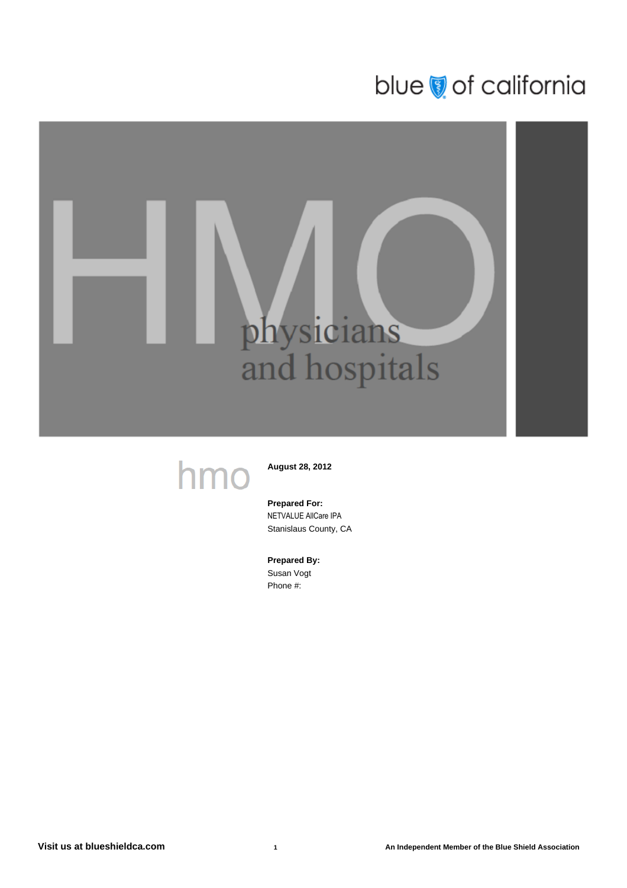# blue of california

# physicians<br>and hospitals

# hmo

**August 28, 2012**

### **Prepared For:** NETVALUE AllCare IPA Stanislaus County, CA

**Prepared By:** Susan Vogt

Phone #: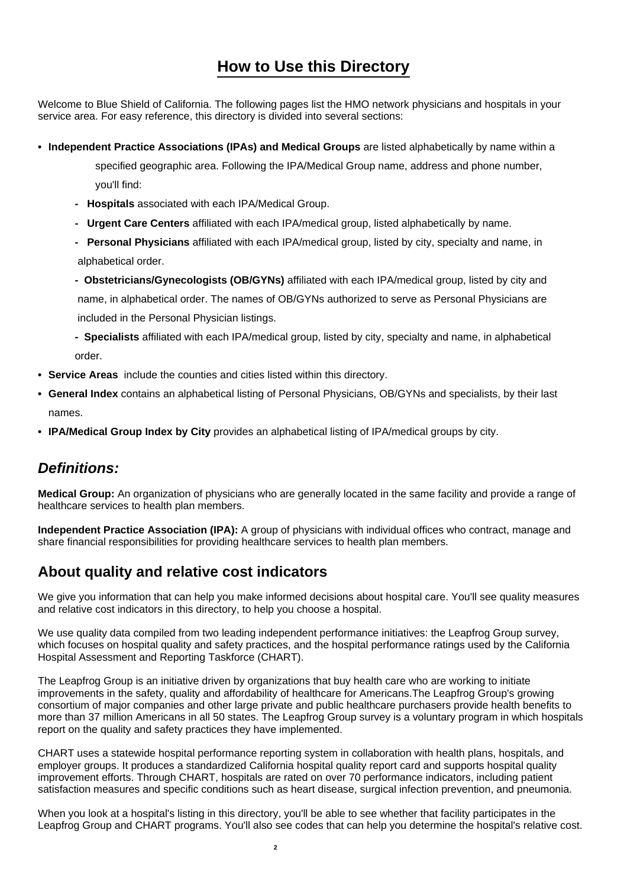# **How to Use this Directory**

Welcome to Blue Shield of California. The following pages list the HMO network physicians and hospitals in your service area. For easy reference, this directory is divided into several sections:

**• Independent Practice Associations (IPAs) and Medical Groups** are listed alphabetically by name within a

 specified geographic area. Following the IPA/Medical Group name, address and phone number, you'll find:

- **Hospitals** associated with each IPA/Medical Group.
- **Urgent Care Centers** affiliated with each IPA/medical group, listed alphabetically by name.
- **Personal Physicians** affiliated with each IPA/medical group, listed by city, specialty and name, in alphabetical order.
- **Obstetricians/Gynecologists (OB/GYNs)** affiliated with each IPA/medical group, listed by city and name, in alphabetical order. The names of OB/GYNs authorized to serve as Personal Physicians are included in the Personal Physician listings.
- **Specialists** affiliated with each IPA/medical group, listed by city, specialty and name, in alphabetical order.
- **• Service Areas** include the counties and cities listed within this directory.
- **• General Index** contains an alphabetical listing of Personal Physicians, OB/GYNs and specialists, by their last names.
- **• IPA/Medical Group Index by City** provides an alphabetical listing of IPA/medical groups by city.

# **Definitions:**

**Medical Group:** An organization of physicians who are generally located in the same facility and provide a range of healthcare services to health plan members.

**Independent Practice Association (IPA):** A group of physicians with individual offices who contract, manage and share financial responsibilities for providing healthcare services to health plan members.

# **About quality and relative cost indicators**

We give you information that can help you make informed decisions about hospital care. You'll see quality measures and relative cost indicators in this directory, to help you choose a hospital.

We use quality data compiled from two leading independent performance initiatives: the Leapfrog Group survey, which focuses on hospital quality and safety practices, and the hospital performance ratings used by the California Hospital Assessment and Reporting Taskforce (CHART).

The Leapfrog Group is an initiative driven by organizations that buy health care who are working to initiate improvements in the safety, quality and affordability of healthcare for Americans.The Leapfrog Group's growing consortium of major companies and other large private and public healthcare purchasers provide health benefits to more than 37 million Americans in all 50 states. The Leapfrog Group survey is a voluntary program in which hospitals report on the quality and safety practices they have implemented.

CHART uses a statewide hospital performance reporting system in collaboration with health plans, hospitals, and employer groups. It produces a standardized California hospital quality report card and supports hospital quality improvement efforts. Through CHART, hospitals are rated on over 70 performance indicators, including patient satisfaction measures and specific conditions such as heart disease, surgical infection prevention, and pneumonia.

When you look at a hospital's listing in this directory, you'll be able to see whether that facility participates in the Leapfrog Group and CHART programs. You'll also see codes that can help you determine the hospital's relative cost.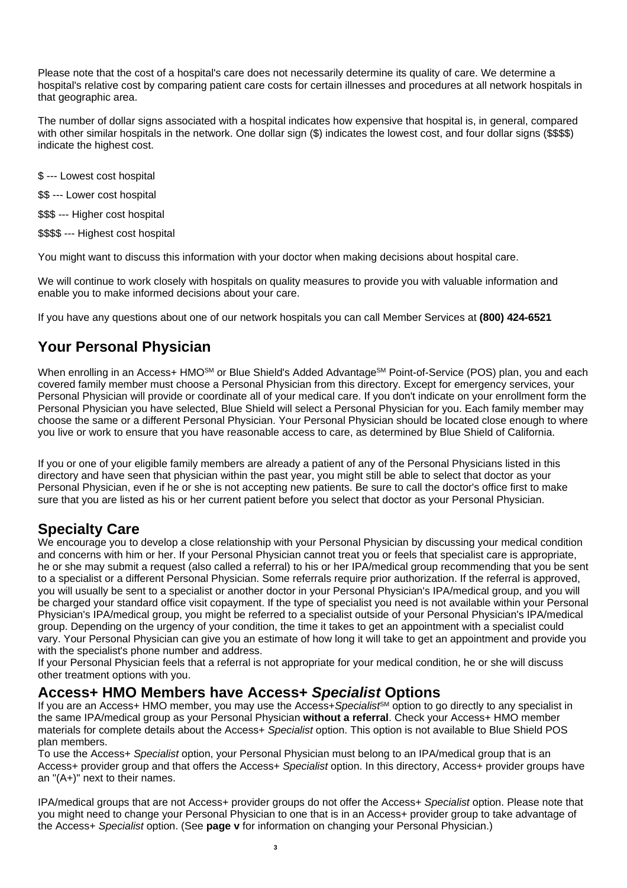Please note that the cost of a hospital's care does not necessarily determine its quality of care. We determine a hospital's relative cost by comparing patient care costs for certain illnesses and procedures at all network hospitals in that geographic area.

The number of dollar signs associated with a hospital indicates how expensive that hospital is, in general, compared with other similar hospitals in the network. One dollar sign (\$) indicates the lowest cost, and four dollar signs (\$\$\$\$) indicate the highest cost.

- \$ --- Lowest cost hospital
- \$\$ --- Lower cost hospital
- \$\$\$ --- Higher cost hospital
- \$\$\$\$ --- Highest cost hospital

You might want to discuss this information with your doctor when making decisions about hospital care.

We will continue to work closely with hospitals on quality measures to provide you with valuable information and enable you to make informed decisions about your care.

If you have any questions about one of our network hospitals you can call Member Services at **(800) 424-6521**

# **Your Personal Physician**

When enrolling in an Access+ HMO<sup>SM</sup> or Blue Shield's Added Advantage<sup>SM</sup> Point-of-Service (POS) plan, you and each covered family member must choose a Personal Physician from this directory. Except for emergency services, your Personal Physician will provide or coordinate all of your medical care. If you don't indicate on your enrollment form the Personal Physician you have selected, Blue Shield will select a Personal Physician for you. Each family member may choose the same or a different Personal Physician. Your Personal Physician should be located close enough to where you live or work to ensure that you have reasonable access to care, as determined by Blue Shield of California.

If you or one of your eligible family members are already a patient of any of the Personal Physicians listed in this directory and have seen that physician within the past year, you might still be able to select that doctor as your Personal Physician, even if he or she is not accepting new patients. Be sure to call the doctor's office first to make sure that you are listed as his or her current patient before you select that doctor as your Personal Physician.

# **Specialty Care**

We encourage you to develop a close relationship with your Personal Physician by discussing your medical condition and concerns with him or her. If your Personal Physician cannot treat you or feels that specialist care is appropriate, he or she may submit a request (also called a referral) to his or her IPA/medical group recommending that you be sent to a specialist or a different Personal Physician. Some referrals require prior authorization. If the referral is approved, you will usually be sent to a specialist or another doctor in your Personal Physician's IPA/medical group, and you will be charged your standard office visit copayment. If the type of specialist you need is not available within your Personal Physician's IPA/medical group, you might be referred to a specialist outside of your Personal Physician's IPA/medical group. Depending on the urgency of your condition, the time it takes to get an appointment with a specialist could vary. Your Personal Physician can give you an estimate of how long it will take to get an appointment and provide you with the specialist's phone number and address.

If your Personal Physician feels that a referral is not appropriate for your medical condition, he or she will discuss other treatment options with you.

# **Access+ HMO Members have Access+ Specialist Options**

If you are an Access+ HMO member, you may use the Access+Specialist<sup>®M</sup> option to go directly to any specialist in the same IPA/medical group as your Personal Physician **without a referral**. Check your Access+ HMO member materials for complete details about the Access+ Specialist option. This option is not available to Blue Shield POS plan members.

To use the Access+ Specialist option, your Personal Physician must belong to an IPA/medical group that is an Access+ provider group and that offers the Access+ Specialist option. In this directory, Access+ provider groups have an "(A+)" next to their names.

IPA/medical groups that are not Access+ provider groups do not offer the Access+ Specialist option. Please note that you might need to change your Personal Physician to one that is in an Access+ provider group to take advantage of the Access+ Specialist option. (See **page v** for information on changing your Personal Physician.)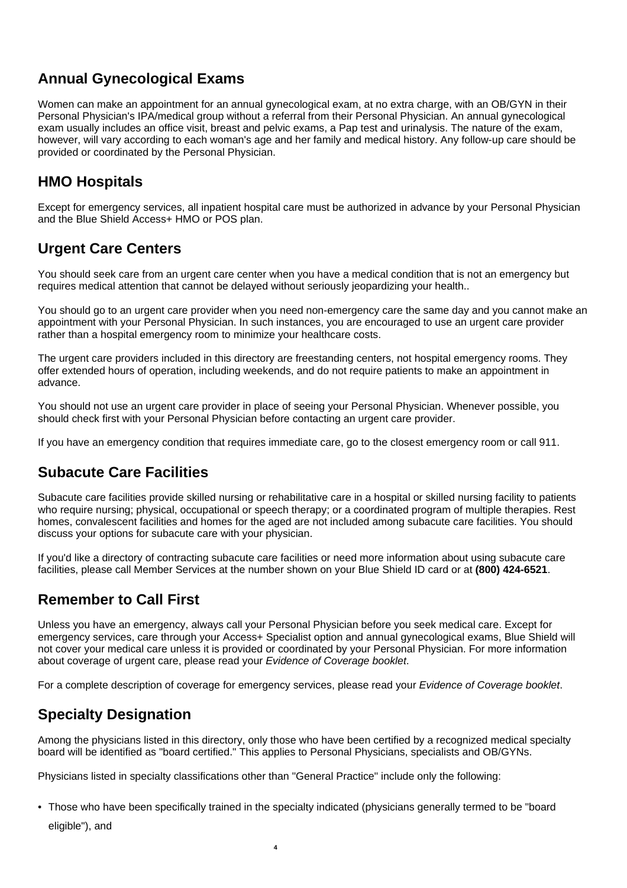# **Annual Gynecological Exams**

Women can make an appointment for an annual gynecological exam, at no extra charge, with an OB/GYN in their Personal Physician's IPA/medical group without a referral from their Personal Physician. An annual gynecological exam usually includes an office visit, breast and pelvic exams, a Pap test and urinalysis. The nature of the exam, however, will vary according to each woman's age and her family and medical history. Any follow-up care should be provided or coordinated by the Personal Physician.

# **HMO Hospitals**

Except for emergency services, all inpatient hospital care must be authorized in advance by your Personal Physician and the Blue Shield Access+ HMO or POS plan.

# **Urgent Care Centers**

You should seek care from an urgent care center when you have a medical condition that is not an emergency but requires medical attention that cannot be delayed without seriously jeopardizing your health..

You should go to an urgent care provider when you need non-emergency care the same day and you cannot make an appointment with your Personal Physician. In such instances, you are encouraged to use an urgent care provider rather than a hospital emergency room to minimize your healthcare costs.

The urgent care providers included in this directory are freestanding centers, not hospital emergency rooms. They offer extended hours of operation, including weekends, and do not require patients to make an appointment in advance.

You should not use an urgent care provider in place of seeing your Personal Physician. Whenever possible, you should check first with your Personal Physician before contacting an urgent care provider.

If you have an emergency condition that requires immediate care, go to the closest emergency room or call 911.

# **Subacute Care Facilities**

Subacute care facilities provide skilled nursing or rehabilitative care in a hospital or skilled nursing facility to patients who require nursing; physical, occupational or speech therapy; or a coordinated program of multiple therapies. Rest homes, convalescent facilities and homes for the aged are not included among subacute care facilities. You should discuss your options for subacute care with your physician.

If you'd like a directory of contracting subacute care facilities or need more information about using subacute care facilities, please call Member Services at the number shown on your Blue Shield ID card or at **(800) 424-6521**.

# **Remember to Call First**

Unless you have an emergency, always call your Personal Physician before you seek medical care. Except for emergency services, care through your Access+ Specialist option and annual gynecological exams, Blue Shield will not cover your medical care unless it is provided or coordinated by your Personal Physician. For more information about coverage of urgent care, please read your Evidence of Coverage booklet.

For a complete description of coverage for emergency services, please read your Evidence of Coverage booklet.

# **Specialty Designation**

Among the physicians listed in this directory, only those who have been certified by a recognized medical specialty board will be identified as "board certified." This applies to Personal Physicians, specialists and OB/GYNs.

Physicians listed in specialty classifications other than "General Practice" include only the following:

**4**

• Those who have been specifically trained in the specialty indicated (physicians generally termed to be "board eligible"), and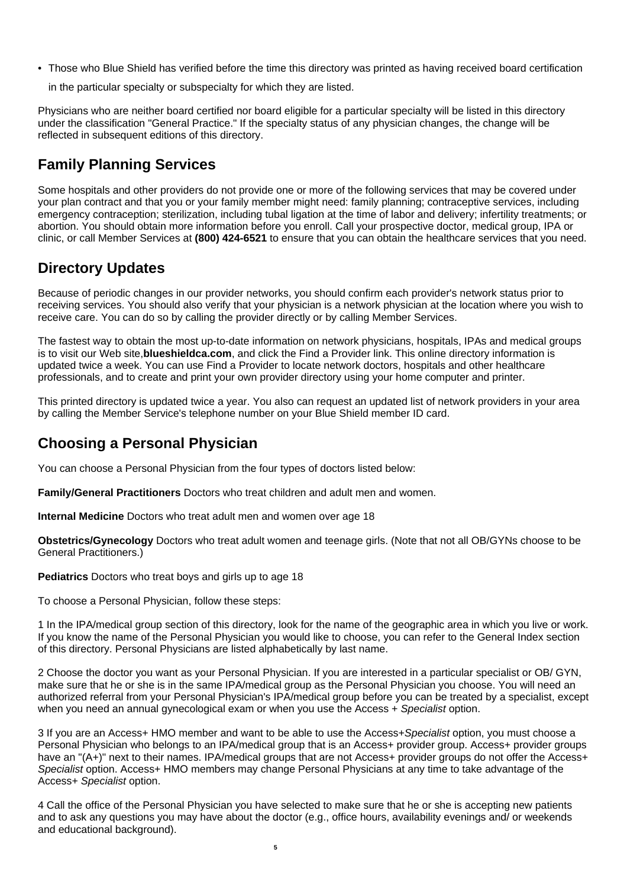• Those who Blue Shield has verified before the time this directory was printed as having received board certification

in the particular specialty or subspecialty for which they are listed.

Physicians who are neither board certified nor board eligible for a particular specialty will be listed in this directory under the classification "General Practice." If the specialty status of any physician changes, the change will be reflected in subsequent editions of this directory.

# **Family Planning Services**

Some hospitals and other providers do not provide one or more of the following services that may be covered under your plan contract and that you or your family member might need: family planning; contraceptive services, including emergency contraception; sterilization, including tubal ligation at the time of labor and delivery; infertility treatments; or abortion. You should obtain more information before you enroll. Call your prospective doctor, medical group, IPA or clinic, or call Member Services at **(800) 424-6521** to ensure that you can obtain the healthcare services that you need.

# **Directory Updates**

Because of periodic changes in our provider networks, you should confirm each provider's network status prior to receiving services. You should also verify that your physician is a network physician at the location where you wish to receive care. You can do so by calling the provider directly or by calling Member Services.

The fastest way to obtain the most up-to-date information on network physicians, hospitals, IPAs and medical groups is to visit our Web site,**blueshieldca.com**, and click the Find a Provider link. This online directory information is updated twice a week. You can use Find a Provider to locate network doctors, hospitals and other healthcare professionals, and to create and print your own provider directory using your home computer and printer.

This printed directory is updated twice a year. You also can request an updated list of network providers in your area by calling the Member Service's telephone number on your Blue Shield member ID card.

# **Choosing a Personal Physician**

You can choose a Personal Physician from the four types of doctors listed below:

**Family/General Practitioners** Doctors who treat children and adult men and women.

**Internal Medicine** Doctors who treat adult men and women over age 18

**Obstetrics/Gynecology** Doctors who treat adult women and teenage girls. (Note that not all OB/GYNs choose to be General Practitioners.)

**Pediatrics** Doctors who treat boys and girls up to age 18

To choose a Personal Physician, follow these steps:

1 In the IPA/medical group section of this directory, look for the name of the geographic area in which you live or work. If you know the name of the Personal Physician you would like to choose, you can refer to the General Index section of this directory. Personal Physicians are listed alphabetically by last name.

2 Choose the doctor you want as your Personal Physician. If you are interested in a particular specialist or OB/ GYN, make sure that he or she is in the same IPA/medical group as the Personal Physician you choose. You will need an authorized referral from your Personal Physician's IPA/medical group before you can be treated by a specialist, except when you need an annual gynecological exam or when you use the Access + Specialist option.

3 If you are an Access+ HMO member and want to be able to use the Access+Specialist option, you must choose a Personal Physician who belongs to an IPA/medical group that is an Access+ provider group. Access+ provider groups have an "(A+)" next to their names. IPA/medical groups that are not Access+ provider groups do not offer the Access+ Specialist option. Access+ HMO members may change Personal Physicians at any time to take advantage of the Access+ Specialist option.

4 Call the office of the Personal Physician you have selected to make sure that he or she is accepting new patients and to ask any questions you may have about the doctor (e.g., office hours, availability evenings and/ or weekends and educational background).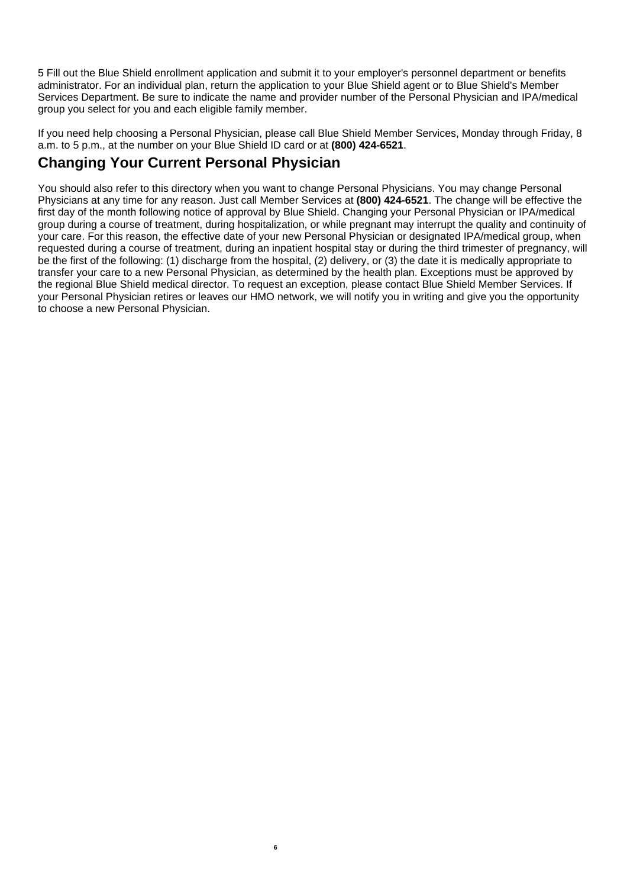5 Fill out the Blue Shield enrollment application and submit it to your employer's personnel department or benefits administrator. For an individual plan, return the application to your Blue Shield agent or to Blue Shield's Member Services Department. Be sure to indicate the name and provider number of the Personal Physician and IPA/medical group you select for you and each eligible family member.

If you need help choosing a Personal Physician, please call Blue Shield Member Services, Monday through Friday, 8 a.m. to 5 p.m., at the number on your Blue Shield ID card or at **(800) 424-6521**.

# **Changing Your Current Personal Physician**

You should also refer to this directory when you want to change Personal Physicians. You may change Personal Physicians at any time for any reason. Just call Member Services at **(800) 424-6521**. The change will be effective the first day of the month following notice of approval by Blue Shield. Changing your Personal Physician or IPA/medical group during a course of treatment, during hospitalization, or while pregnant may interrupt the quality and continuity of your care. For this reason, the effective date of your new Personal Physician or designated IPA/medical group, when requested during a course of treatment, during an inpatient hospital stay or during the third trimester of pregnancy, will be the first of the following: (1) discharge from the hospital, (2) delivery, or (3) the date it is medically appropriate to transfer your care to a new Personal Physician, as determined by the health plan. Exceptions must be approved by the regional Blue Shield medical director. To request an exception, please contact Blue Shield Member Services. If your Personal Physician retires or leaves our HMO network, we will notify you in writing and give you the opportunity to choose a new Personal Physician.

**6**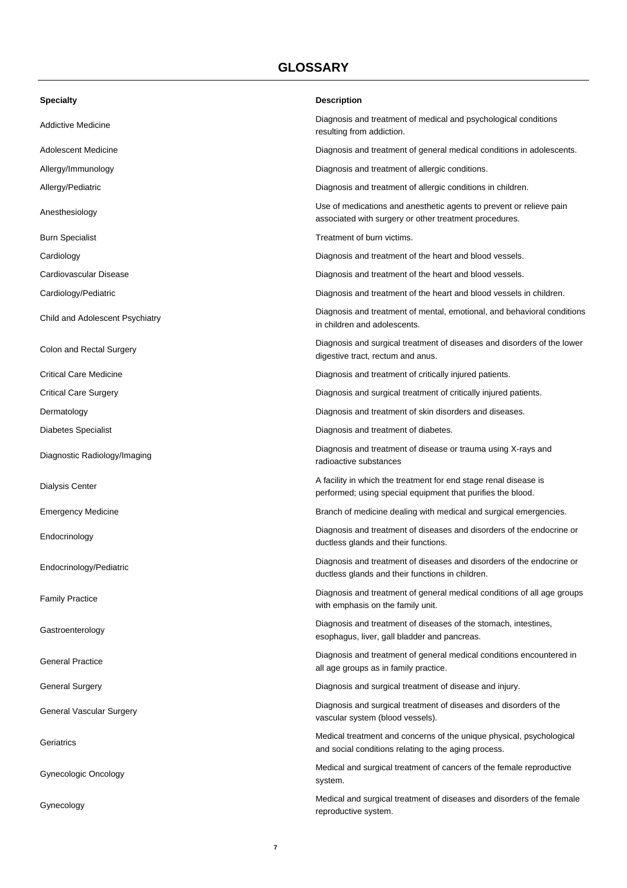# **GLOSSARY**

| <b>Specialty</b>                | <b>Description</b>                                                                                                              |  |
|---------------------------------|---------------------------------------------------------------------------------------------------------------------------------|--|
| Addictive Medicine              | Diagnosis and treatment of medical and psychological conditions<br>resulting from addiction.                                    |  |
| Adolescent Medicine             | Diagnosis and treatment of general medical conditions in adolescents.                                                           |  |
| Allergy/Immunology              | Diagnosis and treatment of allergic conditions.                                                                                 |  |
| Allergy/Pediatric               | Diagnosis and treatment of allergic conditions in children.                                                                     |  |
| Anesthesiology                  | Use of medications and anesthetic agents to prevent or relieve pain<br>associated with surgery or other treatment procedures.   |  |
| <b>Burn Specialist</b>          | Treatment of burn victims.                                                                                                      |  |
| Cardiology                      | Diagnosis and treatment of the heart and blood vessels.                                                                         |  |
| Cardiovascular Disease          | Diagnosis and treatment of the heart and blood vessels.                                                                         |  |
| Cardiology/Pediatric            | Diagnosis and treatment of the heart and blood vessels in children.                                                             |  |
| Child and Adolescent Psychiatry | Diagnosis and treatment of mental, emotional, and behavioral conditions<br>in children and adolescents.                         |  |
| Colon and Rectal Surgery        | Diagnosis and surgical treatment of diseases and disorders of the lower<br>digestive tract, rectum and anus.                    |  |
| <b>Critical Care Medicine</b>   | Diagnosis and treatment of critically injured patients.                                                                         |  |
| <b>Critical Care Surgery</b>    | Diagnosis and surgical treatment of critically injured patients.                                                                |  |
| Dermatology                     | Diagnosis and treatment of skin disorders and diseases.                                                                         |  |
| <b>Diabetes Specialist</b>      | Diagnosis and treatment of diabetes.                                                                                            |  |
| Diagnostic Radiology/Imaging    | Diagnosis and treatment of disease or trauma using X-rays and<br>radioactive substances                                         |  |
| <b>Dialysis Center</b>          | A facility in which the treatment for end stage renal disease is<br>performed; using special equipment that purifies the blood. |  |
| <b>Emergency Medicine</b>       | Branch of medicine dealing with medical and surgical emergencies.                                                               |  |
| Endocrinology                   | Diagnosis and treatment of diseases and disorders of the endocrine or<br>ductless glands and their functions.                   |  |
| Endocrinology/Pediatric         | Diagnosis and treatment of diseases and disorders of the endocrine or<br>ductless glands and their functions in children.       |  |
| <b>Family Practice</b>          | Diagnosis and treatment of general medical conditions of all age groups<br>with emphasis on the family unit.                    |  |
| Gastroenterology                | Diagnosis and treatment of diseases of the stomach, intestines,<br>esophagus, liver, gall bladder and pancreas.                 |  |
| <b>General Practice</b>         | Diagnosis and treatment of general medical conditions encountered in<br>all age groups as in family practice.                   |  |
| <b>General Surgery</b>          | Diagnosis and surgical treatment of disease and injury.                                                                         |  |
| General Vascular Surgery        | Diagnosis and surgical treatment of diseases and disorders of the<br>vascular system (blood vessels).                           |  |
| Geriatrics                      | Medical treatment and concerns of the unique physical, psychological<br>and social conditions relating to the aging process.    |  |
| Gynecologic Oncology            | Medical and surgical treatment of cancers of the female reproductive<br>system.                                                 |  |
| Gynecology                      | Medical and surgical treatment of diseases and disorders of the female<br>reproductive system.                                  |  |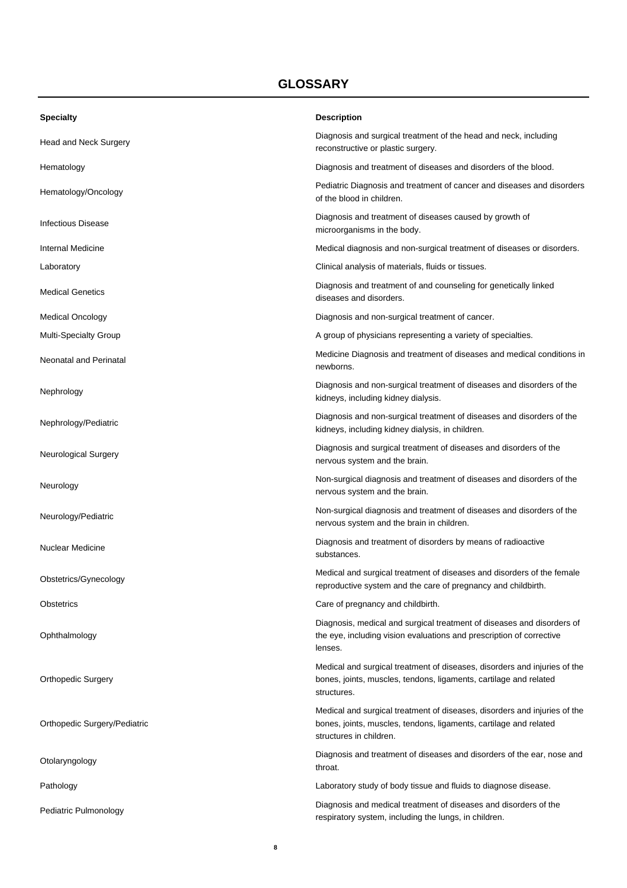# **GLOSSARY**

| <b>Specialty</b>              | <b>Description</b>                                                                                                                                                        |
|-------------------------------|---------------------------------------------------------------------------------------------------------------------------------------------------------------------------|
| Head and Neck Surgery         | Diagnosis and surgical treatment of the head and neck, including<br>reconstructive or plastic surgery.                                                                    |
| Hematology                    | Diagnosis and treatment of diseases and disorders of the blood.                                                                                                           |
| Hematology/Oncology           | Pediatric Diagnosis and treatment of cancer and diseases and disorders<br>of the blood in children.                                                                       |
| <b>Infectious Disease</b>     | Diagnosis and treatment of diseases caused by growth of<br>microorganisms in the body.                                                                                    |
| Internal Medicine             | Medical diagnosis and non-surgical treatment of diseases or disorders.                                                                                                    |
| Laboratory                    | Clinical analysis of materials, fluids or tissues.                                                                                                                        |
| <b>Medical Genetics</b>       | Diagnosis and treatment of and counseling for genetically linked<br>diseases and disorders.                                                                               |
| <b>Medical Oncology</b>       | Diagnosis and non-surgical treatment of cancer.                                                                                                                           |
| <b>Multi-Specialty Group</b>  | A group of physicians representing a variety of specialties.                                                                                                              |
| <b>Neonatal and Perinatal</b> | Medicine Diagnosis and treatment of diseases and medical conditions in<br>newborns.                                                                                       |
| Nephrology                    | Diagnosis and non-surgical treatment of diseases and disorders of the<br>kidneys, including kidney dialysis.                                                              |
| Nephrology/Pediatric          | Diagnosis and non-surgical treatment of diseases and disorders of the<br>kidneys, including kidney dialysis, in children.                                                 |
| <b>Neurological Surgery</b>   | Diagnosis and surgical treatment of diseases and disorders of the<br>nervous system and the brain.                                                                        |
| Neurology                     | Non-surgical diagnosis and treatment of diseases and disorders of the<br>nervous system and the brain.                                                                    |
| Neurology/Pediatric           | Non-surgical diagnosis and treatment of diseases and disorders of the<br>nervous system and the brain in children.                                                        |
| <b>Nuclear Medicine</b>       | Diagnosis and treatment of disorders by means of radioactive<br>substances.                                                                                               |
| Obstetrics/Gynecology         | Medical and surgical treatment of diseases and disorders of the female<br>reproductive system and the care of pregnancy and childbirth.                                   |
| <b>Obstetrics</b>             | Care of pregnancy and childbirth.                                                                                                                                         |
| Ophthalmology                 | Diagnosis, medical and surgical treatment of diseases and disorders of<br>the eye, including vision evaluations and prescription of corrective<br>lenses.                 |
| <b>Orthopedic Surgery</b>     | Medical and surgical treatment of diseases, disorders and injuries of the<br>bones, joints, muscles, tendons, ligaments, cartilage and related<br>structures.             |
| Orthopedic Surgery/Pediatric  | Medical and surgical treatment of diseases, disorders and injuries of the<br>bones, joints, muscles, tendons, ligaments, cartilage and related<br>structures in children. |
| Otolaryngology                | Diagnosis and treatment of diseases and disorders of the ear, nose and<br>throat.                                                                                         |
| Pathology                     | Laboratory study of body tissue and fluids to diagnose disease.                                                                                                           |
| Pediatric Pulmonology         | Diagnosis and medical treatment of diseases and disorders of the<br>respiratory system, including the lungs, in children.                                                 |

**8**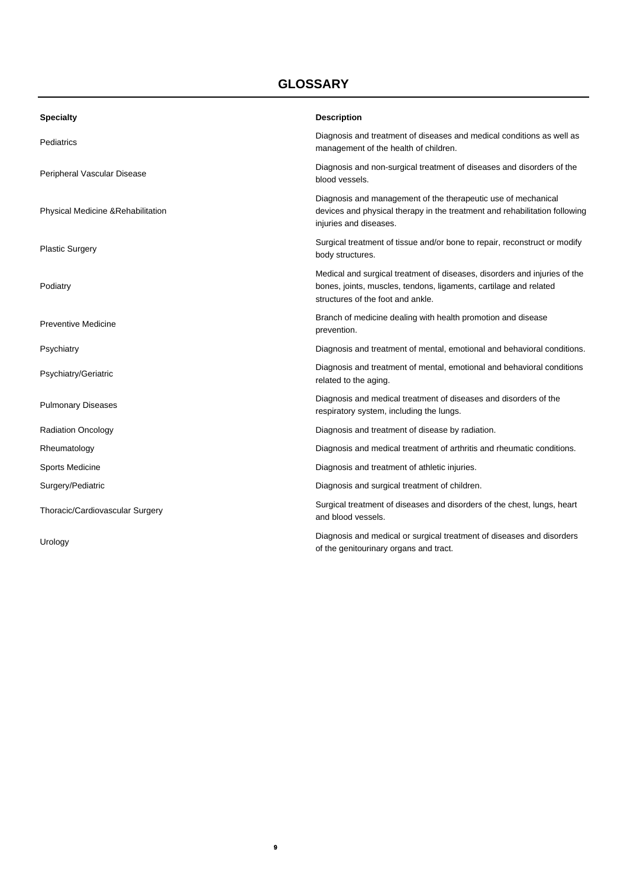# **GLOSSARY**

| <b>Specialty</b>                   | <b>Description</b>                                                                                                                                                                  |
|------------------------------------|-------------------------------------------------------------------------------------------------------------------------------------------------------------------------------------|
| Pediatrics                         | Diagnosis and treatment of diseases and medical conditions as well as<br>management of the health of children.                                                                      |
| Peripheral Vascular Disease        | Diagnosis and non-surgical treatment of diseases and disorders of the<br>blood vessels.                                                                                             |
| Physical Medicine & Rehabilitation | Diagnosis and management of the therapeutic use of mechanical<br>devices and physical therapy in the treatment and rehabilitation following<br>injuries and diseases.               |
| <b>Plastic Surgery</b>             | Surgical treatment of tissue and/or bone to repair, reconstruct or modify<br>body structures.                                                                                       |
| Podiatry                           | Medical and surgical treatment of diseases, disorders and injuries of the<br>bones, joints, muscles, tendons, ligaments, cartilage and related<br>structures of the foot and ankle. |
| <b>Preventive Medicine</b>         | Branch of medicine dealing with health promotion and disease<br>prevention.                                                                                                         |
| Psychiatry                         | Diagnosis and treatment of mental, emotional and behavioral conditions.                                                                                                             |
| Psychiatry/Geriatric               | Diagnosis and treatment of mental, emotional and behavioral conditions<br>related to the aging.                                                                                     |
| <b>Pulmonary Diseases</b>          | Diagnosis and medical treatment of diseases and disorders of the<br>respiratory system, including the lungs.                                                                        |
| <b>Radiation Oncology</b>          | Diagnosis and treatment of disease by radiation.                                                                                                                                    |
| Rheumatology                       | Diagnosis and medical treatment of arthritis and rheumatic conditions.                                                                                                              |
| Sports Medicine                    | Diagnosis and treatment of athletic injuries.                                                                                                                                       |
| Surgery/Pediatric                  | Diagnosis and surgical treatment of children.                                                                                                                                       |
| Thoracic/Cardiovascular Surgery    | Surgical treatment of diseases and disorders of the chest, lungs, heart<br>and blood vessels.                                                                                       |
| Urology                            | Diagnosis and medical or surgical treatment of diseases and disorders<br>of the genitourinary organs and tract.                                                                     |

**9**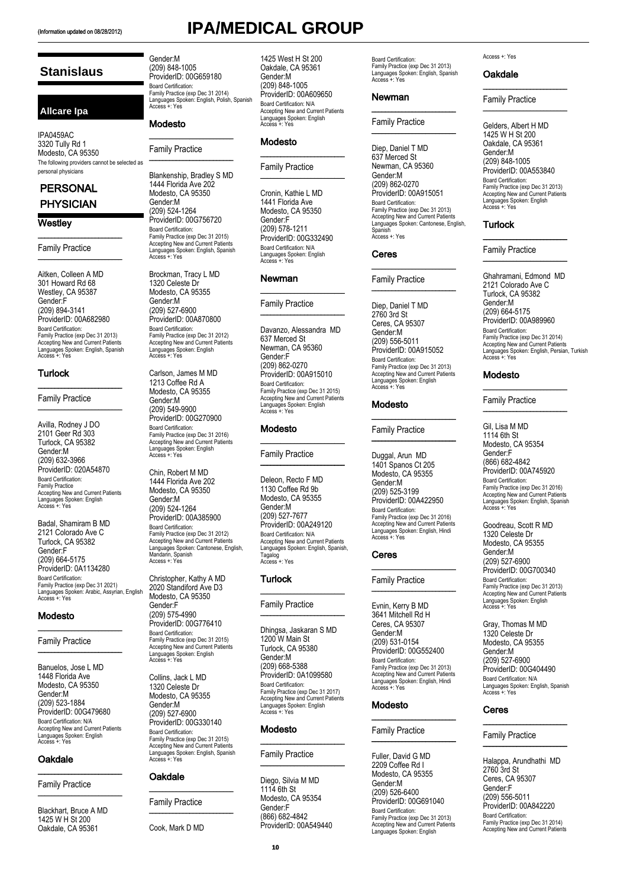The following providers cannot be selected as

 $\overline{\phantom{a}}$  , where  $\overline{\phantom{a}}$  , where  $\overline{\phantom{a}}$  , where  $\overline{\phantom{a}}$ Family Practice \_\_\_\_\_\_\_\_\_\_\_\_\_\_\_\_\_\_\_\_\_\_\_\_\_ Aitken, Colleen A MD 301 Howard Rd 68 Westley, CA 95387 Gender:F (209) 894-3141 ProviderID: 00A682980

Board Certification: Family Practice (exp Dec 31 2013) Accepting New and Current Patients Languages Spoken: English, Spanish Access +: Yes

\_\_\_\_\_\_\_\_\_\_\_\_\_\_\_\_\_\_\_\_\_\_\_\_\_ Family Practice \_\_\_\_\_\_\_\_\_\_\_\_\_\_\_\_\_\_\_\_\_\_\_\_\_

Family Practice Accepting New and Current Patients Languages Spoken: English Access +: Yes Badal, Shamiram B MD 2121 Colorado Ave C Turlock, CA 95382 Gender:F (209) 664-5175 ProviderID: 0A1134280 Board Certification: Family Practice (exp Dec 31 2021) Languages Spoken: Arabic, Assyrian, English Access +: Yes

Modesto

Oakdale

\_\_\_\_\_\_\_\_\_\_\_\_\_\_\_\_\_\_\_\_\_\_\_\_\_ Family Practice \_\_\_\_\_\_\_\_\_\_\_\_\_\_\_\_\_\_\_\_\_\_\_\_\_ Blackhart, Bruce A MD 1425 W H St 200 Oakdale, CA 95361

\_\_\_\_\_\_\_\_\_\_\_\_\_\_\_\_\_\_\_\_\_\_\_\_\_ Family Practice \_\_\_\_\_\_\_\_\_\_\_\_\_\_\_\_\_\_\_\_\_\_\_\_\_ Banuelos, Jose L MD 1448 Florida Ave Modesto, CA 95350 Gender:M (209) 523-1884 ProviderID: 00G479680 Board Certification: N/A Accepting New and Current Patients Languages Spoken: English Access +: Yes

Avilla, Rodney J DO 2101 Geer Rd 303 Turlock, CA 95382 Gender:M (209) 632-3966 ProviderID: 020A54870 Board Certification:

**Stanislaus**

**Allcare Ipa**

IPA0459AC 3320 Tully Rd 1 Modesto, CA 95350

personal physicians **PERSONAL PHYSICIAN** 

**Westley** 

**Turlock** 

# (Information updated on 08/28/2012) **IPA/MEDICAL GROUP**

Gender:M (209) 848-1005 ProviderID: 00G659180 Board Certification: Family Practice (exp Dec 31 2014) Languages Spoken: English, Polish, Spanish Access +: Yes

### Modesto

Family Practice

\_\_\_\_\_\_\_\_\_\_\_\_\_\_\_\_\_\_\_\_\_\_\_\_\_

\_\_\_\_\_\_\_\_\_\_\_\_\_\_\_\_\_\_\_\_\_\_\_\_\_

Blankenship, Bradley S MD 1444 Florida Ave 202 Modesto, CA 95350 Gender:M (209) 524-1264 ProviderID: 00G756720 Board Certification: Family Practice (exp Dec 31 2015) Accepting New and Current Patients Languages Spoken: English, Spanish Access +: Yes

Brockman, Tracy L MD 1320 Celeste Dr Modesto, CA 95355 Gender:M (209) 527-6900 ProviderID: 00A870800 Board Certification: Family Practice (exp Dec 31 2012) Accepting New and Current Patients Languages Spoken: English Access +: Yes

Carlson, James M MD 1213 Coffee Rd A Modesto, CA 95355 Gender:M (209) 549-9900 ProviderID: 00G270900 Board Certification: Family Practice (exp Dec 31 2016) Accepting New and Current Patients Languages Spoken: English Languages Sp<br>Access +: Yes

Chin, Robert M MD 1444 Florida Ave 202 Modesto, CA 95350 Gender:M (209) 524-1264 ProviderID: 00A385900 Board Certification: Family Practice (exp Dec 31 2012) Accepting New and Current Patients Languages Spoken: Cantonese, English, Mandarin, Spanish Access +: Yes

Christopher, Kathy A MD 2020 Standiford Ave D3 Modesto, CA 95350 Gender:F (209) 575-4990 ProviderID: 00G776410 Board Certification: Family Practice (exp Dec 31 2015) Accepting New and Current Patients Languages Spoken: English Access +: Yes

Collins, Jack L MD 1320 Celeste Dr Modesto, CA 95355 Gender:M (209) 527-6900 ProviderID: 00G330140 Board Certification: Family Practice (exp Dec 31 2015) Accepting New and Current Patients Languages Spoken: English, Spanish Access +: Yes

### Oakdale

Family Practice

\_\_\_\_\_\_\_\_\_\_\_\_\_\_\_\_\_\_\_\_\_\_\_\_\_

\_\_\_\_\_\_\_\_\_\_\_\_\_\_\_\_\_\_\_\_\_\_\_\_\_

Cook, Mark D MD

# 1425 West H St 200

Oakdale, CA 95361 Gender:M (209) 848-1005 ProviderID: 00A609650 Board Certification: N/A Accepting New and Current Patients Languages Spoken: English Access +: Yes

\_\_\_\_\_\_\_\_\_\_\_\_\_\_\_\_\_\_\_\_\_\_\_\_\_

\_\_\_\_\_\_\_\_\_\_\_\_\_\_\_\_\_\_\_\_\_\_\_\_\_

### Modesto

### Family Practice

Cronin, Kathie L MD 1441 Florida Ave Modesto, CA 95350 Gender:F (209) 578-1211 ProviderID: 00G332490 Board Certification: N/A Languages Spoken: English Access +: Yes

### Newman

Family Practice

Davanzo, Alessandra MD 637 Merced St Newman, CA 95360 Gender:F (209) 862-0270 ProviderID: 00A915010 Board Certification: Family Practice (exp Dec 31 2015) Accepting New and Current Patients Languages Spoken: English Access +: Yes

\_\_\_\_\_\_\_\_\_\_\_\_\_\_\_\_\_\_\_\_\_\_\_\_\_

\_\_\_\_\_\_\_\_\_\_\_\_\_\_\_\_\_\_\_\_\_\_\_\_\_

\_\_\_\_\_\_\_\_\_\_\_\_\_\_\_\_\_\_\_\_\_\_\_\_\_

\_\_\_\_\_\_\_\_\_\_\_\_\_\_\_\_\_\_\_\_\_\_\_\_\_

### Modesto

### Family Practice

Deleon, Recto F MD 1130 Coffee Rd 9b Modesto, CA 95355 Gender:M (209) 527-7677 ProviderID: 00A249120 Board Certification: N/A Accepting New and Current Patients Languages Spoken: English, Spanish, Tagalog Access +: Yes

\_\_\_\_\_\_\_\_\_\_\_\_\_\_\_\_\_\_\_\_\_\_\_\_\_

\_\_\_\_\_\_\_\_\_\_\_\_\_\_\_\_\_\_\_\_\_\_\_\_\_

### **Turlock**

### Family Practice

Dhingsa, Jaskaran S MD 1200 W Main St Turlock, CA 95380 Gender:M (209) 668-5388 ProviderID: 0A1099580 Board Certification: Family Practice (exp Dec 31 2017) Accepting New and Current Patients Languages Spoken: English Access +: Yes

\_\_\_\_\_\_\_\_\_\_\_\_\_\_\_\_\_\_\_\_\_\_\_\_\_

\_\_\_\_\_\_\_\_\_\_\_\_\_\_\_\_\_\_\_\_\_\_\_\_\_

### **Modesto**

Family Practice

Diego, Silvia M MD 1114 6th St Modesto, CA 95354 Gender:F (866) 682-4842 ProviderID: 00A549440 Board Certification: Family Practice (exp Dec 31 2013) Languages Spoken: English, Spanish Access +: Yes

\_\_\_\_\_\_\_\_\_\_\_\_\_\_\_\_\_\_\_\_\_\_\_\_\_

\_\_\_\_\_\_\_\_\_\_\_\_\_\_\_\_\_\_\_\_\_\_\_\_\_

### Newman

Family Practice

Diep, Daniel T MD 637 Merced St Newman, CA 95360 Gender:M (209) 862-0270 ProviderID: 00A915051 Board Certification: Family Practice (exp Dec 31 2013) Accepting New and Current Patients Languages Spoken: Cantonese, English, Spanish Access +: Yes

### Ceres

Family Practice

Diep, Daniel T MD 2760 3rd St Ceres, CA 95307 Gender:M (209) 556-5011 ProviderID: 00A915052 Board Certification: Family Practice (exp Dec 31 2013) Accepting New and Current Patients Languages Spoken: English Access +: Yes

\_\_\_\_\_\_\_\_\_\_\_\_\_\_\_\_\_\_\_\_\_\_\_\_\_

\_\_\_\_\_\_\_\_\_\_\_\_\_\_\_\_\_\_\_\_\_\_\_\_\_

\_\_\_\_\_\_\_\_\_\_\_\_\_\_\_\_\_\_\_\_\_\_\_\_\_

\_\_\_\_\_\_\_\_\_\_\_\_\_\_\_\_\_\_\_\_\_\_\_\_\_

### Modesto

Family Practice

Duggal, Arun MD 1401 Spanos Ct 205 Modesto, CA 95355 Gender:M (209) 525-3199 ProviderID: 00A422950 Board Certification: Family Practice (exp Dec 31 2016) Accepting New and Current Patients Languages Spoken: English, Hindi Access +: Yes

 $\overline{\phantom{a}}$  , we can assume that the contract of  $\overline{\phantom{a}}$ 

\_\_\_\_\_\_\_\_\_\_\_\_\_\_\_\_\_\_\_\_\_\_\_\_\_

### Ceres

Family Practice

Evnin, Kerry B MD 3641 Mitchell Rd H Ceres, CA 95307 Gender:M (209) 531-0154 ProviderID: 00G552400 Board Certification: Family Practice (exp Dec 31 2013) Accepting New and Current Patients Languages Spoken: English, Hindi Access +: Yes

\_\_\_\_\_\_\_\_\_\_\_\_\_\_\_\_\_\_\_\_\_\_\_\_\_

\_\_\_\_\_\_\_\_\_\_\_\_\_\_\_\_\_\_\_\_\_\_\_\_\_

### Modesto

Family Practice

Fuller, David G MD 2209 Coffee Rd I Modesto, CA 95355 Gender:M (209) 526-6400 ProviderID: 00G691040 Board Certification: Family Practice (exp Dec 31 2013) Accepting New and Current Patients Languages Spoken: English

### Access +: Yes

### Oakdale

Family Practice

Gelders, Albert H MD 1425 W H St 200 Oakdale, CA 95361 Gender:M (209) 848-1005 ProviderID: 00A553840 Board Certification: Family Practice (exp Dec 31 2013) Accepting New and Current Patients Languages Spoken: English Access +: Yes

 $\overline{\phantom{a}}$  , where  $\overline{\phantom{a}}$  , where  $\overline{\phantom{a}}$  , where  $\overline{\phantom{a}}$ 

\_\_\_\_\_\_\_\_\_\_\_\_\_\_\_\_\_\_\_\_\_\_\_\_\_

\_\_\_\_\_\_\_\_\_\_\_\_\_\_\_\_\_\_\_\_\_\_\_\_\_

\_\_\_\_\_\_\_\_\_\_\_\_\_\_\_\_\_\_\_\_\_\_\_\_\_

### **Turlock**

Family Practice

Ghahramani, Edmond MD 2121 Colorado Ave C Turlock, CA 95382 Gender:M (209) 664-5175 ProviderID: 00A989960 Board Certification: Family Practice (exp Dec 31 2014) Accepting New and Current Patients Languages Spoken: English, Persian, Turkish Access +: Yes

### Modesto

Family Practice

Gil, Lisa M MD 1114 6th St Modesto, CA 95354 Gender:F (866) 682-4842 ProviderID: 00A745920 Board Certification: Family Practice (exp Dec 31 2016) Accepting New and Current Patients Languages Spoken: English, Spanish Access +: Yes

\_\_\_\_\_\_\_\_\_\_\_\_\_\_\_\_\_\_\_\_\_\_\_\_\_

\_\_\_\_\_\_\_\_\_\_\_\_\_\_\_\_\_\_\_\_\_\_\_\_\_

Goodreau, Scott R MD 1320 Celeste Dr Modesto, CA 95355 Gender:M (209) 527-6900 ProviderID: 00G700340 Board Certification: Family Practice (exp Dec 31 2013) Accepting New and Current Patients Languages Spoken: English Access +: Yes

Gray, Thomas M MD 1320 Celeste Dr Modesto, CA 95355 Gender:M (209) 527-6900 ProviderID: 00G404490 Board Certification: N/A Languages Spoken: English, Spanish Access +: Yes

\_\_\_\_\_\_\_\_\_\_\_\_\_\_\_\_\_\_\_\_\_\_\_\_\_

\_\_\_\_\_\_\_\_\_\_\_\_\_\_\_\_\_\_\_\_\_\_\_\_\_

### Ceres

Family Practice

Halappa, Arundhathi MD 2760 3rd St Ceres, CA 95307 Gender:F (209) 556-5011 ProviderID: 00A842220 Board Certification: Family Practice (exp Dec 31 2014) Accepting New and Current Patients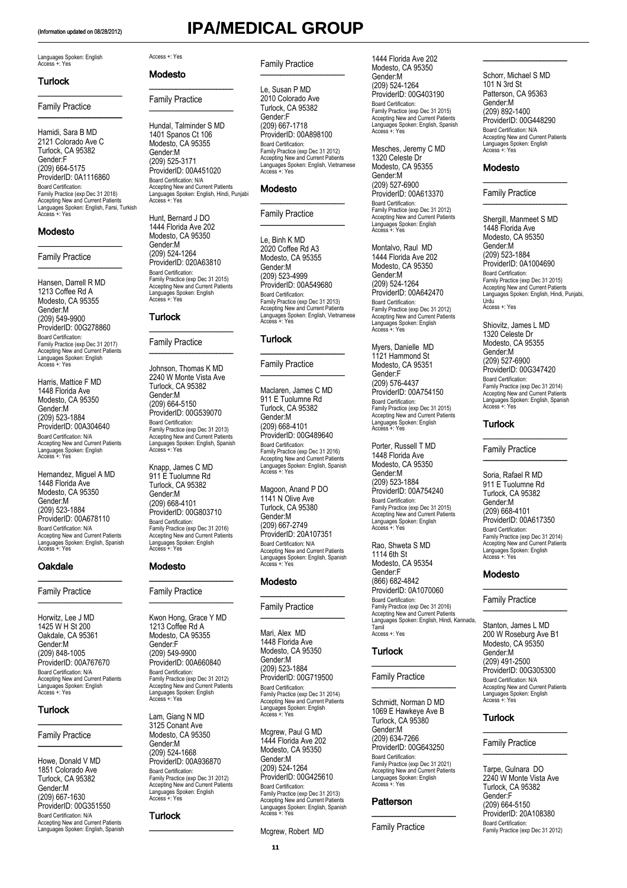\_\_\_\_\_\_\_\_\_\_\_\_\_\_\_\_\_\_\_\_\_\_\_\_\_

\_\_\_\_\_\_\_\_\_\_\_\_\_\_\_\_\_\_\_\_\_\_\_\_\_

# (Information updated on 08/28/2012) **IPA/MEDICAL GROUP**

### Languages Spoken: English Access +: Yes

### Turlock

Family Practice

Hamidi, Sara B MD 2121 Colorado Ave C Turlock, CA 95382 Gender:F (209) 664-5175 ProviderID: 0A1116860 Board Certification: Family Practice (exp Dec 31 2018) Accepting New and Current Patients Languages Spoken: English, Farsi, Turkish Access +: Yes

### Modesto

### Family Practice

Hansen, Darrell R MD 1213 Coffee Rd A Modesto, CA 95355 Gender:M (209) 549-9900 ProviderID: 00G278860 Board Certification: Family Practice (exp Dec 31 2017) Accepting New and Current Patients Languages Spoken: English Access +: Yes

\_\_\_\_\_\_\_\_\_\_\_\_\_\_\_\_\_\_\_\_\_\_\_\_\_

 $\overline{\phantom{a}}$  , where  $\overline{\phantom{a}}$ 

Harris, Mattice F MD 1448 Florida Ave Modesto, CA 95350 Gender:M (209) 523-1884 ProviderID: 00A304640 Board Certification: N/A Accepting New and Current Patients Languages Spoken: English Access +: Yes

Hernandez, Miguel A MD 1448 Florida Ave Modesto, CA 95350 Gender:M (209) 523-1884 ProviderID: 00A678110 Board Certification: N/A Accepting New and Current Patients Languages Spoken: English, Spanish Access +: Yes

\_\_\_\_\_\_\_\_\_\_\_\_\_\_\_\_\_\_\_\_\_\_\_\_\_

\_\_\_\_\_\_\_\_\_\_\_\_\_\_\_\_\_\_\_\_\_\_\_\_\_

### Oakdale

Family Practice

Horwitz, Lee J MD 1425 W H St 200 Oakdale, CA 95361 Gender:M (209) 848-1005 ProviderID: 00A767670 Board Certification: N/A Accepting New and Current Patients Languages Spoken: English Access +: Yes

\_\_\_\_\_\_\_\_\_\_\_\_\_\_\_\_\_\_\_\_\_\_\_\_\_

\_\_\_\_\_\_\_\_\_\_\_\_\_\_\_\_\_\_\_\_\_\_\_\_\_

### **Turlock**

### Family Practice

Howe, Donald V MD 1851 Colorado Ave Turlock, CA 95382 Gender:M (209) 667-1630 ProviderID: 00G351550 Board Certification: N/A Accepting New and Current Patients Languages Spoken: English, Spanish

### Access +: Yes

### Modesto

Family Practice

\_\_\_\_\_\_\_\_\_\_\_\_\_\_\_\_\_\_\_\_\_\_\_\_\_

\_\_\_\_\_\_\_\_\_\_\_\_\_\_\_\_\_\_\_\_\_\_\_\_\_

Hundal, Talminder S MD 1401 Spanos Ct 106 Modesto, CA 95355 Gender:M (209) 525-3171 ProviderID: 00A451020 Board Certification: N/A Accepting New and Current Patients Languages Spoken: English, Hindi, Punjabi Access +: Yes

Hunt, Bernard J DO 1444 Florida Ave 202 Modesto, CA 95350 Gender:M (209) 524-1264 ProviderID: 020A63810 Board Certification: Family Practice (exp Dec 31 2015) Accepting New and Current Patients Languages Spoken: English Access +: Yes

\_\_\_\_\_\_\_\_\_\_\_\_\_\_\_\_\_\_\_\_\_\_\_\_\_

\_\_\_\_\_\_\_\_\_\_\_\_\_\_\_\_\_\_\_\_\_\_\_\_\_

### **Turlock**

Family Practice

Johnson, Thomas K MD 2240 W Monte Vista Ave Turlock, CA 95382 Gender:M (209) 664-5150 ProviderID: 00G539070 Board Certification: Family Practice (exp Dec 31 2013) Accepting New and Current Patients Languages Spoken: English, Spanish Access +: Yes

Knapp, James C MD 911 E Tuolumne Rd Turlock, CA 95382 Gender:M (209) 668-4101 ProviderID: 00G803710 Board Certification: Family Practice (exp Dec 31 2016) Accepting New and Current Patients Languages Spoken: English Access +: Yes

\_\_\_\_\_\_\_\_\_\_\_\_\_\_\_\_\_\_\_\_\_\_\_\_\_

\_\_\_\_\_\_\_\_\_\_\_\_\_\_\_\_\_\_\_\_\_\_\_\_\_

### Modesto

### Family Practice

Kwon Hong, Grace Y MD 1213 Coffee Rd A Modesto, CA 95355 Gender:F (209) 549-9900 ProviderID: 00A660840 Board Certification: Family Practice (exp Dec 31 2012) Accepting New and Current Patients Languages Spoken: English Access +: Yes

Lam, Giang N MD 3125 Conant Ave Modesto, CA 95350 Gender:M (209) 524-1668 ProviderID: 00A936870 Board Certification: Family Practice (exp Dec 31 2012) Accepting New and Current Patients es Spoken: English Languages Sp

\_\_\_\_\_\_\_\_\_\_\_\_\_\_\_\_\_\_\_\_\_\_\_\_\_

### **Turlock**

### Family Practice \_\_\_\_\_\_\_\_\_\_\_\_\_\_\_\_\_\_\_\_\_\_\_\_\_

Le, Susan P MD 2010 Colorado Ave Turlock, CA 95382 Gender:F (209) 667-1718 ProviderID: 00A898100 Board Certification: Family Practice (exp Dec 31 2012) Accepting New and Current Patients Languages Spoken: English, Vietnamese Access +: Yes

\_\_\_\_\_\_\_\_\_\_\_\_\_\_\_\_\_\_\_\_\_\_\_\_\_

### Modesto

Family Practice \_\_\_\_\_\_\_\_\_\_\_\_\_\_\_\_\_\_\_\_\_\_\_\_\_

Le, Binh K MD 2020 Coffee Rd A3 Modesto, CA 95355 Gender:M (209) 523-4999 ProviderID: 00A549680 Board Certification: Family Practice (exp Dec 31 2013) Accepting New and Current Patients Languages Spoken: English, Vietnamese Access +: Yes

### Turlock

Family Practice \_\_\_\_\_\_\_\_\_\_\_\_\_\_\_\_\_\_\_\_\_\_\_\_\_

Maclaren, James C MD 911 E Tuolumne Rd Turlock, CA 95382 Gender:M (209) 668-4101 ProviderID: 00G489640 Board Certification: Family Practice (exp Dec 31 2016) Accepting New and Current Patients Languages Spoken: English, Spanish Access +: Yes

\_\_\_\_\_\_\_\_\_\_\_\_\_\_\_\_\_\_\_\_\_\_\_\_\_

Magoon, Anand P DO 1141 N Olive Ave Turlock, CA 95380 Gender:M (209) 667-2749 ProviderID: 20A107351 Board Certification: N/A Accepting New and Current Patients Languages Spoken: English, Spanish Access +: Yes

### Modesto

### Family Practice

 $\overline{\phantom{a}}$  , where  $\overline{\phantom{a}}$ 

\_\_\_\_\_\_\_\_\_\_\_\_\_\_\_\_\_\_\_\_\_\_\_\_\_

Mari, Alex MD 1448 Florida Ave Modesto, CA 95350 Gender:M (209) 523-1884 ProviderID: 00G719500 Board Certification: Family Practice (exp Dec 31 2014) Accepting New and Current Patients Languages Spoken: English Access +: Yes

Mcgrew, Paul G MD 1444 Florida Ave 202 Modesto, CA 95350 Gender:M (209) 524-1264 ProviderID: 00G425610 Board Certification: Family Practice (exp Dec 31 2013) Accepting New and Current Patients Languages Spoken: English, Spanish Access +: Yes

Mcgrew, Robert MD

1444 Florida Ave 202 Modesto, CA 95350 Gender:M (209) 524-1264 ProviderID: 00G403190 Board Certification: Family Practice (exp Dec 31 2015) Accepting New and Current Patients Languages Spoken: English, Spanish Access +: Yes

Mesches, Jeremy C MD 1320 Celeste Dr Modesto, CA 95355 Gender:M (209) 527-6900 ProviderID: 00A613370 Board Certification: Family Practice (exp Dec 31 2012) Accepting New and Current Patients Languages Spoken: English Access +: Yes

Montalvo, Raul MD 1444 Florida Ave 202 Modesto, CA 95350 Gender:M (209) 524-1264 ProviderID: 00A642470 Board Certification: Family Practice (exp Dec 31 2012) Accepting New and Current Patients Languages Spoken: English Access +: Yes

Myers, Danielle MD 1121 Hammond St Modesto, CA 95351 Gender:F (209) 576-4437 ProviderID: 00A754150 Board Certification: Family Practice (exp Dec 31 2015) Accepting New and Current Patients Languages Spoken: English Access +: Yes

Porter, Russell T MD 1448 Florida Ave Modesto, CA 95350 Gender:M (209) 523-1884 ProviderID: 00A754240 Board Certification: Family Practice (exp Dec 31 2015) Accepting New and Current Patients Languages Spoken: English Access +: Yes

Rao, Shweta S MD 1114 6th St Modesto, CA 95354 Gender:F (866) 682-4842 ProviderID: 0A1070060 Board Certification: Family Practice (exp Dec 31 2016) Accepting New and Current Patients Languages Spoken: English, Hindi, Kannada, Tamil Access +: Yes

### **Turlock**  $\_$

### Family Practice \_\_\_\_\_\_\_\_\_\_\_\_\_\_\_\_\_\_\_\_\_\_\_\_\_

Schmidt, Norman D MD 1069 E Hawkeye Ave B Turlock, CA 95380 Gender:M (209) 634-7266 ProviderID: 00G643250 Board Certification: Family Practice (exp Dec 31 2021) Accepting New and Current Patients Languages Spoken: English Access +: Yes

### **Patterson**

Family Practice

\_\_\_\_\_\_\_\_\_\_\_\_\_\_\_\_\_\_\_\_\_\_\_\_\_

Schorr, Michael S MD 101 N 3rd St Patterson, CA 95363 Gender:M (209) 892-1400 ProviderID: 00G448290 Board Certification: N/A Accepting New and Current Patients Languages Spoken: English Access +: Yes

 $\overline{\phantom{a}}$  , where  $\overline{\phantom{a}}$  , where  $\overline{\phantom{a}}$ 

\_\_\_\_\_\_\_\_\_\_\_\_\_\_\_\_\_\_\_\_\_\_\_\_\_

\_\_\_\_\_\_\_\_\_\_\_\_\_\_\_\_\_\_\_\_\_\_\_\_\_

### Modesto

### Family Practice

Shergill, Manmeet S MD 1448 Florida Ave Modesto, CA 95350 Gender:M (209) 523-1884 ProviderID: 0A1004690 Board Certification: Family Practice (exp Dec 31 2015) Accepting New and Current Patients Languages Spoken: English, Hindi, Punjabi, Urdu Access +: Yes

Shiovitz, James L MD 1320 Celeste Dr Modesto, CA 95355 Gender:M (209) 527-6900 ProviderID: 00G347420 Board Certification: Family Practice (exp Dec 31 2014) Accepting New and Current Patients Languages Spoken: English, Spanish Access +: Yes

\_\_\_\_\_\_\_\_\_\_\_\_\_\_\_\_\_\_\_\_\_\_\_\_\_

\_\_\_\_\_\_\_\_\_\_\_\_\_\_\_\_\_\_\_\_\_\_\_\_\_

### **Turlock**

Family Practice

Soria, Rafael R MD 911 E Tuolumne Rd Turlock, CA 95382 Gender:M (209) 668-4101 ProviderID: 00A617350 Board Certification: Family Practice (exp Dec 31 2014) Accepting New and Current Patients Languages Spoken: English Access +: Yes

\_\_\_\_\_\_\_\_\_\_\_\_\_\_\_\_\_\_\_\_\_\_\_\_\_

\_\_\_\_\_\_\_\_\_\_\_\_\_\_\_\_\_\_\_\_\_\_\_\_\_

### Modesto

Family Practice

Stanton, James L MD 200 W Roseburg Ave B1 Modesto, CA 95350 Gender:M (209) 491-2500 ProviderID: 00G305300 Board Certification: N/A Accepting New and Current Patients Languages Spoken: English Access +: Yes

\_\_\_\_\_\_\_\_\_\_\_\_\_\_\_\_\_\_\_\_\_\_\_\_\_

### **Turlock**

Family Practice \_\_\_\_\_\_\_\_\_\_\_\_\_\_\_\_\_\_\_\_\_\_\_\_\_

Tarpe, Gulnara DO 2240 W Monte Vista Ave Turlock, CA 95382 Gender:F (209) 664-5150 ProviderID: 20A108380 Board Certification: Family Practice (exp Dec 31 2012)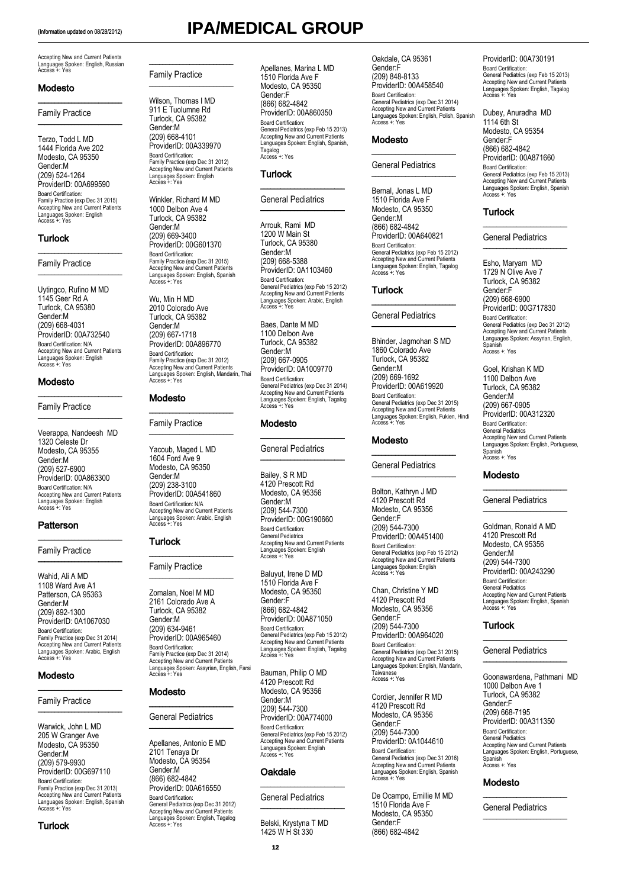Accepting New and Current Patients Languages Spoken: English, Russian Access +: Yes

\_\_\_\_\_\_\_\_\_\_\_\_\_\_\_\_\_\_\_\_\_\_\_\_\_

\_\_\_\_\_\_\_\_\_\_\_\_\_\_\_\_\_\_\_\_\_\_\_\_\_

### Modesto

### Family Practice

Terzo, Todd L MD 1444 Florida Ave 202 Modesto, CA 95350 Gender:M (209) 524-1264 ProviderID: 00A699590 Board Certification: Family Practice (exp Dec 31 2015) Accepting New and Current Patients Languages Spoken: English Access +: Yes

\_\_\_\_\_\_\_\_\_\_\_\_\_\_\_\_\_\_\_\_\_\_\_\_\_

\_\_\_\_\_\_\_\_\_\_\_\_\_\_\_\_\_\_\_\_\_\_\_\_\_

### Turlock

### Family Practice

Uytingco, Rufino M MD 1145 Geer Rd A Turlock, CA 95380 Gender:M (209) 668-4031 ProviderID: 00A732540 Board Certification: N/A Accepting New and Current Patients Languages Spoken: English Access +: Yes

\_\_\_\_\_\_\_\_\_\_\_\_\_\_\_\_\_\_\_\_\_\_\_\_\_

\_\_\_\_\_\_\_\_\_\_\_\_\_\_\_\_\_\_\_\_\_\_\_\_\_

### Modesto

### Family Practice

Veerappa, Nandeesh MD 1320 Celeste Dr Modesto, CA 95355 Gender:M (209) 527-6900 ProviderID: 00A863300 Board Certification: N/A Accepting New and Current Patients Languages Spoken: English Access +: Yes

\_\_\_\_\_\_\_\_\_\_\_\_\_\_\_\_\_\_\_\_\_\_\_\_\_

\_\_\_\_\_\_\_\_\_\_\_\_\_\_\_\_\_\_\_\_\_\_\_\_\_

### **Patterson**

### Family Practice

Wahid, Ali A MD 1108 Ward Ave A1 Patterson, CA 95363 Gender:M (209) 892-1300 ProviderID: 0A1067030 Board Certification: Family Practice (exp Dec 31 2014) Accepting New and Current Patients Languages Spoken: Arabic, English Access +: Yes

\_\_\_\_\_\_\_\_\_\_\_\_\_\_\_\_\_\_\_\_\_\_\_\_\_

\_\_\_\_\_\_\_\_\_\_\_\_\_\_\_\_\_\_\_\_\_\_\_\_\_

### Modesto

### Family Practice

Warwick, John L MD 205 W Granger Ave Modesto, CA 95350 Gender:M (209) 579-9930 ProviderID: 00G697110 Board Certification: Family Practice (exp Dec 31 2013) Accepting New and Current Patients Languages Spoken: English, Spanish Access +: Yes

### **Turlock**

\_\_\_\_\_\_\_\_\_\_\_\_\_\_\_\_\_\_\_\_\_\_\_\_\_ Family Practice \_\_\_\_\_\_\_\_\_\_\_\_\_\_\_\_\_\_\_\_\_\_\_\_\_

Wilson, Thomas I MD 911 E Tuolumne Rd Turlock, CA 95382 Gender:M (209) 668-4101 ProviderID: 00A339970 Board Certification: Family Practice (exp Dec 31 2012) Accepting New and Current Patients Languages Spoken: English Access +: Yes

Winkler, Richard M MD 1000 Delbon Ave 4 Turlock, CA 95382 Gender:M (209) 669-3400 ProviderID: 00G601370 Board Certification: Family Practice (exp Dec 31 2015) Accepting New and Current Patients Languages Spoken: English, Spanish Access +: Yes

Wu, Min H MD 2010 Colorado Ave Turlock, CA 95382 Gender:M (209) 667-1718 ProviderID: 00A896770 Board Certification: Family Practice (exp Dec 31 2012) Accepting New and Current Patients Languages Spoken: English, Mandarin, Thai Access +: Yes

### **Modesto**

\_\_\_\_\_\_\_\_\_\_\_\_\_\_\_\_\_\_\_\_\_\_\_\_\_ Family Practice \_\_\_\_\_\_\_\_\_\_\_\_\_\_\_\_\_\_\_\_\_\_\_\_\_

Yacoub, Maged L MD 1604 Ford Ave 9 Modesto, CA 95350 Gender:M (209) 238-3100 ProviderID: 00A541860 Board Certification: N/A Accepting New and Current Patients Languages Spoken: Arabic, English Access +: Yes

### Turlock

### Family Practice

\_\_\_\_\_\_\_\_\_\_\_\_\_\_\_\_\_\_\_\_\_\_\_\_\_

\_\_\_\_\_\_\_\_\_\_\_\_\_\_\_\_\_\_\_\_\_\_\_\_\_

Zomalan, Noel M MD 2161 Colorado Ave A Turlock, CA 95382 Gender:M (209) 634-9461 ProviderID: 00A965460 Board Certification: Family Practice (exp Dec 31 2014) Accepting New and Current Patients Languages Spoken: Assyrian, English, Farsi Access +: Yes

### Modesto

### \_\_\_\_\_\_\_\_\_\_\_\_\_\_\_\_\_\_\_\_\_\_\_\_\_ General Pediatrics \_\_\_\_\_\_\_\_\_\_\_\_\_\_\_\_\_\_\_\_\_\_\_\_\_

Apellanes, Antonio E MD 2101 Tenaya Dr Modesto, CA 95354 Gender:M (866) 682-4842 ProviderID: 00A616550 Board Certification: General Pediatrics (exp Dec 31 2012) Accepting New and Current Patients Languages Spoken: English, Tagalog Access +: Yes

Apellanes, Marina L MD 1510 Florida Ave F Modesto, CA 95350 Gender:F (866) 682-4842 ProviderID: 00A860350 Board Certification: General Pediatrics (exp Feb 15 2013) Accepting New and Current Patients Languages Spoken: English, Spanish, Tagalog Access +: Yes

### **Turlock**

### General Pediatrics \_\_\_\_\_\_\_\_\_\_\_\_\_\_\_\_\_\_\_\_\_\_\_\_\_

 $\overline{\phantom{a}}$  , where  $\overline{\phantom{a}}$  , where  $\overline{\phantom{a}}$ 

Arrouk, Rami MD 1200 W Main St Turlock, CA 95380 Gender:M (209) 668-5388 ProviderID: 0A1103460 Board Certification: General Pediatrics (exp Feb 15 2012) Accepting New and Current Patients Languages Spoken: Arabic, English Access +: Yes

Baes, Dante M MD 1100 Delbon Ave Turlock, CA 95382 Gender:M (209) 667-0905 ProviderID: 0A1009770 Board Certification: General Pediatrics (exp Dec 31 2014) Accepting New and Current Patients Languages Spoken: English, Tagalog Access +: Yes

### Modesto

### General Pediatrics

\_\_\_\_\_\_\_\_\_\_\_\_\_\_\_\_\_\_\_\_\_\_\_\_\_

\_\_\_\_\_\_\_\_\_\_\_\_\_\_\_\_\_\_\_\_\_\_\_\_\_

Bailey, S R MD 4120 Prescott Rd Modesto, CA 95356 Gender:M (209) 544-7300 ProviderID: 00G190660 Board Certification: General Pediatrics Accepting New and Current Patients Languages Spoken: English Access +: Yes

Baluyut, Irene D MD 1510 Florida Ave F Modesto, CA 95350 Gender:F (866) 682-4842 ProviderID: 00A871050 Board Certification: General Pediatrics (exp Feb 15 2012) Accepting New and Current Patients Languages Spoken: English, Tagalog Access +: Yes

Bauman, Philip O MD 4120 Prescott Rd Modesto, CA 95356 Gender:M (209) 544-7300 ProviderID: 00A774000 Board Certification: General Pediatrics (exp Feb 15 2012) Accepting New and Current Patients Languages Spoken: English Access +: Yes

### **Oakdale**

### General Pediatrics

\_\_\_\_\_\_\_\_\_\_\_\_\_\_\_\_\_\_\_\_\_\_\_\_\_

\_\_\_\_\_\_\_\_\_\_\_\_\_\_\_\_\_\_\_\_\_\_\_\_\_

Belski, Krystyna T MD 1425 W H St 330

Oakdale, CA 95361 Gender:F (209) 848-8133 ProviderID: 00A458540 Board Certification: General Pediatrics (exp Dec 31 2014) Accepting New and Current Patients Languages Spoken: English, Polish, Spanish Access +: Yes

### Modesto

### General Pediatrics

\_\_\_\_\_\_\_\_\_\_\_\_\_\_\_\_\_\_\_\_\_\_\_\_\_

 $\_$ 

Bernal, Jonas L MD 1510 Florida Ave F Modesto, CA 95350 Gender:M (866) 682-4842 ProviderID: 00A640821 Board Certification: General Pediatrics (exp Feb 15 2012) Accepting New and Current Patients Languages Spoken: English, Tagalog Access +: Yes

### Turlock

### General Pediatrics

\_\_\_\_\_\_\_\_\_\_\_\_\_\_\_\_\_\_\_\_\_\_\_\_\_

\_\_\_\_\_\_\_\_\_\_\_\_\_\_\_\_\_\_\_\_\_\_\_\_\_

Bhinder, Jagmohan S MD 1860 Colorado Ave Turlock, CA 95382 Gender:M (209) 669-1692 ProviderID: 00A619920 Board Certification: General Pediatrics (exp Dec 31 2015) Accepting New and Current Patients Languages Spoken: English, Fukien, Hindi Access +: Yes

### Modesto

### General Pediatrics

\_\_\_\_\_\_\_\_\_\_\_\_\_\_\_\_\_\_\_\_\_\_\_\_\_

\_\_\_\_\_\_\_\_\_\_\_\_\_\_\_\_\_\_\_\_\_\_\_\_\_

Bolton, Kathryn J MD 4120 Prescott Rd Modesto, CA 95356 Gender:F (209) 544-7300 ProviderID: 00A451400 Board Certification: General Pediatrics (exp Feb 15 2012) Accepting New and Current Patients Languages Spoken: English Access +: Yes

Chan, Christine Y MD 4120 Prescott Rd Modesto, CA 95356 Gender:F (209) 544-7300 ProviderID: 00A964020 Board Certification: General Pediatrics (exp Dec 31 2015) Accepting New and Current Patients Languages Spoken: English, Mandarin, **Taiwanese** Access +: Yes

Cordier, Jennifer R MD 4120 Prescott Rd Modesto, CA 95356 Gender:F (209) 544-7300 ProviderID: 0A1044610 Board Certification: General Pediatrics (exp Dec 31 2016) Accepting New and Current Patients Languages Spoken: English, Spanish Access +: Yes

De Ocampo, Emillie M MD 1510 Florida Ave F Modesto, CA 95350 Gender:F (866) 682-4842

ProviderID: 00A730191 Board Certification: General Pediatrics (exp Feb 15 2013) Accepting New and Current Patients Languages Spoken: English, Tagalog Access +: Yes

Dubey, Anuradha MD 1114 6th St Modesto, CA 95354 Gender:F (866) 682-4842 ProviderID: 00A871660 Board Certification: General Pediatrics (exp Feb 15 2013) Accepting New and Current Patients Languages Spoken: English, Spanish Access +: Yes

### **Turlock**

### General Pediatrics \_\_\_\_\_\_\_\_\_\_\_\_\_\_\_\_\_\_\_\_\_\_\_\_\_

 $\overline{\phantom{a}}$  , where  $\overline{\phantom{a}}$  , where  $\overline{\phantom{a}}$  , where  $\overline{\phantom{a}}$ 

Esho, Maryam MD 1729 N Olive Ave 7 Turlock, CA 95382 Gender:F (209) 668-6900 ProviderID: 00G717830 Board Certification: General Pediatrics (exp Dec 31 2012) Accepting New and Current Patients Languages Spoken: Assyrian, English, Spanish Access +: Yes

Goel, Krishan K MD 1100 Delbon Ave Turlock, CA 95382 Gender:M (209) 667-0905 ProviderID: 00A312320 Board Certification: General Pediatrics Accepting New and Current Patients Languages Spoken: English, Portuguese, Spanish Access +: Yes

### Modesto

### General Pediatrics

\_\_\_\_\_\_\_\_\_\_\_\_\_\_\_\_\_\_\_\_\_\_\_\_\_

\_\_\_\_\_\_\_\_\_\_\_\_\_\_\_\_\_\_\_\_\_\_\_\_\_

Goldman, Ronald A MD 4120 Prescott Rd Modesto, CA 95356 Gender:M (209) 544-7300 ProviderID: 00A243290 Board Certification: General Pediatrics Accepting New and Current Patients Languages Spoken: English, Spanish Access +: Yes

### **Turlock**

### General Pediatrics \_\_\_\_\_\_\_\_\_\_\_\_\_\_\_\_\_\_\_\_\_\_\_\_\_

\_\_\_\_\_\_\_\_\_\_\_\_\_\_\_\_\_\_\_\_\_\_\_\_\_

Goonawardena, Pathmani MD 1000 Delbon Ave 1 Turlock, CA 95382 Gender:F (209) 668-7195 ProviderID: 00A311350 Board Certification: General Pediatrics Accepting New and Current Patients Languages Spoken: English, Portuguese, Spanish Access +: Yes

### **Modesto**

General Pediatrics \_\_\_\_\_\_\_\_\_\_\_\_\_\_\_\_\_\_\_\_\_\_\_\_\_

\_\_\_\_\_\_\_\_\_\_\_\_\_\_\_\_\_\_\_\_\_\_\_\_\_

# (Information updated on 08/28/2012) **IPA/MEDICAL GROUP**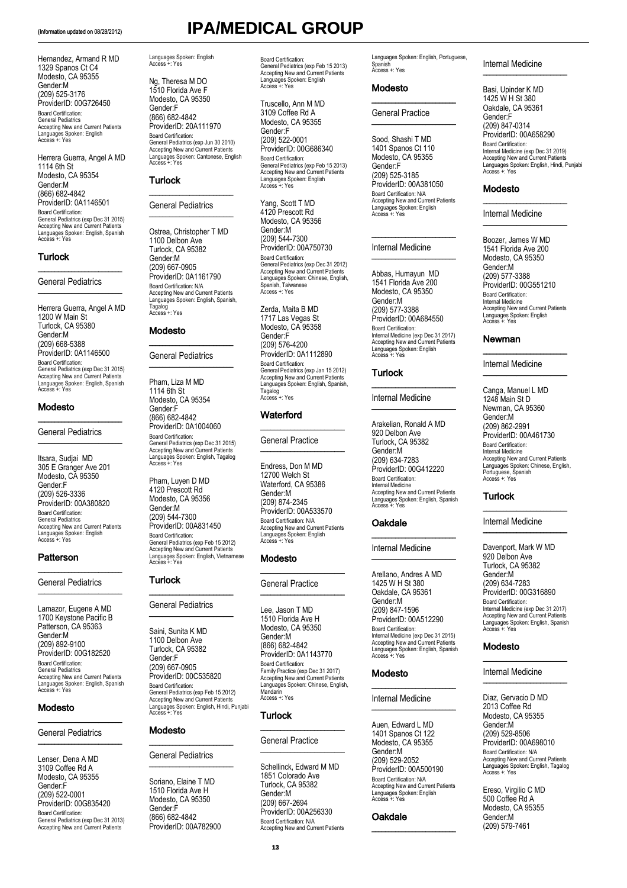Hernandez, Armand R MD 1329 Spanos Ct C4 Modesto, CA 95355 Gender:M (209) 525-3176 ProviderID: 00G726450 Board Certification: General Pediatrics Accepting New and Current Patients Languages Spoken: English Access +: Yes

Herrera Guerra, Angel A MD 1114 6th St Modesto, CA 95354 Gender:M (866) 682-4842 ProviderID: 0A1146501 Board Certification: General Pediatrics (exp Dec 31 2015) Accepting New and Current Patients Languages Spoken: English, Spanish Access +: Yes

### **Turlock**

### General Pediatrics

\_\_\_\_\_\_\_\_\_\_\_\_\_\_\_\_\_\_\_\_\_\_\_\_\_

\_\_\_\_\_\_\_\_\_\_\_\_\_\_\_\_\_\_\_\_\_\_\_\_\_

Herrera Guerra, Angel A MD 1200 W Main St Turlock, CA 95380 Gender:M (209) 668-5388 ProviderID: 0A1146500 Board Certification: General Pediatrics (exp Dec 31 2015) Accepting New and Current Patients Languages Spoken: English, Spanish Access +: Yes

### Modesto

General Pediatrics

\_\_\_\_\_\_\_\_\_\_\_\_\_\_\_\_\_\_\_\_\_\_\_\_\_

\_\_\_\_\_\_\_\_\_\_\_\_\_\_\_\_\_\_\_\_\_\_\_\_\_

Itsara, Sudjai MD 305 E Granger Ave 201 Modesto, CĂ 95350 Gender:F (209) 526-3336 ProviderID: 00A380820 Board Certification: General Pediatrics Accepting New and Current Patients Languages Spoken: English Access +: Yes

### Patterson

### General Pediatrics

\_\_\_\_\_\_\_\_\_\_\_\_\_\_\_\_\_\_\_\_\_\_\_\_\_

\_\_\_\_\_\_\_\_\_\_\_\_\_\_\_\_\_\_\_\_\_\_\_\_\_

Lamazor, Eugene A MD 1700 Keystone Pacific B Patterson, CA 95363 Gender:M (209) 892-9100 ProviderID: 00G182520 Board Certification: General Pediatrics Accepting New and Current Patients Languages Spoken: English, Spanish Access +: Yes

### **Modesto**

### General Pediatrics

\_\_\_\_\_\_\_\_\_\_\_\_\_\_\_\_\_\_\_\_\_\_\_\_\_

\_\_\_\_\_\_\_\_\_\_\_\_\_\_\_\_\_\_\_\_\_\_\_\_\_

Lenser, Dena A MD 3109 Coffee Rd A Modesto, CA 95355 Gender:F (209) 522-0001 ProviderID: 00G835420 Board Certification: General Pediatrics (exp Dec 31 2013) Accepting New and Current Patients

Languages Spoken: English Access +: Yes

Ng, Theresa M DO 1510 Florida Ave F Modesto, CA 95350 Gender:F (866) 682-4842 ProviderID: 20A111970 Board Certification: General Pediatrics (exp Jun 30 2010) Accepting New and Current Patients Languages Spoken: Cantonese, English Access +: Yes

### **Turlock**

### General Pediatrics \_\_\_\_\_\_\_\_\_\_\_\_\_\_\_\_\_\_\_\_\_\_\_\_\_

 $\frac{1}{2}$  ,  $\frac{1}{2}$  ,  $\frac{1}{2}$  ,  $\frac{1}{2}$  ,  $\frac{1}{2}$  ,  $\frac{1}{2}$  ,  $\frac{1}{2}$  ,  $\frac{1}{2}$  ,  $\frac{1}{2}$  ,  $\frac{1}{2}$  ,  $\frac{1}{2}$  ,  $\frac{1}{2}$  ,  $\frac{1}{2}$  ,  $\frac{1}{2}$  ,  $\frac{1}{2}$  ,  $\frac{1}{2}$  ,  $\frac{1}{2}$  ,  $\frac{1}{2}$  ,  $\frac{1$ 

Ostrea, Christopher T MD 1100 Delbon Ave Turlock, CA 95382 Gender:M (209) 667-0905 ProviderID: 0A1161790 Board Certification: N/A Accepting New and Current Patients Languages Spoken: English, Spanish,<br>Tagalog Tagalog Access +: Yes

### Modesto

### \_\_\_\_\_\_\_\_\_\_\_\_\_\_\_\_\_\_\_\_\_\_\_\_\_ General Pediatrics \_\_\_\_\_\_\_\_\_\_\_\_\_\_\_\_\_\_\_\_\_\_\_\_\_

Pham, Liza M MD 1114 6th St Modesto, CA 95354 Gender:F (866) 682-4842 ProviderID: 0A1004060 Board Certification: General Pediatrics (exp Dec 31 2015) Accepting New and Current Patients Languages Spoken: English, Tagalog Access +: Yes

Pham, Luyen D MD 4120 Prescott Rd Modesto, CA 95356 Gender:M (209) 544-7300 ProviderID: 00A831450 Board Certification: General Pediatrics (exp Feb 15 2012) Accepting New and Current Patients Languages Spoken: English, Vietnamese Access +: Yes

### Turlock

### $\overline{\phantom{a}}$  , where  $\overline{\phantom{a}}$ General Pediatrics \_\_\_\_\_\_\_\_\_\_\_\_\_\_\_\_\_\_\_\_\_\_\_\_\_

Saini, Sunita K MD 1100 Delbon Ave Turlock, CA 95382 Gender:F (209) 667-0905 ProviderID: 00C535820 Board Certification: General Pediatrics (exp Feb 15 2012) Accepting New and Current Patients Languages Spoken: English, Hindi, Punjabi Access +: Yes

### Modesto

### \_\_\_\_\_\_\_\_\_\_\_\_\_\_\_\_\_\_\_\_\_\_\_\_\_ General Pediatrics \_\_\_\_\_\_\_\_\_\_\_\_\_\_\_\_\_\_\_\_\_\_\_\_\_

Soriano, Elaine T MD 1510 Florida Ave H Modesto, CA 95350 Gender:F (866) 682-4842 ProviderID: 00A782900

# (Information updated on 08/28/2012) **IPA/MEDICAL GROUP**

Board Certification: General Pediatrics (exp Feb 15 2013) Accepting New and Current Patients Languages Spoken: English Access +: Yes

Truscello, Ann M MD 3109 Coffee Rd A Modesto, CA 95355 Gender:F (209) 522-0001 ProviderID: 00G686340 Board Certification: General Pediatrics (exp Feb 15 2013) Accepting New and Current Patients Languages Spoken: English Access +: Yes

Yang, Scott T MD 4120 Prescott Rd Modesto, CA 95356 Gender:M (209) 544-7300 ProviderID: 00A750730 Board Certification: General Pediatrics (exp Dec 31 2012) Accepting New and Current Patients Languages Spoken: Chinese, English, Spanish, Taiwanese Access +: Yes

Zerda, Maita B MD 1717 Las Vegas St Modesto, CA 95358 Gender:F (209) 576-4200 ProviderID: 0A1112890 Board Certification: General Pediatrics (exp Jan 15 2012) Accepting New and Current Patients Languages Spoken: English, Spanish, Tagalog Access +: Yes

### **Waterford**

General Practice \_\_\_\_\_\_\_\_\_\_\_\_\_\_\_\_\_\_\_\_\_\_\_\_\_

\_\_\_\_\_\_\_\_\_\_\_\_\_\_\_\_\_\_\_\_\_\_\_\_\_

Endress, Don M MD 12700 Welch St Waterford, CA 95386 Gender:M (209) 874-2345 ProviderID: 00A533570 Board Certification: N/A Accepting New and Current Patients Languages Spoken: English Access +: Yes

### Modesto

### General Practice  $\overline{\phantom{a}}$  , where  $\overline{\phantom{a}}$

\_\_\_\_\_\_\_\_\_\_\_\_\_\_\_\_\_\_\_\_\_\_\_\_\_

Lee, Jason T MD 1510 Florida Ave H Modesto, CA 95350 Gender:M (866) 682-4842 ProviderID: 0A1143770 Board Certification: Family Practice (exp Dec 31 2017) Accepting New and Current Patients Languages Spoken: Chinese, English, Mandarin Access +: Yes

### **Turlock**

### General Practice

\_\_\_\_\_\_\_\_\_\_\_\_\_\_\_\_\_\_\_\_\_\_\_\_\_

\_\_\_\_\_\_\_\_\_\_\_\_\_\_\_\_\_\_\_\_\_\_\_\_\_

Schellinck, Edward M MD 1851 Colorado Ave Turlock, CA 95382 Gender:M (209) 667-2694 ProviderID: 00A256330 Board Certification: N/A Accepting New and Current Patients Languages Spoken: English, Portuguese, Spanish Access +: Yes

### Modesto

### General Practice \_\_\_\_\_\_\_\_\_\_\_\_\_\_\_\_\_\_\_\_\_\_\_\_\_

\_\_\_\_\_\_\_\_\_\_\_\_\_\_\_\_\_\_\_\_\_\_\_\_\_

Sood, Shashi T MD 1401 Spanos Ct 110 Modesto, CA 95355 Gender:F (209) 525-3185 ProviderID: 00A381050 Board Certification: N/A Accepting New and Current Patients Languages Spoken: English Access +: Yes

\_\_\_\_\_\_\_\_\_\_\_\_\_\_\_\_\_\_\_\_\_\_\_\_\_

### Internal Medicine \_\_\_\_\_\_\_\_\_\_\_\_\_\_\_\_\_\_\_\_\_\_\_\_\_

Abbas, Humayun MD 1541 Florida Ave 200 Modesto, CA 95350 Gender:M (209) 577-3388 ProviderID: 00A684550 Board Certification: Internal Medicine (exp Dec 31 2017) Accepting New and Current Patients Languages Spoken: English Access +: Yes

### Turlock

### Internal Medicine

\_\_\_\_\_\_\_\_\_\_\_\_\_\_\_\_\_\_\_\_\_\_\_\_\_

\_\_\_\_\_\_\_\_\_\_\_\_\_\_\_\_\_\_\_\_\_\_\_\_\_

Arakelian, Ronald A MD 920 Delbon Ave Turlock, CA 95382 Gender:M (209) 634-7283 ProviderID: 00G412220 Board Certification: Internal Medicine Accepting New and Current Patients Languages Spoken: English, Spanish Access +: Yes

### Oakdale

### Internal Medicine

\_\_\_\_\_\_\_\_\_\_\_\_\_\_\_\_\_\_\_\_\_\_\_\_\_

\_\_\_\_\_\_\_\_\_\_\_\_\_\_\_\_\_\_\_\_\_\_\_\_\_

Arellano, Andres A MD 1425 W H St 380 Oakdale, CA 95361 Gender:M (209) 847-1596 ProviderID: 00A512290 Board Certification: Internal Medicine (exp Dec 31 2015) Accepting New and Current Patients Languages Spoken: English, Spanish Access +: Yes

### Modesto

### Internal Medicine

 $\frac{1}{2}$  ,  $\frac{1}{2}$  ,  $\frac{1}{2}$  ,  $\frac{1}{2}$  ,  $\frac{1}{2}$  ,  $\frac{1}{2}$  ,  $\frac{1}{2}$  ,  $\frac{1}{2}$  ,  $\frac{1}{2}$  ,  $\frac{1}{2}$  ,  $\frac{1}{2}$  ,  $\frac{1}{2}$  ,  $\frac{1}{2}$  ,  $\frac{1}{2}$  ,  $\frac{1}{2}$  ,  $\frac{1}{2}$  ,  $\frac{1}{2}$  ,  $\frac{1}{2}$  ,  $\frac{1$ 

\_\_\_\_\_\_\_\_\_\_\_\_\_\_\_\_\_\_\_\_\_\_\_\_\_

Auen, Edward L MD 1401 Spanos Ct 122 Modesto, CA 95355 Gender:M (209) 529-2052 ProviderID: 00A500190 Board Certification: N/A Accepting New and Current Patients Languages Spoken: English Access +: Yes

\_\_\_\_\_\_\_\_\_\_\_\_\_\_\_\_\_\_\_\_\_\_\_\_\_

### Oakdale

### Internal Medicine \_\_\_\_\_\_\_\_\_\_\_\_\_\_\_\_\_\_\_\_\_\_\_\_\_

Basi, Upinder K MD 1425 W H St 380 Oakdale, CA 95361 Gender:F (209) 847-0314 ProviderID: 00A658290 Board Certification: Internal Medicine (exp Dec 31 2019) Accepting New and Current Patients Languages Spoken: English, Hindi, Punjabi Languages Sp

### Modesto

### Internal Medicine

\_\_\_\_\_\_\_\_\_\_\_\_\_\_\_\_\_\_\_\_\_\_\_\_\_

 $\overline{\phantom{a}}$  , where  $\overline{\phantom{a}}$  , where  $\overline{\phantom{a}}$  , where  $\overline{\phantom{a}}$ 

Boozer, James W MD 1541 Florida Ave 200 Modesto, CA 95350 Gender:M (209) 577-3388 ProviderID: 00G551210 Board Certification: Internal Medicine Accepting New and Current Patients Languages Spoken: English Access +: Yes

### Newman

Internal Medicine

\_\_\_\_\_\_\_\_\_\_\_\_\_\_\_\_\_\_\_\_\_\_\_\_\_

\_\_\_\_\_\_\_\_\_\_\_\_\_\_\_\_\_\_\_\_\_\_\_\_\_

Canga, Manuel L MD 1248 Main St D Newman, CA 95360 Gender:M (209) 862-2991 ProviderID: 00A461730 Board Certification: Internal Medicine Accepting New and Current Patients Languages Spoken: Chinese, English, Portuguese, Spanish Access +: Yes

\_\_\_\_\_\_\_\_\_\_\_\_\_\_\_\_\_\_\_\_\_\_\_\_\_

\_\_\_\_\_\_\_\_\_\_\_\_\_\_\_\_\_\_\_\_\_\_\_\_\_

### Turlock

### Internal Medicine

Davenport, Mark W MD 920 Delbon Ave Turlock, CA 95382 Gender:M (209) 634-7283 ProviderID: 00G316890 Board Certification: Internal Medicine (exp Dec 31 2017) Accepting New and Current Patients Languages Spoken: English, Spanish Access +: Yes

 $\overline{\phantom{a}}$  , where  $\overline{\phantom{a}}$  , where  $\overline{\phantom{a}}$ 

\_\_\_\_\_\_\_\_\_\_\_\_\_\_\_\_\_\_\_\_\_\_\_\_\_

### **Modesto**

### Internal Medicine

Diaz, Gervacio D MD 2013 Coffee Rd Modesto, CA 95355 Gender:M (209) 529-8506 ProviderID: 00A698010 Board Certification: N/A Accepting New and Current Patients Languages Spoken: English, Tagalog Access +: Yes

Ereso, Virgilio C MD 500 Coffee Rd A Modesto, CA 95355 Gender:M (209) 579-7461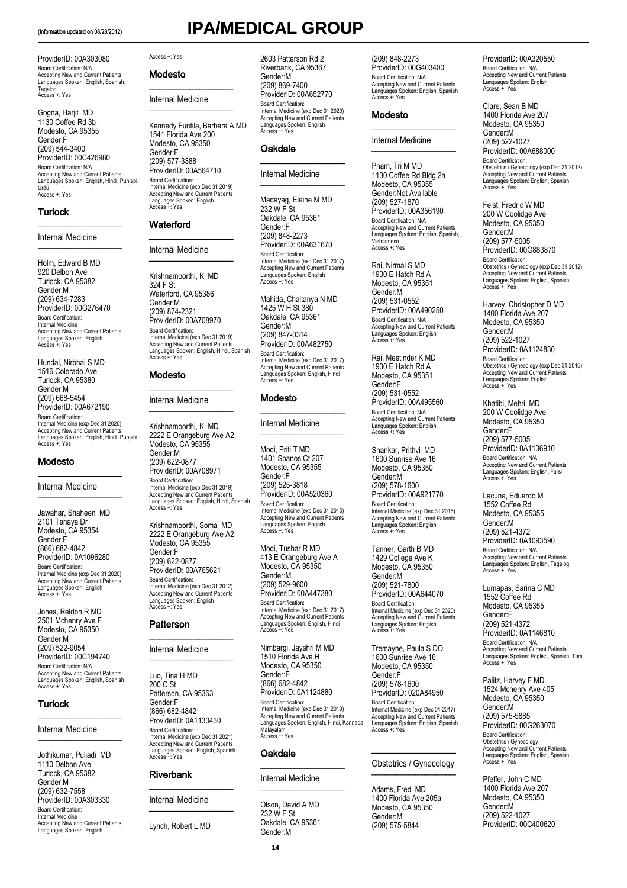# (Information updated on 08/28/2012) **IPA/MEDICAL GROUP**

### ProviderID: 00A303080 Board Certification: N/A Accepting New and Current Patients Languages Spoken: English, Spanish, Tagalog Access +: Yes

Gogna, Harjit MD 1130 Coffee Rd 3b Modesto, CA 95355 Gender:F (209) 544-3400 ProviderID: 00C426980 Board Certification: N/A Accepting New and Current Patients Languages Spoken: English, Hindi, Punjabi, Urdu Access +: Yes

### **Turlock**

### Internal Medicine

 $\overline{\phantom{a}}$  , where  $\overline{\phantom{a}}$  , where  $\overline{\phantom{a}}$  , where  $\overline{\phantom{a}}$ 

\_\_\_\_\_\_\_\_\_\_\_\_\_\_\_\_\_\_\_\_\_\_\_\_\_

Holm, Edward B MD 920 Delbon Ave Turlock, CA 95382 Gender:M (209) 634-7283 ProviderID: 00G276470 Board Certification: Internal Medicine Accepting New and Current Patients Languages Spoken: English Access +: Yes

Hundal, Nirbhai S MD 1516 Colorado Ave Turlock, CA 95380 Gender:M (209) 668-5454 ProviderID: 00A672190 Board Certification: Internal Medicine (exp Dec 31 2020) Accepting New and Current Patients Languages Spoken: English, Hindi, Punjabi Access +: Yes

### Modesto

Internal Medicine \_\_\_\_\_\_\_\_\_\_\_\_\_\_\_\_\_\_\_\_\_\_\_\_\_

\_\_\_\_\_\_\_\_\_\_\_\_\_\_\_\_\_\_\_\_\_\_\_\_\_

Jawahar, Shaheen MD 2101 Tenaya Dr Modesto, CA 95354 Gender:F (866) 682-4842 ProviderID: 0A1096280 Board Certification: Internal Medicine (exp Dec 31 2020) Accepting New and Current Patients Languages Spoken: English Access +: Yes

Jones, Reldon R MD 2501 Mchenry Ave F Modesto, CA 95350 Gender:M (209) 522-9054 ProviderID: 00C194740 Board Certification: N/A Accepting New and Current Patients Languages Spoken: English, Spanish Access +: Yes

\_\_\_\_\_\_\_\_\_\_\_\_\_\_\_\_\_\_\_\_\_\_\_\_\_

\_\_\_\_\_\_\_\_\_\_\_\_\_\_\_\_\_\_\_\_\_\_\_\_\_

### **Turlock**

### Internal Medicine

Jothikumar, Puliadi MD 1110 Delbon Ave Turlock, CA 95382 Gender:M (209) 632-7558 ProviderID: 00A303330 Board Certification: Internal Medicine Accepting New and Current Patients Languages Spoken: English

### Access +: Yes

Modesto

\_\_\_\_\_\_\_\_\_\_\_\_\_\_\_\_\_\_\_\_\_\_\_\_\_ Internal Medicine \_\_\_\_\_\_\_\_\_\_\_\_\_\_\_\_\_\_\_\_\_\_\_\_\_

Kennedy Funtila, Barbara A MD 1541 Florida Ave 200 Modesto, CA 95350 Gender:F (209) 577-3388 ProviderID: 00A564710 Board Certification: Internal Medicine (exp Dec 31 2019) Accepting New and Current Patients Languages Spoken: English Access +: Yes

### **Waterford**

### Internal Medicine

 $\overline{\phantom{a}}$  , where  $\overline{\phantom{a}}$  , where  $\overline{\phantom{a}}$  , where  $\overline{\phantom{a}}$ 

\_\_\_\_\_\_\_\_\_\_\_\_\_\_\_\_\_\_\_\_\_\_\_\_\_

Krishnamoorthi, K MD 324 F St Waterford, CA 95386 Gender:M (209) 874-2321 ProviderID: 00A708970 Board Certification: Internal Medicine (exp Dec 31 2019) Accepting New and Current Patients Languages Spoken: English, Hindi, Spanish Access +: Yes

### Modesto

Internal Medicine

\_\_\_\_\_\_\_\_\_\_\_\_\_\_\_\_\_\_\_\_\_\_\_\_\_

\_\_\_\_\_\_\_\_\_\_\_\_\_\_\_\_\_\_\_\_\_\_\_\_\_

Krishnamoorthi, K MD 2222 E Orangeburg Ave A2 Modesto, CA 95355 Gender:M (209) 622-0877 ProviderID: 00A708971 Board Certification: Internal Medicine (exp Dec 31 2019) Accepting New and Current Patients Languages Spoken: English, Hindi, Spanish Access +: Yes

Krishnamoorthi, Soma MD 2222 E Orangeburg Ave A2 Modesto, CA 95355 Gender:F (209) 622-0877 ProviderID: 00A765621 Board Certification: Internal Medicine (exp Dec 31 2012) Accepting New and Current Patients Languages Spoken: English Access +: Yes

### Patterson

### $\overline{\phantom{a}}$  , where  $\overline{\phantom{a}}$  , where  $\overline{\phantom{a}}$ Internal Medicine \_\_\_\_\_\_\_\_\_\_\_\_\_\_\_\_\_\_\_\_\_\_\_\_\_

Luo, Tina H MD  $200 \overset{\cdot}{C}$  St Patterson, CA 95363 Gender:F (866) 682-4842 ProviderID: 0A1130430 Board Certification: Internal Medicine (exp Dec 31 2021) Accepting New and Current Patients Languages Spoken: English, Spanish Access +: Yes

### Riverbank

Internal Medicine \_\_\_\_\_\_\_\_\_\_\_\_\_\_\_\_\_\_\_\_\_\_\_\_\_

\_\_\_\_\_\_\_\_\_\_\_\_\_\_\_\_\_\_\_\_\_\_\_\_\_

Lynch, Robert L MD

2603 Patterson Rd 2 Riverbank, CA 95367 Gender:M (209) 869-7400 ProviderID: 00A652770 Board Certification: Internal Medicine (exp Dec 01 2020) Accepting New and Current Patients Languages Spoken: English Access +: Yes

 $\overline{\phantom{a}}$  , where  $\overline{\phantom{a}}$  , where  $\overline{\phantom{a}}$ 

### **Oakdale**

### Internal Medicine \_\_\_\_\_\_\_\_\_\_\_\_\_\_\_\_\_\_\_\_\_\_\_\_\_

Madayag, Elaine M MD 232 W F St Oakdale, CA 95361 Gender:F (209) 848-2273 ProviderID: 00A631670 Board Certification: Internal Medicine (exp Dec 31 2017) Accepting New and Current Patients Languages Spoken: English Access +: Yes

Mahida, Chaitanya N MD 1425 W H St 380 Oakdale, CA 95361 Gender:M (209) 847-0314 ProviderID: 00A482750 Board Certification: Internal Medicine (exp Dec 31 2017) Accepting New and Current Patients Languages Spoken: English, Hindi Access +: Yes

### **Modesto**

Internal Medicine \_\_\_\_\_\_\_\_\_\_\_\_\_\_\_\_\_\_\_\_\_\_\_\_\_

\_\_\_\_\_\_\_\_\_\_\_\_\_\_\_\_\_\_\_\_\_\_\_\_\_

Modi, Priti T MD 1401 Spanos Ct 207 Modesto, CA 95355 Gender:F (209) 525-3818 ProviderID: 00A520360 Board Certification: Internal Medicine (exp Dec 31 2015) Accepting New and Current Patients Languages Spoken: English Access +: Yes

Modi, Tushar R MD 413 E Orangeburg Ave A Modesto, CA 95350 Gender:M (209) 529-9600 ProviderID: 00A447380 Board Certification: Internal Medicine (exp Dec 31 2017) Accepting New and Current Patients Languages Spoken: English, Hindi Access +: Yes

Nimbargi, Jayshri M MD 1510 Florida Ave H Modesto, CA 95350 Gender:F (866) 682-4842 ProviderID: 0A1124880 Board Certification: Internal Medicine (exp Dec 31 2019) Accepting New and Current Patients Languages Spoken: English, Hindi, Kannada, Malayalam Access +: Yes

### Oakdale

Internal Medicine

\_\_\_\_\_\_\_\_\_\_\_\_\_\_\_\_\_\_\_\_\_\_\_\_\_

\_\_\_\_\_\_\_\_\_\_\_\_\_\_\_\_\_\_\_\_\_\_\_\_\_

Olson, David A MD 232 W F St Oakdale, CA 95361 Gender:M

(209) 848-2273 ProviderID: 00G403400 Board Certification: N/A Accepting New and Current Patients Languages Spoken: English, Spanish Access +: Yes

### Modesto

Internal Medicine \_\_\_\_\_\_\_\_\_\_\_\_\_\_\_\_\_\_\_\_\_\_\_\_\_

\_\_\_\_\_\_\_\_\_\_\_\_\_\_\_\_\_\_\_\_\_\_\_\_\_

Pham, Tri M MD 1130 Coffee Rd Bldg 2a Modesto, CA 95355 Gender:Not Available (209) 527-1870 ProviderID: 00A356190 Board Certification: N/A Accepting New and Current Patients Languages Spoken: English, Spanish, Vietnamese Access +: Yes

Rai, Nirmal S MD 1930 E Hatch Rd A Modesto, CA 95351 Gender:M (209) 531-0552 ProviderID: 00A490250 Board Certification: N/A Accepting New and Current Patients Languages Spoken: English Access +: Yes

Rai, Meetinder K MD 1930 E Hatch Rd A Modesto, CA 95351 Gender:F (209) 531-0552 ProviderID: 00A495560 Board Certification: N/A Accepting New and Current Patients Languages Spoken: English Access +: Yes

Shankar, Prithvi MD 1600 Sunrise Ave 16 Modesto, CA 95350 Gender:M (209) 578-1600 ProviderID: 00A921770 Board Certification: Internal Medicine (exp Dec 31 2016) Accepting New and Current Patients Languages Spoken: English Access +: Yes

Tanner, Garth B MD 1429 College Ave K Modesto, CA 95350 Gender:M (209) 521-7800 ProviderID: 00A644070 Board Certification: Internal Medicine (exp Dec 31 2020) Accepting New and Current Patients Languages Spoken: English Access +: Yes

Tremayne, Paula S DO 1600 Sunrise Ave 16 Modesto, CA 95350 Gender:F (209) 578-1600 ProviderID: 020A84950 Board Certification:

Internal Medicine (exp Dec 01 2017) Accepting New and Current Patients Languages Spoken: English, Spanish Access +: Yes

### \_\_\_\_\_\_\_\_\_\_\_\_\_\_\_\_\_\_\_\_\_\_\_\_\_ Obstetrics / Gynecology \_\_\_\_\_\_\_\_\_\_\_\_\_\_\_\_\_\_\_\_\_\_\_\_\_

Adams, Fred MD 1400 Florida Ave 205a Modesto, CA 95350 Gender:M (209) 575-5844

ProviderID: 00A320550 Board Certification: N/A Accepting New and Current Patients Languages Spoken: English Access +: Yes

Clare, Sean B MD 1400 Florida Ave 207 Modesto, CA 95350 Gender:M (209) 522-1027 ProviderID: 00A688000 Board Certification: Obstetrics / Gynecology (exp Dec 31 2012) Accepting New and Current Patients Languages Spoken: English, Spanish Access +: Yes

Feist, Fredric W MD 200 W Coolidge Ave Modesto, CA 95350 Gender:M (209) 577-5005 ProviderID: 00G883870 Board Certification: Obstetrics / Gynecology (exp Dec 31 2012) Accepting New and Current Patients Languages Spoken: English, Spanish Access +: Yes

Harvey, Christopher D MD 1400 Florida Ave 207 Modesto, CA 95350 Gender:M (209) 522-1027 ProviderID: 0A1124830 Board Certification: Obstetrics / Gynecology (exp Dec 31 2016) Accepting New and Current Patients Languages Spoken: English Access +: Yes

Khatibi, Mehri MD 200 W Coolidge Ave Modesto, CA 95350 Gender:F (209) 577-5005 ProviderID: 0A1136910 Board Certification: N/A Accepting New and Current Patients Languages Spoken: English, Farsi Access +: Yes

Lacuna, Eduardo M 1552 Coffee Rd Modesto, CA 95355 Gender:M (209) 521-4372 ProviderID: 0A1093590 Board Certification: N/A Accepting New and Current Patients Languages Spoken: English, Tagalog Access +: Yes

Lumapas, Sarina C MD 1552 Coffee Rd Modesto, CA 95355 Gender:F (209) 521-4372 ProviderID: 0A1146810 Board Certification: N/A Accepting New and Current Patients Languages Spoken: English, Spanish, Tamil Access +: Yes

Palitz, Harvey F MD 1524 Mchenry Ave 405 Modesto, CA 95350 Gender:M (209) 575-5885 ProviderID: 00G263070 Board Certification: Obstetrics / Gynecology Accepting New and Current Patients Languages Spoken: English, Spanish Access +: Yes

Pfeffer, John C MD 1400 Florida Ave 207 Modesto, CA 95350 Gender:M (209) 522-1027 ProviderID: 00C400620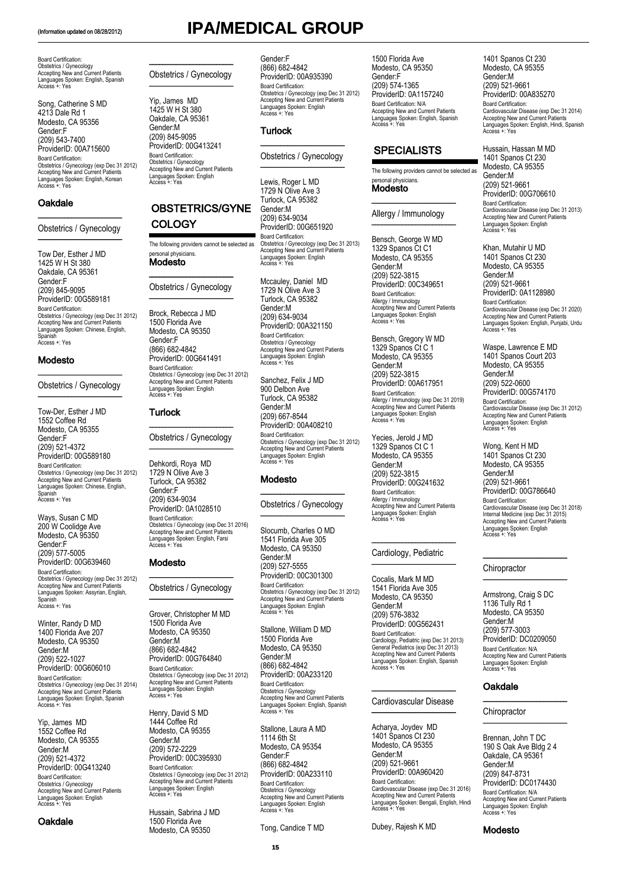Board Certification: Obstetrics / Gynecology Accepting New and Current Patients Languages Spoken: English, Spanish Access +: Yes

Song, Catherine S MD 4213 Dale Rd 1 Modesto, CA 95356 Gender:F (209) 543-7400 ProviderID: 00A715600 Board Certification: Obstetrics / Gynecology (exp Dec 31 2012) Accepting New and Current Patients Languages Spoken: English, Korean Access +: Yes

### **Oakdale**

### \_\_\_\_\_\_\_\_\_\_\_\_\_\_\_\_\_\_\_\_\_\_\_\_\_ Obstetrics / Gynecology  $\overline{\phantom{a}}$

Tow Der, Esther J MD 1425 W H St 380 Oakdale, CA 95361 Gender:F (209) 845-9095 ProviderID: 00G589181 Board Certification: Obstetrics / Gynecology (exp Dec 31 2012) Accepting New and Current Patients Languages Spoken: Chinese, English, Spanish Access +: Yes

### Modesto

\_\_\_\_\_\_\_\_\_\_\_\_\_\_\_\_\_\_\_\_\_\_\_\_\_ Obstetrics / Gynecology \_\_\_\_\_\_\_\_\_\_\_\_\_\_\_\_\_\_\_\_\_\_\_\_\_

Tow-Der, Esther J MD 1552 Coffee Rd Modesto, CA 95355 Gender:F (209) 521-4372 ProviderID: 00G589180 Board Certification: Obstetrics / Gynecology (exp Dec 31 2012) Accepting New and Current Patients Languages Spoken: Chinese, English, Spanish Access +: Yes

Ways, Susan C MD 200 W Coolidge Ave Modesto, CA 95350 Gender:F (209) 577-5005 ProviderID: 00G639460 Board Certification: Obstetrics / Gynecology (exp Dec 31 2012) Accepting New and Current Patients Languages Spoken: Assyrian, English, Spanish Access +: Yes

Winter, Randy D MD 1400 Florida Ave 207 Modesto, CA 95350 Gender:M (209) 522-1027 ProviderID: 00G606010 Board Certification: Obstetrics / Gynecology (exp Dec 31 2014) Accepting New and Current Patients Languages Spoken: English, Spanish Access +: Yes

Yip, James MD 1552 Coffee Rd Modesto, CA 95355 Gender:M (209) 521-4372 ProviderID: 00G413240 Board Certification: Obstetrics / Gynecology Accepting New and Current Patients Languages Spoken: English Access +: Yes

### **Oakdale**

# (Information updated on 08/28/2012) **IPA/MEDICAL GROUP**

\_\_\_\_\_\_\_\_\_\_\_\_\_\_\_\_\_\_\_\_\_\_\_\_\_ Obstetrics / Gynecology \_\_\_\_\_\_\_\_\_\_\_\_\_\_\_\_\_\_\_\_\_\_\_\_\_

Yip, James MD 1425 W H St 380 Oakdale, CA 95361 Gender:M (209) 845-9095 ProviderID: 00G413241 Board Certification: Obstetrics / Gynecology Accepting New and Current Patients Languages Spoken: English Access +: Yes

### OBSTETRICS/GYNE **COLOGY**

The following providers cannot be selected as sonal physicians. Modesto

\_\_\_\_\_\_\_\_\_\_\_\_\_\_\_\_\_\_\_\_\_\_\_\_\_ Obstetrics / Gynecology \_\_\_\_\_\_\_\_\_\_\_\_\_\_\_\_\_\_\_\_\_\_\_\_\_

Brock, Rebecca J MD 1500 Florida Ave Modesto, CA 95350 Gender:F (866) 682-4842 ProviderID: 00G641491 Board Certification: Obstetrics / Gynecology (exp Dec 31 2012) Accepting New and Current Patients Languages Spoken: English Access +: Yes

### Turlock

\_\_\_\_\_\_\_\_\_\_\_\_\_\_\_\_\_\_\_\_\_\_\_\_\_ Obstetrics / Gynecology \_\_\_\_\_\_\_\_\_\_\_\_\_\_\_\_\_\_\_\_\_\_\_\_\_

Dehkordi, Roya MD 1729 N Olive Ave 3 Turlock, CA 95382 Gender:F (209) 634-9034 ProviderID: 0A1028510 Board Certification: Obstetrics / Gynecology (exp Dec 31 2016) Accepting New and Current Patients Languages Spoken: English, Farsi Access +: Yes

### Modesto

 $\overline{\phantom{a}}$  , where  $\overline{\phantom{a}}$  , where  $\overline{\phantom{a}}$  , where  $\overline{\phantom{a}}$ Obstetrics / Gynecology \_\_\_\_\_\_\_\_\_\_\_\_\_\_\_\_\_\_\_\_\_\_\_\_\_

Grover, Christopher M MD 1500 Florida Ave Modesto, CA 95350 Gender:M (866) 682-4842 ProviderID: 00G764840 Board Certification: Obstetrics / Gynecology (exp Dec 31 2012) Accepting New and Current Patients Languages Spoken: English Access +: Yes

Henry, David S MD 1444 Coffee Rd Modesto, CA 95355 Gender:M (209) 572-2229 ProviderID: 00C395930 Board Certification: Obstetrics / Gynecology (exp Dec 31 2012) Accepting New and Current Patients Languages Spoken: English Access +: Yes

Hussain, Sabrina J MD 1500 Florida Ave Modesto, CA 95350

Gender:F (866) 682-4842 ProviderID: 00A935390 Board Certification: Obstetrics / Gynecology (exp Dec 31 2012) Accepting New and Current Patients Languages Spoken: English Access +: Yes

### **Turlock**

\_\_\_\_\_\_\_\_\_\_\_\_\_\_\_\_\_\_\_\_\_\_\_\_\_ Obstetrics / Gynecology \_\_\_\_\_\_\_\_\_\_\_\_\_\_\_\_\_\_\_\_\_\_\_\_\_

Lewis, Roger L MD 1729 N Olive Ave 3 Turlock, CA 95382 Gender:M (209) 634-9034 ProviderID: 00G651920 Board Certification: Obstetrics / Gynecology (exp Dec 31 2013) Accepting New and Current Patients Languages Spoken: English Access +: Yes

Mccauley, Daniel MD 1729 N Olive Ave 3 Turlock, CA 95382 Gender:M (209) 634-9034 ProviderID: 00A321150 Board Certification: Obstetrics / Gynecology Accepting New and Current Patients Languages Spoken: English Access +: Yes

Sanchez, Felix J MD 900 Delbon Ave Turlock, CA 95382 Gender:M (209) 667-8544 ProviderID: 00A408210 Board Certification: Obstetrics / Gynecology (exp Dec 31 2012) Accepting New and Current Patients Languages Spoken: English Access +: Yes

### Modesto

\_\_\_\_\_\_\_\_\_\_\_\_\_\_\_\_\_\_\_\_\_\_\_\_\_ Obstetrics / Gynecology \_\_\_\_\_\_\_\_\_\_\_\_\_\_\_\_\_\_\_\_\_\_\_\_\_

Slocumb, Charles O MD 1541 Florida Ave 305 Modesto, CA 95350 Gender:M (209) 527-5555 ProviderID: 00C301300 Board Certification: Obstetrics / Gynecology (exp Dec 31 2012) Accepting New and Current Patients Languages Spoken: English Access +: Yes

Stallone, William D MD 1500 Florida Ave Modesto, CA 95350 Gender:M (866) 682-4842 ProviderID: 00A233120 Board Certification: Obstetrics / Gynecology Accepting New and Current Patients Languages Spoken: English, Spanish Access +: Yes

Stallone, Laura A MD 1114 6th St Modesto, CA 95354 Gender:F (866) 682-4842 ProviderID: 00A233110 Board Certification: Obstetrics / Gynecology Accepting New and Current Patients Languages Spoken: English Access +: Yes

Tong, Candice T MD

1500 Florida Ave Modesto, CA 95350 Gender:F (209) 574-1365 ProviderID: 0A1157240 Board Certification: N/A Accepting New and Current Patients Languages Spoken: English, Spanish Access +: Yes

### **SPECIALISTS**

The following providers cannot be selected as nal physicians Modesto

 $\_$ Allergy / Immunology \_\_\_\_\_\_\_\_\_\_\_\_\_\_\_\_\_\_\_\_\_\_\_\_\_

Bensch, George W MD 1329 Spanos Ct C1 Modesto, CA 95355 Gender:M (209) 522-3815 ProviderID: 00C349651 Board Certification: Allergy / Immunology Accepting New and Current Patients Languages Spoken: English Access +: Yes

Bensch, Gregory W MD 1329 Spanos Ct C 1 Modesto, CA 95355 Gender:M (209) 522-3815 ProviderID: 00A617951 Board Certification: Allergy / Immunology (exp Dec 31 2019) Accepting New and Current Patients Languages Spoken: English Access +: Yes

Yecies, Jerold J MD 1329 Spanos Ct C 1 Modesto, CA 95355 Gender:M (209) 522-3815 ProviderID: 00G241632 Board Certification: Allergy / Immunology Accepting New and Current Patients Languages Spoken: English Access +: Yes

### $\_$ Cardiology, Pediatric \_\_\_\_\_\_\_\_\_\_\_\_\_\_\_\_\_\_\_\_\_\_\_\_\_

Cocalis, Mark M MD 1541 Florida Ave 305 Modesto, CA 95350 Gender:M (209) 576-3832 ProviderID: 00G562431 Board Certification: Cardiology, Pediatric (exp Dec 31 2013) General Pediatrics (exp Dec 31 2013) Accepting New and Current Patients Languages Spoken: English, Spanish Access +: Yes

### \_\_\_\_\_\_\_\_\_\_\_\_\_\_\_\_\_\_\_\_\_\_\_\_\_ Cardiovascular Disease \_\_\_\_\_\_\_\_\_\_\_\_\_\_\_\_\_\_\_\_\_\_\_\_\_

Acharya, Joydev MD 1401 Spanos Ct 230 Modesto, CA 95355 Gender:M (209) 521-9661 ProviderID: 00A960420 Board Certification: Cardiovascular Disease (exp Dec 31 2016) Accepting New and Current Patients Languages Spoken: Bengali, English, Hindi Access +: Yes

Dubey, Rajesh K MD

1401 Spanos Ct 230 Modesto, CA 95355 Gender:M (209) 521-9661 ProviderID: 00A835270 Board Certification: Cardiovascular Disease (exp Dec 31 2014) Accepting New and Current Patients Languages Spoken: English, Hindi, Spanish Access +: Yes

Hussain, Hassan M MD 1401 Spanos Ct 230 Modesto, CA 95355 Gender:M (209) 521-9661 ProviderID: 00G706610 Board Certification: Cardiovascular Disease (exp Dec 31 2013) Accepting New and Current Patients Languages Spoken: English Access +: Yes

Khan, Mutahir U MD 1401 Spanos Ct 230 Modesto, CA 95355 Gender:M (209) 521-9661 ProviderID: 0A1128980 Board Certification: Cardiovascular Disease (exp Dec 31 2020) Accepting New and Current Patients Languages Spoken: English, Punjabi, Urdu Access +: Yes

Waspe, Lawrence E MD 1401 Spanos Court 203 Modesto, CA 95355 Gender:M (209) 522-0600 ProviderID: 00G574170 Board Certification: Cardiovascular Disease (exp Dec 31 2012) Accepting New and Current Patients Languages Spoken: English Access +: Yes

Wong, Kent H MD 1401 Spanos Ct 230 Modesto, CA 95355 Gender:M (209) 521-9661 ProviderID: 00G786640 Board Certification: Cardiovascular Disease (exp Dec 31 2018) Internal Medicine (exp Dec 31 2015) Accepting New and Current Patients Languages Spoken: English Access +: Yes

### **Chiropractor**

Armstrong, Craig S DC 1136 Tully Rd 1 Modesto, CA 95350 Gender:M (209) 577-3003 ProviderID: DC0209050 Board Certification: N/A Accepting New and Current Patients Languages Spoken: English Access +: Yes

\_\_\_\_\_\_\_\_\_\_\_\_\_\_\_\_\_\_\_\_\_\_\_\_\_

\_\_\_\_\_\_\_\_\_\_\_\_\_\_\_\_\_\_\_\_\_\_\_\_\_

\_\_\_\_\_\_\_\_\_\_\_\_\_\_\_\_\_\_\_\_\_\_\_\_\_

\_\_\_\_\_\_\_\_\_\_\_\_\_\_\_\_\_\_\_\_\_\_\_\_\_

### **Oakdale**

### **Chiropractor**

Brennan, John T DC 190 S Oak Ave Bldg 2 4 Oakdale, CA 95361 Gender:M (209) 847-8731 ProviderID: DC0174430 Board Certification: N/A Accepting New and Current Patients Languages Spoken: English Access +: Yes

Modesto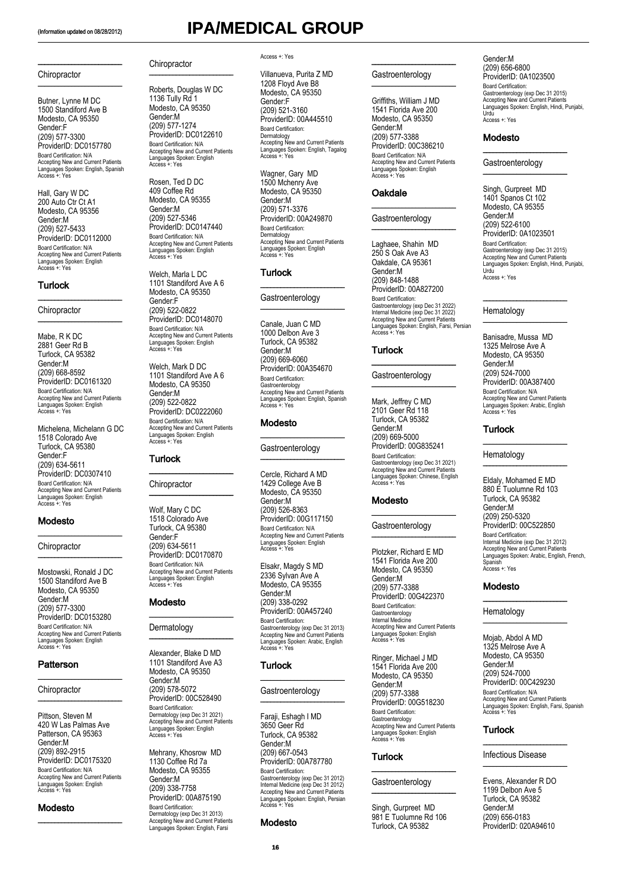\_\_\_\_\_\_\_\_\_\_\_\_\_\_\_\_\_\_\_\_\_\_\_\_\_

### **Chiropractor** \_\_\_\_\_\_\_\_\_\_\_\_\_\_\_\_\_\_\_\_\_\_\_\_\_

Butner, Lynne M DC 1500 Standiford Ave B Modesto, CA 95350 Gender:F (209) 577-3300 ProviderID: DC0157780 Board Certification: N/A Accepting New and Current Patients Languages Spoken: English, Spanish Access +: Yes

Hall, Gary W DC 200 Auto Ctr Ct A1 Modesto, CA 95356 Gender:M (209) 527-5433 ProviderID: DC0112000<br>Board Certification: N/A Board Certification: N/A Accepting New and Current Patients Languages Spoken: English Access +: Yes

\_\_\_\_\_\_\_\_\_\_\_\_\_\_\_\_\_\_\_\_\_\_\_\_\_

### Turlock

**Chiropractor** \_\_\_\_\_\_\_\_\_\_\_\_\_\_\_\_\_\_\_\_\_\_\_\_\_

Mabe, R K DC 2881 Geer Rd B Turlock, CA 95382 Gender:M (209) 668-8592 ProviderID: DC0161320 Board Certification: N/A Accepting New and Current Patients Languages Spoken: English Access +: Yes

Michelena, Michelann G DC 1518 Colorado Ave Turlock, CA 95380 Gender:F (209) 634-5611 ProviderID: DC0307410 Board Certification: N/A Accepting New and Current Patients Languages Spoken: English Access +: Yes

\_\_\_\_\_\_\_\_\_\_\_\_\_\_\_\_\_\_\_\_\_\_\_\_\_

\_\_\_\_\_\_\_\_\_\_\_\_\_\_\_\_\_\_\_\_\_\_\_\_\_

### Modesto

**Chiropractor** 

Mostowski, Ronald J DC 1500 Standiford Ave B Modesto, CA 95350 Gender:M (209) 577-3300 ProviderID: DC0153280 Board Certification: N/A Accepting New and Current Patients Languages Spoken: English Access +: Yes

\_\_\_\_\_\_\_\_\_\_\_\_\_\_\_\_\_\_\_\_\_\_\_\_\_

\_\_\_\_\_\_\_\_\_\_\_\_\_\_\_\_\_\_\_\_\_\_\_\_\_

### **Patterson**

### **Chiropractor**

Pittson, Steven M 420 W Las Palmas Ave Patterson, CA 95363 Gender:M (209) 892-2915 ProviderID: DC0175320 Board Certification: N/A Accepting New and Current Patients Languages Spoken: English Access +: Yes

\_\_\_\_\_\_\_\_\_\_\_\_\_\_\_\_\_\_\_\_\_\_\_\_\_

### Modesto

**Chiropractor** 

Roberts, Douglas W DC 1136 Tully Rd 1 Modesto, CA 95350 Gender:M (209) 577-1274 ProviderID: DC0122610 Board Certification: N/A Accepting New and Current Patients Languages Spoken: English Access +: Yes

\_\_\_\_\_\_\_\_\_\_\_\_\_\_\_\_\_\_\_\_\_\_\_\_\_

Rosen, Ted D DC 409 Coffee Rd Modesto, CA 95355 Gender:M (209) 527-5346 ProviderID: DC0147440 Board Certification: N/A Accepting New and Current Patients Languages Spoken: English Access +: Yes

Welch, Marla L DC 1101 Standiford Ave A 6 Modesto, CA 95350 Gender:F (209) 522-0822 ProviderID: DC0148070 Board Certification: N/A Accepting New and Current Patients Languages Spoken: English Access +: Yes

Welch, Mark D DC 1101 Standiford Ave A 6 Modesto, CA 95350 Gender:M (209) 522-0822 ProviderID: DC0222060 Board Certification: N/A Accepting New and Current Patients Languages Spoken: English Access +: Yes

\_\_\_\_\_\_\_\_\_\_\_\_\_\_\_\_\_\_\_\_\_\_\_\_\_

\_\_\_\_\_\_\_\_\_\_\_\_\_\_\_\_\_\_\_\_\_\_\_\_\_

### **Turlock**

**Chiropractor** 

Wolf, Mary C DC 1518 Colorado Ave Turlock, CA 95380 Gender:F (209) 634-5611 ProviderID: DC0170870 Board Certification: N/A Accepting New and Current Patients Languages Spoken: English Access +: Yes

 $\overline{\phantom{a}}$  , where  $\overline{\phantom{a}}$  , where  $\overline{\phantom{a}}$ 

\_\_\_\_\_\_\_\_\_\_\_\_\_\_\_\_\_\_\_\_\_\_\_\_\_

### Modesto

Dermatology

Alexander, Blake D MD 1101 Standiford Ave A3 Modesto, CA 95350 Gender:M (209) 578-5072 ProviderID: 00C528490 Board Certification: Dermatology (exp Dec 31 2021) Accepting New and Current Patients Languages Spoken: English Access +: Yes

Mehrany, Khosrow MD 1130 Coffee Rd 7a Modesto, CA 95355 Gender:M (209) 338-7758 ProviderID: 00A875190 Board Certification: Dermatology (exp Dec 31 2013) Accepting New and Current Patients Languages Spoken: English, Farsi

### Access +: Yes

Villanueva, Purita Z MD 1208 Floyd Ave B8 Modesto, CA 95350 Gender:F (209) 521-3160 ProviderID: 00A445510 Board Certification: Dermatology Accepting New and Current Patients Languages Spoken: English, Tagalog Access +: Yes

Wagner, Gary MD 1500 Mchenry Ave Modesto, CA 95350 Gender:M (209) 571-3376 ProviderID: 00A249870 Board Certification: Dermatology Accepting New and Current Patients Languages Spoken: English Access +: Yes

### **Turlock**

### Gastroenterology

\_\_\_\_\_\_\_\_\_\_\_\_\_\_\_\_\_\_\_\_\_\_\_\_\_

 $\overline{\phantom{a}}$  .  $\overline{\phantom{a}}$  .  $\overline{\phantom{a}}$  .  $\overline{\phantom{a}}$  .  $\overline{\phantom{a}}$  .  $\overline{\phantom{a}}$  .  $\overline{\phantom{a}}$  .  $\overline{\phantom{a}}$  .  $\overline{\phantom{a}}$  .  $\overline{\phantom{a}}$  .  $\overline{\phantom{a}}$  .  $\overline{\phantom{a}}$  .  $\overline{\phantom{a}}$  .  $\overline{\phantom{a}}$  .  $\overline{\phantom{a}}$  .  $\overline{\phantom{a}}$ 

Canale, Juan C MD 1000 Delbon Ave 3 Turlock, CA 95382 Gender:M (209) 669-6060 ProviderID: 00A354670 Board Certification: Gastroenterology Accepting New and Current Patients Languages Spoken: English, Spanish Access +: Yes

### Modesto

Gastroenterology

\_\_\_\_\_\_\_\_\_\_\_\_\_\_\_\_\_\_\_\_\_\_\_\_\_

\_\_\_\_\_\_\_\_\_\_\_\_\_\_\_\_\_\_\_\_\_\_\_\_\_

Cercle, Richard A MD 1429 College Ave B Modesto, CA 95350 Gender:M (209) 526-8363 ProviderID: 00G117150 Board Certification: N/A Accepting New and Current Patients Languages Spoken: English Access +: Yes

Elsakr, Magdy S MD 2336 Sylvan Ave A Modesto, CA 95355 Gender:M (209) 338-0292 ProviderID: 00A457240 Board Certification: Gastroenterology (exp Dec 31 2013) Accepting New and Current Patients Languages Spoken: Arabic, English Access +: Yes

 $\overline{\phantom{a}}$  , where  $\overline{\phantom{a}}$  , where  $\overline{\phantom{a}}$  , where  $\overline{\phantom{a}}$ 

\_\_\_\_\_\_\_\_\_\_\_\_\_\_\_\_\_\_\_\_\_\_\_\_\_

### **Turlock**

Gastroenterology

Faraji, Eshagh I MD 3650 Geer Rd Turlock, CA 95382 Gender:M (209) 667-0543 ProviderID: 00A787780 Board Certification: Gastroenterology (exp Dec 31 2012) Internal Medicine (exp Dec 31 2012) Accepting New and Current Patients Languages Spoken: English, Persian Access +: Yes

### Modesto

### **Gastroenterology**

\_\_\_\_\_\_\_\_\_\_\_\_\_\_\_\_\_\_\_\_\_\_\_\_\_

\_\_\_\_\_\_\_\_\_\_\_\_\_\_\_\_\_\_\_\_\_\_\_\_\_

Griffiths, William J MD 1541 Florida Ave 200 Modesto, CA 95350 Gender:M (209) 577-3388 ProviderID: 00C386210 Board Certification: N/A Accepting New and Current Patients Languages Spoken: English Access +: Yes

\_\_\_\_\_\_\_\_\_\_\_\_\_\_\_\_\_\_\_\_\_\_\_\_\_

\_\_\_\_\_\_\_\_\_\_\_\_\_\_\_\_\_\_\_\_\_\_\_\_\_

### **Oakdale**

**Gastroenterology** 

Laghaee, Shahin MD 250 S Oak Ave A3 Oakdale, CA 95361 Gender:M (209) 848-1488 ProviderID: 00A827200 Board Certification: Gastroenterology (exp Dec 31 2022) Internal Medicine (exp Dec 31 2022) Accepting New and Current Patients Languages Spoken: English, Farsi, Persian Access +: Yes

### **Turlock**

**Gastroenterology** 

\_\_\_\_\_\_\_\_\_\_\_\_\_\_\_\_\_\_\_\_\_\_\_\_\_

 $\overline{\phantom{a}}$  .  $\overline{\phantom{a}}$  .  $\overline{\phantom{a}}$  .  $\overline{\phantom{a}}$  .  $\overline{\phantom{a}}$  .  $\overline{\phantom{a}}$  .  $\overline{\phantom{a}}$  .  $\overline{\phantom{a}}$  .  $\overline{\phantom{a}}$  .  $\overline{\phantom{a}}$  .  $\overline{\phantom{a}}$  .  $\overline{\phantom{a}}$  .  $\overline{\phantom{a}}$  .  $\overline{\phantom{a}}$  .  $\overline{\phantom{a}}$  .  $\overline{\phantom{a}}$ 

Mark, Jeffrey C MD 2101 Geer Rd 118 Turlock, CA 95382 Gender:M (209) 669-5000 ProviderID: 00G835241 Board Certification: Gastroenterology (exp Dec 31 2021) Accepting New and Current Patients Languages Spoken: Chinese, English Access +: Yes

### Modesto

### **Gastroenterology**

\_\_\_\_\_\_\_\_\_\_\_\_\_\_\_\_\_\_\_\_\_\_\_\_\_

\_\_\_\_\_\_\_\_\_\_\_\_\_\_\_\_\_\_\_\_\_\_\_\_\_

Plotzker, Richard E MD 1541 Florida Ave 200 Modesto, CA 95350 Gender:M (209) 577-3388 ProviderID: 00G422370 Board Certification: Gastroenterology Internal Medicine Accepting New and Current Patients Languages Spoken: English Access +: Yes

Ringer, Michael J MD 1541 Florida Ave 200 Modesto, CA 95350 Gender:M (209) 577-3388 ProviderID: 00G518230 Board Certification: Gastroenterology Accepting New and Current Patients Languages Spoken: English Access +: Yes

### Turlock

### **Gastroenterology** \_\_\_\_\_\_\_\_\_\_\_\_\_\_\_\_\_\_\_\_\_\_\_\_\_

\_\_\_\_\_\_\_\_\_\_\_\_\_\_\_\_\_\_\_\_\_\_\_\_\_

Singh, Gurpreet MD 981 E Tuolumne Rd 106 Turlock, CA 95382

Gender:M (209) 656-6800 ProviderID: 0A1023500 Board Certification: Gastroenterology (exp Dec 31 2015) Accepting New and Current Patients Languages Spoken: English, Hindi, Punjabi, Urdu Access +: Yes

### Modesto

**Gastroenterology** 

 $\overline{\phantom{a}}$  , where  $\overline{\phantom{a}}$ 

\_\_\_\_\_\_\_\_\_\_\_\_\_\_\_\_\_\_\_\_\_\_\_\_\_

Singh, Gurpreet MD 1401 Spanos Ct 102 Modesto, CA 95355 Gender:M (209) 522-6100 ProviderID: 0A1023501<br>Board Certification: Board Certification: Gastroenterology (exp Dec 31 2015) Accepting New and Current Patients Languages Spoken: English, Hindi, Punjabi, Urdu Access +: Yes

**Hematology** 

Banisadre, Mussa MD 1325 Melrose Ave A Modesto, CA 95350 Gender:M (209) 524-7000 ProviderID: 00A387400 Board Certification: N/A Accepting New and Current Patients Languages Spoken: Arabic, English Access +: Yes

\_\_\_\_\_\_\_\_\_\_\_\_\_\_\_\_\_\_\_\_\_\_\_\_\_

\_\_\_\_\_\_\_\_\_\_\_\_\_\_\_\_\_\_\_\_\_\_\_\_\_

\_\_\_\_\_\_\_\_\_\_\_\_\_\_\_\_\_\_\_\_\_\_\_\_\_

\_\_\_\_\_\_\_\_\_\_\_\_\_\_\_\_\_\_\_\_\_\_\_\_\_

### Turlock

Hematology

Eldaly, Mohamed E MD 880 E Tuolumne Rd 103 Turlock, CA 95382 Gender:M (209) 250-5320 ProviderID: 00C522850 Board Certification: Internal Medicine (exp Dec 31 2012) Accepting New and Current Patients Languages Spoken: Arabic, English, French, Spanish Access +: Yes

### Modesto

Hematology

Mojab, Abdol A MD 1325 Melrose Ave A Modesto, CA 95350 Gender:M (209) 524-7000 ProviderID: 00C429230 Board Certification: N/A Accepting New and Current Patients Languages Spoken: English, Farsi, Spanish Access +: Yes

 $\overline{\phantom{a}}$  , where  $\overline{\phantom{a}}$  , where  $\overline{\phantom{a}}$ 

\_\_\_\_\_\_\_\_\_\_\_\_\_\_\_\_\_\_\_\_\_\_\_\_\_

### Turlock

### Infectious Disease \_\_\_\_\_\_\_\_\_\_\_\_\_\_\_\_\_\_\_\_\_\_\_\_\_

\_\_\_\_\_\_\_\_\_\_\_\_\_\_\_\_\_\_\_\_\_\_\_\_\_

Evens, Alexander R DO 1199 Delbon Ave 5 Turlock, CA 95382 Gender:M (209) 656-0183 ProviderID: 020A94610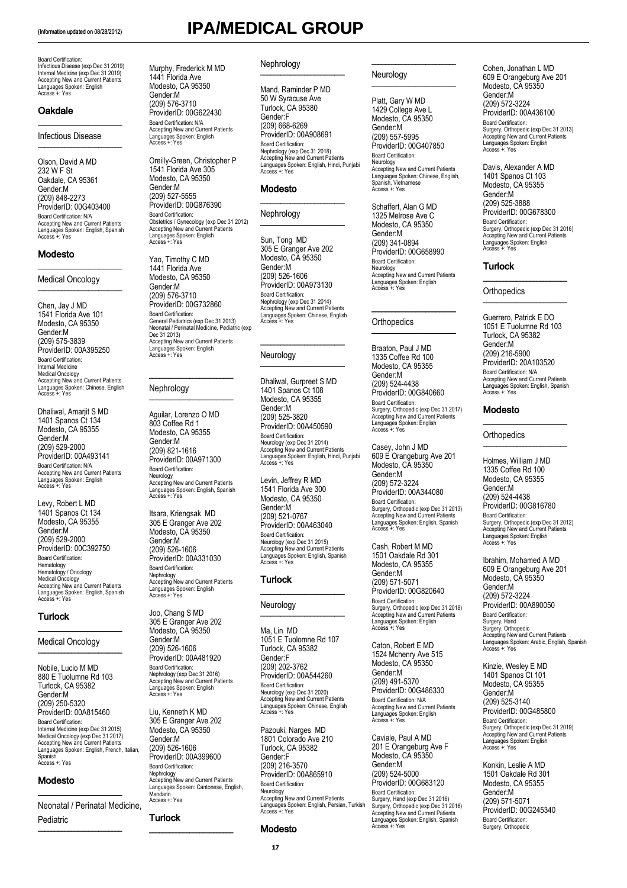Board Certification: Infectious Disease (exp Dec 31 2019) Internal Medicine (exp Dec 31 2019) Accepting New and Current Patients Languages Spoken: English Access +: Yes

 $\overline{\phantom{a}}$  , where  $\overline{\phantom{a}}$  , where  $\overline{\phantom{a}}$ 

\_\_\_\_\_\_\_\_\_\_\_\_\_\_\_\_\_\_\_\_\_\_\_\_\_

### **Oakdale**

Infectious Disease

Olson, David A MD 232 W F St Oakdale, CA 95361 Gender:M (209) 848-2273 ProviderID: 00G403400 Board Certification: N/A Accepting New and Current Patients Languages Spoken: English, Spanish Access +: Yes

\_\_\_\_\_\_\_\_\_\_\_\_\_\_\_\_\_\_\_\_\_\_\_\_\_

\_\_\_\_\_\_\_\_\_\_\_\_\_\_\_\_\_\_\_\_\_\_\_\_\_

### Modesto

### Medical Oncology

Chen, Jay J MD 1541 Florida Ave 101 Modesto, CA 95350 Gender:M (209) 575-3839 ProviderID: 00A395250 Board Certification: Internal Medicine Medical Oncology Accepting New and Current Patients Languages Spoken: Chinese, English Access +: Yes

Dhaliwal, Amarjit S MD 1401 Spanos Ct 134 Modesto, CA 95355 Gender:M (209) 529-2000 ProviderID: 00A493141 Board Certification: N/A Accepting New and Current Patients Languages Spoken: English Access +: Yes

Levy, Robert L MD 1401 Spanos Ct 134 Modesto, CA 95355 Gender:M (209) 529-2000 ProviderID: 00C392750 Board Certification: Hematology Hematology / Oncology Medical Oncology Accepting New and Current Patients Languages Spoken: English, Spanish Access +: Yes

### **Turlock**

### Medical Oncology \_\_\_\_\_\_\_\_\_\_\_\_\_\_\_\_\_\_\_\_\_\_\_\_\_

 $\overline{\phantom{a}}$  , where  $\overline{\phantom{a}}$ 

Nobile, Lucio M MD 880 E Tuolumne Rd 103 Turlock, CA 95382 Gender:M (209) 250-5320 ProviderID: 00A815460 Board Certification: Internal Medicine (exp Dec 31 2015) Medical Oncology (exp Dec 31 2017) Accepting New and Current Patients Languages Spoken: English, French, Italian, Spanish Access +: Yes

### Modesto

Neonatal / Perinatal Medicine, Pediatric

\_\_\_\_\_\_\_\_\_\_\_\_\_\_\_\_\_\_\_\_\_\_\_\_\_

\_\_\_\_\_\_\_\_\_\_\_\_\_\_\_\_\_\_\_\_\_\_\_\_\_

# (Information updated on 08/28/2012) **IPA/MEDICAL GROUP**

### Nephrology  $\overline{\phantom{a}}$  , which is a set of the set of the set of the set of the set of the set of the set of the set of the set of the set of the set of the set of the set of the set of the set of the set of the set of the set of th

Murphy, Frederick M MD 1441 Florida Ave Modesto, CA 95350 Gender:M (209) 576-3710 ProviderID: 00G622430 Board Certification: N/A

Accepting New and Current Patients Languages Spoken: English Access +: Yes

Oreilly-Green, Christopher P 1541 Florida Ave 305 Modesto, CA 95350 Gender:M (209) 527-5555 ProviderID: 00G876390 Board Certification:

Obstetrics / Gynecology (exp Dec 31 2012) Accepting New and Current Patients Languages Spoken: English Access +: Yes Yao, Timothy C MD 1441 Florida Ave Modesto, CA 95350 Gender:M (209) 576-3710 ProviderID: 00G732860 Board Certification:

General Pediatrics (exp Dec 31 2013) Neonatal / Perinatal Medicine, Pediatric (exp

Accepting New and Current Patients Languages Spoken: English Access +: Yes

\_\_\_\_\_\_\_\_\_\_\_\_\_\_\_\_\_\_\_\_\_\_\_\_\_

\_\_\_\_\_\_\_\_\_\_\_\_\_\_\_\_\_\_\_\_\_\_\_\_\_ Aguilar, Lorenzo O MD 803 Coffee Rd 1 Modesto, CA 95355 Gender:M (209) 821-1616 ProviderID: 00A971300 Board Certification:

Neurology Accepting New and Current Patients Languages Spoken: English, Spanish Access +: Yes

Nephrology Accepting New and Current Patients Languages Spoken: English Access +: Yes Joo, Chang S MD 305 E Granger Ave 202 Modesto, CA 95350 Gender:M (209) 526-1606 ProviderID: 00A481920 Board Certification:

Nephrology (exp Dec 31 2016) Accepting New and Current Patients Languages Spoken: English Access +: Yes Liu, Kenneth K MD 305 E Granger Ave 202 Modesto, CA 95350 Gender:M (209) 526-1606 ProviderID: 00A399600 Board Certification: Nephrology

Accepting New and Current Patients Languages Spoken: Cantonese, English,

\_\_\_\_\_\_\_\_\_\_\_\_\_\_\_\_\_\_\_\_\_\_\_\_\_

Mandarin Access +: Yes Turlock

Itsara, Kriengsak MD 305 E Granger Ave 202 Modesto, CA 95350 Gender:M (209) 526-1606 ProviderID: 00A331030 Board Certification:

Dec 31 2013)

Nephrology

Mand, Raminder P MD 50 W Syracuse Ave Turlock, CA 95380 Gender:F (209) 668-6269 ProviderID: 00A908691 Board Certification: Nephrology (exp Dec 31 2018) Accepting New and Current Patients Languages Spoken: English, Hindi, Punjabi Access +: Yes

\_\_\_\_\_\_\_\_\_\_\_\_\_\_\_\_\_\_\_\_\_\_\_\_\_

\_\_\_\_\_\_\_\_\_\_\_\_\_\_\_\_\_\_\_\_\_\_\_\_\_

### Modesto

Nephrology

Sun, Tong MD 305 E Granger Ave 202 Modesto, CA 95350 Gender:M (209) 526-1606 ProviderID: 00A973130 Board Certification: Nephrology (exp Dec 31 2014) Accepting New and Current Patients Languages Spoken: Chinese, English Access +: Yes

\_\_\_\_\_\_\_\_\_\_\_\_\_\_\_\_\_\_\_\_\_\_\_\_\_

\_\_\_\_\_\_\_\_\_\_\_\_\_\_\_\_\_\_\_\_\_\_\_\_\_

### **Neurology**

Dhaliwal, Gurpreet S MD 1401 Spanos Ct 108 Modesto, CA 95355 Gender:M (209) 525-3820 ProviderID: 00A450590 Board Certification: Neurology (exp Dec 31 2014) Accepting New and Current Patients Languages Spoken: English, Hindi, Punjabi Access +: Yes

Levin, Jeffrey R MD 1541 Florida Ave 300 Modesto, CA 95350 Gender:M (209) 521-0767 ProviderID: 00A463040 Board Certification: Neurology (exp Dec 31 2015) Accepting New and Current Patients Languages Spoken: English, Spanish Access +: Yes

\_\_\_\_\_\_\_\_\_\_\_\_\_\_\_\_\_\_\_\_\_\_\_\_\_

\_\_\_\_\_\_\_\_\_\_\_\_\_\_\_\_\_\_\_\_\_\_\_\_\_

### Turlock

### Neurology

Ma, Lin MD 1051 E Tuolomne Rd 107 Turlock, CA 95382 Gender:F (209) 202-3762 ProviderID: 00A544260 Board Certification: Neurology (exp Dec 31 2020) Accepting New and Current Patients Languages Spoken: Chinese, English Access +: Yes

Pazouki, Narges MD 1801 Colorado Ave 210 Turlock, CA 95382 Gender:F (209) 216-3570 ProviderID: 00A865910 Board Certification: Neurology Accepting New and Current Patients Languages Spoken: English, Persian, Turkish Access +: Yes

### **Modesto**

### Neurology

Platt, Gary W MD 1429 College Ave L Modesto, CA 95350 Gender:M (209) 557-5995 ProviderID: 00G407850 Board Certification: Neurology Accepting New and Current Patients Languages Spoken: Chinese, English, Spanish, Vietnamese Access +: Yes

\_\_\_\_\_\_\_\_\_\_\_\_\_\_\_\_\_\_\_\_\_\_\_\_\_

 $\frac{1}{2}$  ,  $\frac{1}{2}$  ,  $\frac{1}{2}$  ,  $\frac{1}{2}$  ,  $\frac{1}{2}$  ,  $\frac{1}{2}$  ,  $\frac{1}{2}$  ,  $\frac{1}{2}$  ,  $\frac{1}{2}$  ,  $\frac{1}{2}$  ,  $\frac{1}{2}$  ,  $\frac{1}{2}$  ,  $\frac{1}{2}$  ,  $\frac{1}{2}$  ,  $\frac{1}{2}$  ,  $\frac{1}{2}$  ,  $\frac{1}{2}$  ,  $\frac{1}{2}$  ,  $\frac{1$ 

Schaffert, Alan G MD 1325 Melrose Ave C Modesto, CA 95350 Gender:M (209) 341-0894 ProviderID: 00G658990 Board Certification: Neurology Accepting New and Current Patients Languages Spoken: English Access +: Yes

\_\_\_\_\_\_\_\_\_\_\_\_\_\_\_\_\_\_\_\_\_\_\_\_\_

\_\_\_\_\_\_\_\_\_\_\_\_\_\_\_\_\_\_\_\_\_\_\_\_\_

### **Orthopedics**

Braaton, Paul J MD 1335 Coffee Rd 100 Modesto, CA 95355 Gender:M (209) 524-4438 ProviderID: 00G840660 Board Certification: Surgery, Orthopedic (exp Dec 31 2017) Accepting New and Current Patients Languages Spoken: English Access +: Yes

Casey, John J MD 609 E Orangeburg Ave 201 Modesto, CA 95350 Gender:M (209) 572-3224 ProviderID: 00A344080 Board Certification: Surgery, Orthopedic (exp Dec 31 2013) Accepting New and Current Patients Languages Spoken: English, Spanish Access +: Yes

Cash, Robert M MD 1501 Oakdale Rd 301 Modesto, CA 95355 Gender:M (209) 571-5071 ProviderID: 00G820640 Board Certification: Surgery, Orthopedic (exp Dec 31 2018) Accepting New and Current Patients Languages Spoken: English Access +: Yes

Caton, Robert E MD 1524 Mchenry Ave 515 Modesto, CA 95350 Gender:M (209) 491-5370 ProviderID: 00G486330 Board Certification: N/A Accepting New and Current Patients Languages Spoken: English Access +: Yes

Caviale, Paul A MD 201 E Orangeburg Ave F Modesto, CA 95350 Gender:M (209) 524-5000 ProviderID: 00G683120 Board Certification: Surgery, Hand (exp Dec 31 2016) Surgery, Orthopedic (exp Dec 31 2016) Accepting New and Current Patients Languages Spoken: English, Spanish Access +: Yes Cohen, Jonathan L MD 609 E Orangeburg Ave 201 Modesto, CA 95350 Gender:M (209) 572-3224 ProviderID: 00A436100 Board Certification: Surgery, Orthopedic (exp Dec 31 2013) Accepting New and Current Patients Languages Spoken: English Access +: Yes

Davis, Alexander A MD 1401 Spanos Ct 103 Modesto, CA 95355 Gender:M (209) 525-3888 ProviderID: 00G678300 Board Certification:<br>Surgery, Orthopedic (exp Dec 31 2016)<br>Accepting New and Current Patients<br>Languages Spoken: English<br>Access +: Yes

### **Turlock**

**Orthopedics** 

Guerrero, Patrick E DO 1051 E Tuolumne Rd 103 Turlock, CA 95382 Gender:M (209) 216-5900 ProviderID: 20A103520 Board Certification: N/A Accepting New and Current Patients Languages Spoken: English, Spanish Access +: Yes

\_\_\_\_\_\_\_\_\_\_\_\_\_\_\_\_\_\_\_\_\_\_\_\_\_

\_\_\_\_\_\_\_\_\_\_\_\_\_\_\_\_\_\_\_\_\_\_\_\_\_

\_\_\_\_\_\_\_\_\_\_\_\_\_\_\_\_\_\_\_\_\_\_\_\_\_

\_\_\_\_\_\_\_\_\_\_\_\_\_\_\_\_\_\_\_\_\_\_\_\_\_

### Modesto

**Orthopedics** 

Holmes, William J MD 1335 Coffee Rd 100 Modesto, CA 95355 Gender:M (209) 524-4438 ProviderID: 00G816780 Board Certification: Surgery, Orthopedic (exp Dec 31 2012) Accepting New and Current Patients Languages Spoken: English Access +: Yes

Ibrahim, Mohamed A MD 609 E Orangeburg Ave 201 Modesto, CA 95350 Gender:M (209) 572-3224 ProviderID: 00A890050 Board Certification: Surgery, Hand Surgery, Orthopedic Accepting New and Current Patients Languages Spoken: Arabic, English, Spanish Access +: Yes

Kinzie, Wesley E MD 1401 Spanos Ct 101 Modesto, CA 95355 Gender:M (209) 525-3140 ProviderID: 00G485800 Board Certification: Surgery, Orthopedic (exp Dec 31 2019) Accepting New and Current Patients Languages Spoken: English Access +: Yes

Konkin, Leslie A MD 1501 Oakdale Rd 301 Modesto, CA 95355 Gender:M (209) 571-5071 ProviderID: 00G245340 Board Certification: Surgery, Orthopedic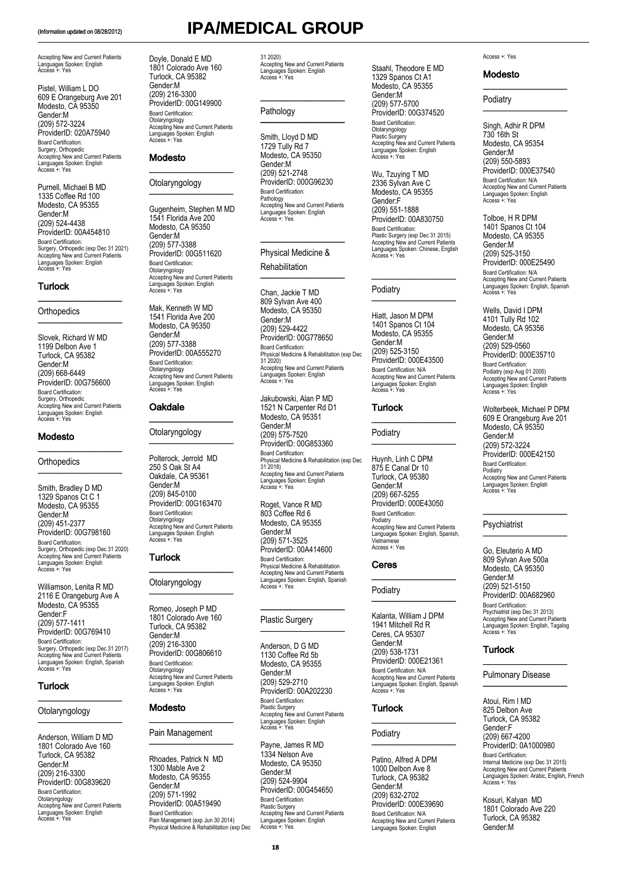Accepting New and Current Patients Languages Spoken: English Access +: Yes

Pistel, William L DO 609 E Orangeburg Ave 201 Modesto, CA 95350 Gender:M (209) 572-3224 ProviderID: 020A75940 Board Certification: Surgery, Orthopedic Accepting New and Current Patients Languages Spoken: English Access +: Yes

Purnell, Michael B MD 1335 Coffee Rd 100 Modesto, CA 95355 Gender:M (209) 524-4438 ProviderID: 00A454810 Board Certification: Surgery, Orthopedic (exp Dec 31 2021) Accepting New and Current Patients Languages Spoken: English Access +: Yes

\_\_\_\_\_\_\_\_\_\_\_\_\_\_\_\_\_\_\_\_\_\_\_\_\_

### **Turlock**

### **Orthopedics** \_\_\_\_\_\_\_\_\_\_\_\_\_\_\_\_\_\_\_\_\_\_\_\_\_

Slovek, Richard W MD 1199 Delbon Ave 1 Turlock, CA 95382 Gender:M (209) 668-6449 ProviderID: 00G756600 Board Certification: Surgery, Orthopedic Accepting New and Current Patients Languages Spoken: English Access +: Yes

\_\_\_\_\_\_\_\_\_\_\_\_\_\_\_\_\_\_\_\_\_\_\_\_\_

### Modesto

### **Orthopedics** \_\_\_\_\_\_\_\_\_\_\_\_\_\_\_\_\_\_\_\_\_\_\_\_\_

Smith, Bradley D MD 1329 Spanos Ct C 1 Modesto, CA 95355 Gender:M (209) 451-2377 ProviderID: 00G798160 Board Certification: Surgery, Orthopedic (exp Dec 31 2020) Accepting New and Current Patients Languages Spoken: English Access +: Yes

Williamson, Lenita R MD 2116 E Orangeburg Ave A Modesto, CA 95355 Gender:F (209) 577-1411 ProviderID: 00G769410 Board Certification: Surgery, Orthopedic (exp Dec 31 2017) Accepting New and Current Patients Languages Spoken: English, Spanish Access +: Yes

\_\_\_\_\_\_\_\_\_\_\_\_\_\_\_\_\_\_\_\_\_\_\_\_\_

### Turlock

### Otolaryngology \_\_\_\_\_\_\_\_\_\_\_\_\_\_\_\_\_\_\_\_\_\_\_\_\_

Anderson, William D MD 1801 Colorado Ave 160 Turlock, CA 95382 Gender:M (209) 216-3300 ProviderID: 00G839620 Board Certification: Otolaryngology Accepting New and Current Patients Languages Spoken: English Access +: Yes Doyle, Donald E MD 1801 Colorado Ave 160 Turlock, CA 95382 Gender:M (209) 216-3300 ProviderID: 00G149900 Board Certification: Otolaryngology Accepting New and Current Patients Languages Spoken: English Access +: Yes

\_\_\_\_\_\_\_\_\_\_\_\_\_\_\_\_\_\_\_\_\_\_\_\_\_

### Modesto

### **Otolaryngology** \_\_\_\_\_\_\_\_\_\_\_\_\_\_\_\_\_\_\_\_\_\_\_\_\_

Gugenheim, Stephen M MD 1541 Florida Ave 200 Modesto, CA 95350 Gender:M (209) 577-3388 ProviderID: 00G511620 Board Certification: Otolaryngology Accepting New and Current Patients Languages Spoken: English Access +: Yes

Mak, Kenneth W MD 1541 Florida Ave 200 Modesto, CA 95350 Gender:M (209) 577-3388 ProviderID: 00A555270 Board Certification: Otolaryngology Accepting New and Current Patients Languages Spoken: English Access +: Yes

### **Oakdale**

### Otolaryngology \_\_\_\_\_\_\_\_\_\_\_\_\_\_\_\_\_\_\_\_\_\_\_\_\_

\_\_\_\_\_\_\_\_\_\_\_\_\_\_\_\_\_\_\_\_\_\_\_\_\_

Polterock, Jerrold MD 250 S Oak St A4 Oakdale, CA 95361 Gender:M (209) 845-0100 ProviderID: 00G163470 Board Certification: Otolaryngology Accepting New and Current Patients Languages Spoken: English Access +: Yes

\_\_\_\_\_\_\_\_\_\_\_\_\_\_\_\_\_\_\_\_\_\_\_\_\_

### Turlock

### Otolaryngology \_\_\_\_\_\_\_\_\_\_\_\_\_\_\_\_\_\_\_\_\_\_\_\_\_

Romeo, Joseph P MD 1801 Colorado Ave 160 Turlock, CA 95382 Gender:M (209) 216-3300 ProviderID: 00G806610 Board Certification: Otolaryngology Accepting New and Current Patients Languages Spoken: English Access +: Yes

### Modesto

### \_\_\_\_\_\_\_\_\_\_\_\_\_\_\_\_\_\_\_\_\_\_\_\_\_ Pain Management \_\_\_\_\_\_\_\_\_\_\_\_\_\_\_\_\_\_\_\_\_\_\_\_\_

Rhoades, Patrick N MD 1300 Mable Ave 2 Modesto, CA 95355 Gender:M (209) 571-1992 ProviderID: 00A519490 Board Certification: Pain Management (exp Jun 30 2014) Physical Medicine & Rehabilitation (exp Dec 31 2020) Accepting New and Current Patients Languages Spoken: English Access +: Yes

\_\_\_\_\_\_\_\_\_\_\_\_\_\_\_\_\_\_\_\_\_\_\_\_\_

\_\_\_\_\_\_\_\_\_\_\_\_\_\_\_\_\_\_\_\_\_\_\_\_\_

### Pathology

Smith, Lloyd D MD 1729 Tully Rd 7 Modesto, CA 95350 Gender:M (209) 521-2748 ProviderID: 000G96230 Board Certification: Pathology Accepting New and Current Patients Languages Spoken: English Access +: Yes

### Physical Medicine & Rehabilitation

\_\_\_\_\_\_\_\_\_\_\_\_\_\_\_\_\_\_\_\_\_\_\_\_\_

\_\_\_\_\_\_\_\_\_\_\_\_\_\_\_\_\_\_\_\_\_\_\_\_\_

Chan, Jackie T MD 809 Sylvan Ave 400 Modesto, CA 95350 Gender:M (209) 529-4422 ProviderID: 00G778650 Board Certification: Physical Medicine & Rehabilitation (exp Dec 31 2020) Accepting New and Current Patients Languages Spoken: English Access +: Yes

Jakubowski, Alan P MD 1521 N Carpenter Rd D1 Modesto, CA 95351 Gender:M (209) 575-7520 ProviderID: 00G853360 Board Certification: Physical Medicine & Rehabilitation (exp Dec 31 2018) Accepting New and Current Patients Languages Spoken: English Access +: Yes Roget, Vance R MD

803 Coffee Rd 6 Modesto, CA 95355 Gender:M (209) 571-3525 ProviderID: 00A414600 Board Certification: Physical Medicine & Rehabilitation Accepting New and Current Patients Languages Spoken: English, Spanish Access +: Yes

\_\_\_\_\_\_\_\_\_\_\_\_\_\_\_\_\_\_\_\_\_\_\_\_\_

### Plastic Surgery \_\_\_\_\_\_\_\_\_\_\_\_\_\_\_\_\_\_\_\_\_\_\_\_\_

Anderson, D G MD 1130 Coffee Rd 5b Modesto, CA 95355 Gender:M (209) 529-2710 ProviderID: 00A202230 Board Certification: Plastic Surgery Accepting New and Current Patients Languages Spoken: English Access +: Yes

Payne, James R MD 1334 Nelson Ave Modesto, CA 95350 Gender:M (209) 524-9904 ProviderID: 00G454650 Board Certification: Plastic Surgery Accepting New and Current Patients Languages Spoken: English Access +: Yes Staahl, Theodore E MD 1329 Spanos Ct A1 Modesto, CA 95355 Gender:M (209) 577-5700 ProviderID: 00G374520 Board Certification: Otolaryngology Plastic Surgery Accepting New and Current Patients Languages Spoken: English Access +: Yes

Wu, Tzuying T MD 2336 Sylvan Ave C Modesto, CA 95355 Gender:F (209) 551-1888 ProviderID: 00A830750 Board Certification: Plastic Surgery (exp Dec 31 2015) Accepting New and Current Patients Languages Spoken: Chinese, English Access +: Yes

\_\_\_\_\_\_\_\_\_\_\_\_\_\_\_\_\_\_\_\_\_\_\_\_\_

\_\_\_\_\_\_\_\_\_\_\_\_\_\_\_\_\_\_\_\_\_\_\_\_\_

### **Podiatry**

Hiatt, Jason M DPM 1401 Spanos Ct 104 Modesto, CA 95355 Gender:M (209) 525-3150 ProviderID: 000E43500 Board Certification: N/A Accepting New and Current Patients Languages Spoken: English Access +: Yes

\_\_\_\_\_\_\_\_\_\_\_\_\_\_\_\_\_\_\_\_\_\_\_\_\_

\_\_\_\_\_\_\_\_\_\_\_\_\_\_\_\_\_\_\_\_\_\_\_\_\_

### Turlock

### Podiatry

Huynh, Linh C DPM 875 E Canal Dr 10 Turlock, CA 95380 Gender:M (209) 667-5255 ProviderID: 000E43050 Board Certification: Podiatry Accepting New and Current Patients Languages Spoken: English, Spanish, Vietnamese Access +: Yes

\_\_\_\_\_\_\_\_\_\_\_\_\_\_\_\_\_\_\_\_\_\_\_\_\_

### Ceres

### **Podiatry** \_\_\_\_\_\_\_\_\_\_\_\_\_\_\_\_\_\_\_\_\_\_\_\_\_

Kalanta, William J DPM 1941 Mitchell Rd R Ceres, CA 95307 Gender:M (209) 538-1731 ProviderID: 000E21361 Board Certification: N/A Accepting New and Current Patients Languages Spoken: English, Spanish Access +: Yes

\_\_\_\_\_\_\_\_\_\_\_\_\_\_\_\_\_\_\_\_\_\_\_\_\_

### **Turlock**

Podiatry \_\_\_\_\_\_\_\_\_\_\_\_\_\_\_\_\_\_\_\_\_\_\_\_\_

Patino, Alfred A DPM 1000 Delbon Ave 8 Turlock, CA 95382 Gender:M (209) 632-2702 ProviderID: 000E39690 Board Certification: N/A Accepting New and Current Patients Languages Spoken: English

### Access +: Yes

### Modesto

Podiatry \_\_\_\_\_\_\_\_\_\_\_\_\_\_\_\_\_\_\_\_\_\_\_\_\_

Singh, Adhir R DPM 730 16th St Modesto, CA 95354 Gender:M (209) 550-5893 ProviderID: 000E37540 Board Certification: N/A Accepting New and Current Patients Languages Spoken: English Access +: Yes

\_\_\_\_\_\_\_\_\_\_\_\_\_\_\_\_\_\_\_\_\_\_\_\_\_

Tolboe, H R DPM 1401 Spanos Ct 104 Modesto, CA 95355 Gender:M (209) 525-3150 ProviderID: 000E25490 Board Certification: N/A Accepting New and Current Patients Languages Spoken: English, Spanish Access +: Yes

Wells, David I DPM 4101 Tully Rd 102 Modesto, CA 95356 Gender:M (209) 529-0560 ProviderID: 000E35710 Board Certification: Podiatry (exp Aug 01 2005) Accepting New and Current Patients Languages Spoken: English Access +: Yes

Wolterbeek, Michael P DPM 609 E Orangeburg Ave 201 Modesto, CA 95350 Gender:M (209) 572-3224 ProviderID: 000E42150 Board Certification: b∪aru U.<br>Podiatry Accepting New and Current Patients Languages Spoken: English Access +: Yes

\_\_\_\_\_\_\_\_\_\_\_\_\_\_\_\_\_\_\_\_\_\_\_\_\_

### **Psychiatrist** \_\_\_\_\_\_\_\_\_\_\_\_\_\_\_\_\_\_\_\_\_\_\_\_\_

Go, Eleuterio A MD 809 Sylvan Ave 500a Modesto, CA 95350 Gender:M (209) 521-5150 ProviderID: 00A682960 Board Certification: Psychiatrist (exp Dec 31 2013) Accepting New and Current Patients Languages Spoken: English, Tagalog Access +: Yes

### Turlock

Pulmonary Disease \_\_\_\_\_\_\_\_\_\_\_\_\_\_\_\_\_\_\_\_\_\_\_\_\_

 $\overline{\phantom{a}}$  , where  $\overline{\phantom{a}}$  , where  $\overline{\phantom{a}}$ 

Atoui, Rim I MD 825 Delbon Ave Turlock, CA 95382 Gender:F (209) 667-4200 ProviderID: 0A1000980 Board Certification: Internal Medicine (exp Dec 31 2015) Accepting New and Current Patients Languages Spoken: Arabic, English, French Access +: Yes

Kosuri, Kalyan MD 1801 Colorado Ave 220 Turlock, CA 95382 Gender:M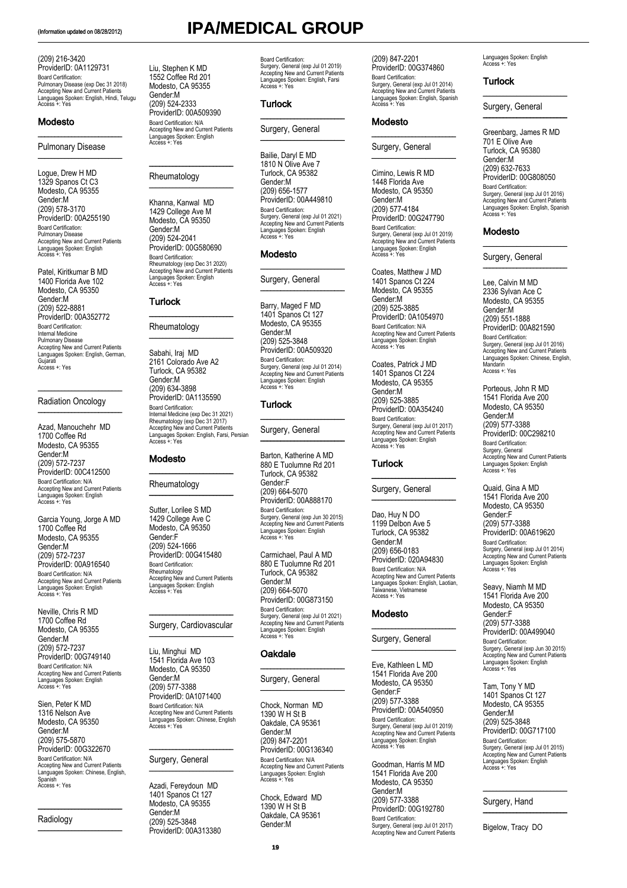(209) 216-3420 ProviderID: 0A1129731 Board Certification: Pulmonary Disease (exp Dec 31 2018) Accepting New and Current Patients Languages Spoken: English, Hindi, Telugu Access +: Yes

### Modesto

### Pulmonary Disease \_\_\_\_\_\_\_\_\_\_\_\_\_\_\_\_\_\_\_\_\_\_\_\_\_

 $\overline{\phantom{a}}$  , where  $\overline{\phantom{a}}$  , where  $\overline{\phantom{a}}$ 

Logue, Drew H MD 1329 Spanos Ct C3 Modesto, CA 95355 Gender:M (209) 578-3170 ProviderID: 00A255190 Board Certification: Pulmonary Disease Accepting New and Current Patients Languages Spoken: English Access +: Yes

Patel, Kiritkumar B MD 1400 Florida Ave 102 Modesto, CA 95350 Gender:M (209) 522-8881 ProviderID: 00A352772 Board Certification: Internal Medicine Pulmonary Disease Accepting New and Current Patients Languages Spoken: English, German, Gujarati Access +: Yes

### Radiation Oncology

\_\_\_\_\_\_\_\_\_\_\_\_\_\_\_\_\_\_\_\_\_\_\_\_\_

\_\_\_\_\_\_\_\_\_\_\_\_\_\_\_\_\_\_\_\_\_\_\_\_\_

Azad, Manouchehr MD 1700 Coffee Rd Modesto, CA 95355 Gender:M (209) 572-7237 ProviderID: 00C412500 Board Certification: N/A Accepting New and Current Patients Languages Spoken: English Access +: Yes

Garcia Young, Jorge A MD 1700 Coffee Rd Modesto, CA 95355 Gender:M (209) 572-7237 ProviderID: 00A916540 Board Certification: N/A Accepting New and Current Patients Languages Spoken: English Access +: Yes

Neville, Chris R MD 1700 Coffee Rd Modesto, CA 95355 Gender:M (209) 572-7237 ProviderID: 00G749140 Board Certification: N/A Accepting New and Current Patients Languages Spoken: English Access +: Yes

Sien, Peter K MD 1316 Nelson Ave Modesto, CA 95350 Gender:M (209) 575-5870 ProviderID: 00G322670 Board Certification: N/A Accepting New and Current Patients Languages Spoken: Chinese, English, Spanish Access +: Yes

\_\_\_\_\_\_\_\_\_\_\_\_\_\_\_\_\_\_\_\_\_\_\_\_\_

### Radiology  $\overline{\phantom{a}}$  ,  $\overline{\phantom{a}}$  ,  $\overline{\phantom{a}}$  ,  $\overline{\phantom{a}}$  ,  $\overline{\phantom{a}}$  ,  $\overline{\phantom{a}}$  ,  $\overline{\phantom{a}}$  ,  $\overline{\phantom{a}}$  ,  $\overline{\phantom{a}}$  ,  $\overline{\phantom{a}}$  ,  $\overline{\phantom{a}}$  ,  $\overline{\phantom{a}}$  ,  $\overline{\phantom{a}}$  ,  $\overline{\phantom{a}}$  ,  $\overline{\phantom{a}}$  ,  $\overline{\phantom{a}}$

# (Information updated on 08/28/2012) **IPA/MEDICAL GROUP**

Board Certification: Surgery, General (exp Jul 01 2019) Accepting New and Current Patients Languages Spoken: English, Farsi Access +: Yes Turlock

Liu, Stephen K MD 1552 Coffee Rd 201 Modesto, CA 95355 Gender:M (209) 524-2333 ProviderID: 00A509390 Board Certification: N/A

Accepting New and Current Patients Languages Spoken: English Access +: Yes

\_\_\_\_\_\_\_\_\_\_\_\_\_\_\_\_\_\_\_\_\_\_\_\_\_

Rheumatology (exp Dec 31 2020) Accepting New and Current Patients Languages Spoken: English Access +: Yes

\_\_\_\_\_\_\_\_\_\_\_\_\_\_\_\_\_\_\_\_\_\_\_\_\_

Internal Medicine (exp Dec 31 2021) Rheumatology (exp Dec 31 2017) Accepting New and Current Patients Languages Spoken: English, Farsi, Persian Access +: Yes

\_\_\_\_\_\_\_\_\_\_\_\_\_\_\_\_\_\_\_\_\_\_\_\_\_

Rheumatology Accepting New and Current Patients Languages Spoken: English Access +: Yes

\_\_\_\_\_\_\_\_\_\_\_\_\_\_\_\_\_\_\_\_\_\_\_\_\_ Surgery, Cardiovascular \_\_\_\_\_\_\_\_\_\_\_\_\_\_\_\_\_\_\_\_\_\_\_\_\_

Board Certification: N/A Accepting New and Current Patients Languages Spoken: Chinese, English Access +: Yes

\_\_\_\_\_\_\_\_\_\_\_\_\_\_\_\_\_\_\_\_\_\_\_\_\_ Surgery, General \_\_\_\_\_\_\_\_\_\_\_\_\_\_\_\_\_\_\_\_\_\_\_\_\_ Azadi, Fereydoun MD 1401 Spanos Ct 127 Modesto, CA 95355 Gender:M (209) 525-3848 ProviderID: 00A313380

Liu, Minghui MD 1541 Florida Ave 103 Modesto, CA 95350 Gender:M (209) 577-3388 ProviderID: 0A1071400

**Turlock** 

Rheumatology \_\_\_\_\_\_\_\_\_\_\_\_\_\_\_\_\_\_\_\_\_\_\_\_\_

Sabahi, Iraj MD 2161 Colorado Ave A2 Turlock, CA 95382 Gender:M (209) 634-3898 ProviderID: 0A1135590 Board Certification:

Modesto

Rheumatology \_\_\_\_\_\_\_\_\_\_\_\_\_\_\_\_\_\_\_\_\_\_\_\_\_ Sutter, Lorilee S MD 1429 College Ave C Modesto, CA 95350 Gender:F (209) 524-1666 ProviderID: 00G415480 Board Certification:

Rheumatology \_\_\_\_\_\_\_\_\_\_\_\_\_\_\_\_\_\_\_\_\_\_\_\_\_ Khanna, Kanwal MD 1429 College Ave M Modesto, CA 95350 Gender:M (209) 524-2041 ProviderID: 00G580690 Board Certification:

Surgery, General

\_\_\_\_\_\_\_\_\_\_\_\_\_\_\_\_\_\_\_\_\_\_\_\_\_

\_\_\_\_\_\_\_\_\_\_\_\_\_\_\_\_\_\_\_\_\_\_\_\_\_

Bailie, Daryl E MD 1810 N Olive Ave 7 Turlock, CA 95382 Gender:M (209) 656-1577 ProviderID: 00A449810 Board Certification: Surgery, General (exp Jul 01 2021) Accepting New and Current Patients Languages Spoken: English Access +: Yes

### Modesto

Surgery, General

\_\_\_\_\_\_\_\_\_\_\_\_\_\_\_\_\_\_\_\_\_\_\_\_\_

\_\_\_\_\_\_\_\_\_\_\_\_\_\_\_\_\_\_\_\_\_\_\_\_\_

Barry, Maged F MD 1401 Spanos Ct 127 Modesto, CA 95355 Gender:M (209) 525-3848 ProviderID: 00A509320 Board Certification: Surgery, General (exp Jul 01 2014) Accepting New and Current Patients Languages Spoken: English Access +: Yes

### Turlock

Surgery, General

\_\_\_\_\_\_\_\_\_\_\_\_\_\_\_\_\_\_\_\_\_\_\_\_\_

\_\_\_\_\_\_\_\_\_\_\_\_\_\_\_\_\_\_\_\_\_\_\_\_\_

Barton, Katherine A MD 880 E Tuolumne Rd 201 Turlock, CA 95382 Gender:F (209) 664-5070 ProviderID: 00A888170 Board Certification: Surgery, General (exp Jun 30 2015) Accepting New and Current Patients Languages Spoken: English Access +: Yes

Carmichael, Paul A MD 880 E Tuolumne Rd 201 Turlock, CA 95382 Gender:M (209) 664-5070 ProviderID: 00G873150 Board Certification: Surgery, General (exp Jul 01 2021) Accepting New and Current Patients Languages Spoken: English Access +: Yes

### **Oakdale**

Surgery, General

\_\_\_\_\_\_\_\_\_\_\_\_\_\_\_\_\_\_\_\_\_\_\_\_\_

\_\_\_\_\_\_\_\_\_\_\_\_\_\_\_\_\_\_\_\_\_\_\_\_\_

Chock, Norman MD 1390 W H St B Oakdale, CA 95361 Gender:M (209) 847-2201 ProviderID: 00G136340 Board Certification: N/A Accepting New and Current Patients Languages Spoken: English Access +: Yes

Chock, Edward MD 1390 W H St B Oakdale, CA 95361 Gender:M

(209) 847-2201 ProviderID: 00G374860<br>Board Certification: Board Certification: Surgery, General (exp Jul 01 2014) Accepting New and Current Patients Languages Spoken: English, Spanish Access +: Yes

### Modesto

Surgery, General \_\_\_\_\_\_\_\_\_\_\_\_\_\_\_\_\_\_\_\_\_\_\_\_\_

 $\_$ 

Cimino, Lewis R MD 1448 Florida Ave Modesto, CA 95350 Gender:M (209) 577-4184 ProviderID: 00G247790 Board Certification: Surgery, General (exp Jul 01 2019) Accepting New and Current Patients Languages Spoken: English Access +: Yes

Coates, Matthew J MD 1401 Spanos Ct 224 Modesto, CA 95355 Gender:M (209) 525-3885 ProviderID: 0A1054970 Board Certification: N/A Accepting New and Current Patients Languages Spoken: English Access +: Yes

Coates, Patrick J MD 1401 Spanos Ct 224 Modesto, CA 95355 Gender:M (209) 525-3885 ProviderID: 00A354240 Board Certification: Surgery, General (exp Jul 01 2017) Accepting New and Current Patients Languages Spoken: English Access +: Yes

### Turlock

Surgery, General  $\overline{\phantom{a}}$  , which is a set of the set of the set of the set of the set of the set of the set of the set of the set of the set of the set of the set of the set of the set of the set of the set of the set of the set of th

\_\_\_\_\_\_\_\_\_\_\_\_\_\_\_\_\_\_\_\_\_\_\_\_\_

Dao, Huy N DO 1199 Delbon Ave 5 Turlock, CA 95382 Gender:M (209) 656-0183 ProviderID: 020A94830 Board Certification: N/A Accepting New and Current Patients Languages Spoken: English, Laotian, Taiwanese, Vietnamese Access +: Yes

### Modesto

Surgery, General

\_\_\_\_\_\_\_\_\_\_\_\_\_\_\_\_\_\_\_\_\_\_\_\_\_

 $\frac{1}{2}$  ,  $\frac{1}{2}$  ,  $\frac{1}{2}$  ,  $\frac{1}{2}$  ,  $\frac{1}{2}$  ,  $\frac{1}{2}$  ,  $\frac{1}{2}$  ,  $\frac{1}{2}$  ,  $\frac{1}{2}$  ,  $\frac{1}{2}$  ,  $\frac{1}{2}$  ,  $\frac{1}{2}$  ,  $\frac{1}{2}$  ,  $\frac{1}{2}$  ,  $\frac{1}{2}$  ,  $\frac{1}{2}$  ,  $\frac{1}{2}$  ,  $\frac{1}{2}$  ,  $\frac{1$ 

Eve, Kathleen L MD 1541 Florida Ave 200 Modesto, CA 95350 Gender:F (209) 577-3388 ProviderID: 00A540950 Board Certification: Surgery, General (exp Jul 01 2019) Accepting New and Current Patients Languages Spoken: English Access +: Yes

Goodman, Harris M MD 1541 Florida Ave 200 Modesto, CA 95350 Gender:M (209) 577-3388 ProviderID: 00G192780 Board Certification: Surgery, General (exp Jul 01 2017) Accepting New and Current Patients Languages Spoken: English Access +: Yes

### Turlock

Surgery, General

\_\_\_\_\_\_\_\_\_\_\_\_\_\_\_\_\_\_\_\_\_\_\_\_\_

 $\frac{1}{2}$  ,  $\frac{1}{2}$  ,  $\frac{1}{2}$  ,  $\frac{1}{2}$  ,  $\frac{1}{2}$  ,  $\frac{1}{2}$  ,  $\frac{1}{2}$  ,  $\frac{1}{2}$  ,  $\frac{1}{2}$  ,  $\frac{1}{2}$  ,  $\frac{1}{2}$  ,  $\frac{1}{2}$  ,  $\frac{1}{2}$  ,  $\frac{1}{2}$  ,  $\frac{1}{2}$  ,  $\frac{1}{2}$  ,  $\frac{1}{2}$  ,  $\frac{1}{2}$  ,  $\frac{1$ 

Greenbarg, James R MD 701 E Olive Ave Turlock, CA 95380 Gender:M (209) 632-7633 ProviderID: 00G808050 Board Certification: Surgery, General (exp Jul 01 2016) Accepting New and Current Patients Languages Spoken: English, Spanish Access +: Yes

### Modesto

Surgery, General

\_\_\_\_\_\_\_\_\_\_\_\_\_\_\_\_\_\_\_\_\_\_\_\_\_

 $\overline{\phantom{a}}$ 

Lee, Calvin M MD 2336 Sylvan Ace C Modesto, CA 95355 Gender:M (209) 551-1888 ProviderID: 00A821590 Board Certification: Surgery, General (exp Jul 01 2016) Accepting New and Current Patients Languages Spoken: Chinese, English, Mandarin Access +: Yes

Porteous, John R MD 1541 Florida Ave 200 Modesto, CA 95350 Gender:M (209) 577-3388 ProviderID: 00C298210 Board Certification: Surgery, General Accepting New and Current Patients Languages Spoken: English Access +: Yes

Quaid, Gina A MD 1541 Florida Ave 200 Modesto, CA 95350 Gender:F (209) 577-3388 ProviderID: 00A619620 Board Certification: Surgery, General (exp Jul 01 2014) Accepting New and Current Patients Languages Spoken: English Access +: Yes

Seavy, Niamh M MD 1541 Florida Ave 200 Modesto, CA 95350 Gender:F (209) 577-3388 ProviderID: 00A499040 Board Certification: Surgery, General (exp Jun 30 2015) Accepting New and Current Patients Languages Spoken: English Access +: Yes

Tam, Tony Y MD 1401 Spanos Ct 127 Modesto, CA 95355 Gender:M (209) 525-3848 ProviderID: 00G717100 Board Certification: Surgery, General (exp Jul 01 2015) Accepting New and Current Patients Languages Spoken: English Access +: Yes

\_\_\_\_\_\_\_\_\_\_\_\_\_\_\_\_\_\_\_\_\_\_\_\_\_

Surgery, Hand \_\_\_\_\_\_\_\_\_\_\_\_\_\_\_\_\_\_\_\_\_\_\_\_\_

Bigelow, Tracy DO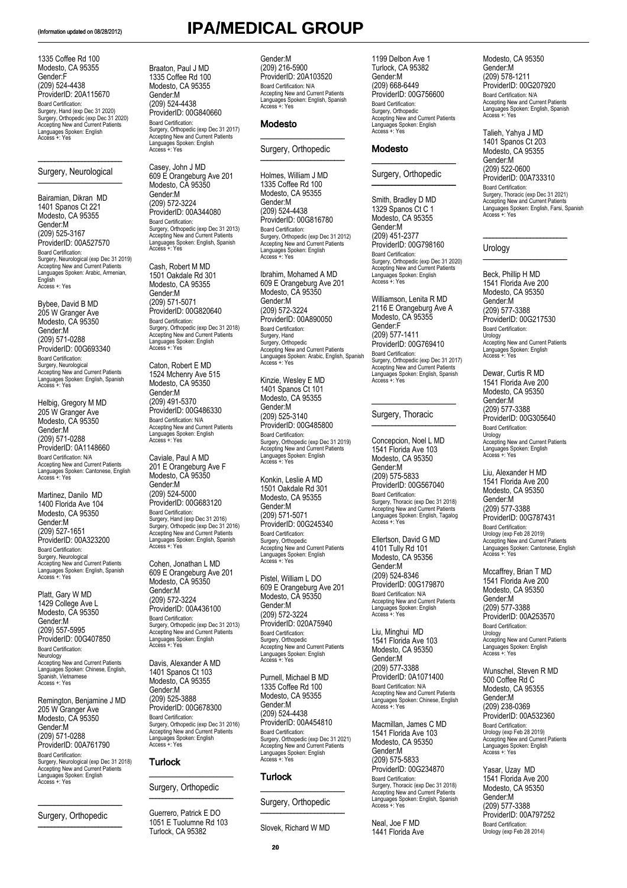1335 Coffee Rd 100 Modesto, CA 95355 Gender:F (209) 524-4438 ProviderID: 20A115670 Board Certification: Surgery, Hand (exp Dec 31 2020) Surgery, Orthopedic (exp Dec 31 2020) Accepting New and Current Patients Languages Spoken: English Access +: Yes

### \_\_\_\_\_\_\_\_\_\_\_\_\_\_\_\_\_\_\_\_\_\_\_\_\_ Surgery, Neurological  $\overline{\phantom{a}}$  ,  $\overline{\phantom{a}}$  ,  $\overline{\phantom{a}}$  ,  $\overline{\phantom{a}}$  ,  $\overline{\phantom{a}}$  ,  $\overline{\phantom{a}}$  ,  $\overline{\phantom{a}}$  ,  $\overline{\phantom{a}}$  ,  $\overline{\phantom{a}}$  ,  $\overline{\phantom{a}}$  ,  $\overline{\phantom{a}}$  ,  $\overline{\phantom{a}}$  ,  $\overline{\phantom{a}}$  ,  $\overline{\phantom{a}}$  ,  $\overline{\phantom{a}}$  ,  $\overline{\phantom{a}}$

Bairamian, Dikran MD 1401 Spanos Ct 221 Modesto, CA 95355 Gender:M (209) 525-3167 ProviderID: 00A527570 Board Certification: Surgery, Neurological (exp Dec 31 2019) Accepting New and Current Patients Languages Spoken: Arabic, Armenian, English Access +: Yes

Bybee, David B MD 205 W Granger Ave Modesto, CA 95350 Gender:M (209) 571-0288 ProviderID: 00G693340 Board Certification: Surgery, Neurological Accepting New and Current Patients Languages Spoken: English, Spanish Access +: Yes

Helbig, Gregory M MD 205 W Granger Ave Modesto, CA 95350 Gender:M (209) 571-0288 ProviderID: 0A1148660 Board Certification: N/A Accepting New and Current Patients Languages Spoken: Cantonese, English Access +: Yes

Martinez, Danilo MD 1400 Florida Ave 104 Modesto, CA 95350 Gender:M (209) 527-1651 ProviderID: 00A323200 Board Certification: Surgery, Neurological Accepting New and Current Patients Languages Spoken: English, Spanish Access +: Yes

Platt, Gary W MD 1429 College Ave L Modesto, CA 95350 Gender:M (209) 557-5995 ProviderID: 00G407850 Board Certification: Neurology Accepting New and Current Patients Languages Spoken: Chinese, English, Spanish, Vietnamese Access +: Yes

Remington, Benjamine J MD 205 W Granger Ave Modesto, CA 95350 Gender:M (209) 571-0288 ProviderID: 00A761790 Board Certification: Surgery, Neurological (exp Dec 31 2018) Accepting New and Current Patients Languages Spoken: English Access +: Yes

### Surgery, Orthopedic \_\_\_\_\_\_\_\_\_\_\_\_\_\_\_\_\_\_\_\_\_\_\_\_\_

\_\_\_\_\_\_\_\_\_\_\_\_\_\_\_\_\_\_\_\_\_\_\_\_\_

(Information updated on 08/28/2012) **IPA/MEDICAL GROUP** Braaton, Paul J MD Gender:M

1335 Coffee Rd 100 Modesto, CA 95355 Gender:M (209) 524-4438 ProviderID: 00G840660 Board Certification:

Casey, John J MD 609 E Orangeburg Ave 201 Modesto, CA 95350 Gender:M (209) 572-3224 ProviderID: 00A344080 Board Certification: Surgery, Orthopedic (exp Dec 31 2013) Accepting New and Current Patients Languages Spoken: English, Spanish Access +: Yes

Cash, Robert M MD 1501 Oakdale Rd 301 Modesto, CA 95355 Gender:M (209) 571-5071 ProviderID: 00G820640 Board Certification:

Caviale, Paul A MD 201 E Orangeburg Ave F Modesto, CA 95350 Gender:M (209) 524-5000 ProviderID: 00G683120 Board Certification:

Surgery, Hand (exp Dec 31 2016) Surgery, Orthopedic (exp Dec 31 2016) Accepting New and Current Patients Languages Spoken: English, Spanish Access +: Yes

Surgery, Orthopedic (exp Dec 31 2013) Accepting New and Current Patients Languages Spoken: English Access +: Yes Davis, Alexander A MD 1401 Spanos Ct 103 Modesto, CA 95355 Gender:M (209) 525-3888 ProviderID: 00G678300 Board Certification:

Surgery, Orthopedic (exp Dec 31 2016) Accepting New and Current Patients Languages Spoken: English Access +: Yes

\_\_\_\_\_\_\_\_\_\_\_\_\_\_\_\_\_\_\_\_\_\_\_\_\_ Surgery, Orthopedic \_\_\_\_\_\_\_\_\_\_\_\_\_\_\_\_\_\_\_\_\_\_\_\_\_ Guerrero, Patrick E DO 1051 E Tuolumne Rd 103 Turlock, CA 95382

Turlock

Cohen, Jonathan L MD 609 E Orangeburg Ave 201 Modesto, CA 95350 Gender:M (209) 572-3224 ProviderID: 00A436100 Board Certification:

Surgery, Orthopedic (exp Dec 31 2018) Accepting New and Current Patients Languages Spoken: English Access +: Yes Caton, Robert E MD 1524 Mchenry Ave 515 Modesto, CA 95350 Gender:M (209) 491-5370 ProviderID: 00G486330 Board Certification: N/A Accepting New and Current Patients Languages Spoken: English Access +: Yes

Surgery, Orthopedic (exp Dec 31 2017) Accepting New and Current Patients Languages Spoken: English Access +: Yes

(209) 216-5900 ProviderID: 20A103520 Board Certification: N/A Accepting New and Current Patients Languages Spoken: English, Spanish Access +: Yes

### Modesto

### \_\_\_\_\_\_\_\_\_\_\_\_\_\_\_\_\_\_\_\_\_\_\_\_\_ Surgery, Orthopedic  $\frac{1}{2}$  ,  $\frac{1}{2}$  ,  $\frac{1}{2}$  ,  $\frac{1}{2}$  ,  $\frac{1}{2}$  ,  $\frac{1}{2}$  ,  $\frac{1}{2}$  ,  $\frac{1}{2}$  ,  $\frac{1}{2}$

Holmes, William J MD 1335 Coffee Rd 100 Modesto, CA 95355 Gender:M (209) 524-4438 ProviderID: 00G816780 Board Certification: Surgery, Orthopedic (exp Dec 31 2012) Accepting New and Current Patients Languages Spoken: English Access +: Yes

Ibrahim, Mohamed A MD 609 E Orangeburg Ave 201 Modesto, CA 95350 Gender:M (209) 572-3224 ProviderID: 00A890050 Board Certification: Surgery, Hand Surgery, Orthopedic Accepting New and Current Patients Languages Spoken: Arabic, English, Spanish Access +: Yes

Kinzie, Wesley E MD 1401 Spanos Ct 101 Modesto, CA 95355 Gender:M (209) 525-3140 ProviderID: 00G485800 Board Certification: Surgery, Orthopedic (exp Dec 31 2019) Accepting New and Current Patients Languages Spoken: English Access +: Yes

Konkin, Leslie A MD 1501 Oakdale Rd 301 Modesto, CA 95355 Gender:M (209) 571-5071 ProviderID: 00G245340 Board Certification: Surgery, Orthopedic Accepting New and Current Patients Languages Spoken: English Access +: Yes

Pistel, William L DO 609 E Orangeburg Ave 201 Modesto, CA 95350 Gender:M (209) 572-3224 ProviderID: 020A75940 Board Certification: Surgery, Orthopedic Accepting New and Current Patients Languages Spoken: English Access +: Yes

Purnell, Michael B MD 1335 Coffee Rd 100 Modesto, CA 95355 Gender:M (209) 524-4438 ProviderID: 00A454810 Board Certification: Surgery, Orthopedic (exp Dec 31 2021) Accepting New and Current Patients Languages Spoken: English Access +: Yes

### Surgery, Orthopedic  $\overline{\phantom{a}}$  .

Slovek, Richard W MD

1199 Delbon Ave 1 Turlock, CA 95382 Gender:M (209) 668-6449 ProviderID: 00G756600 Board Certification: Surgery, Orthopedic Accepting New and Current Patients Languages Spoken: English Access +: Yes

### Modesto

### $\_$ Surgery, Orthopedic \_\_\_\_\_\_\_\_\_\_\_\_\_\_\_\_\_\_\_\_\_\_\_\_\_

Smith, Bradley D MD 1329 Spanos Ct C 1 Modesto, CA 95355 Gender:M (209) 451-2377 ProviderID: 00G798160 Board Certification: Surgery, Orthopedic (exp Dec 31 2020) Accepting New and Current Patients Languages Spoken: English Access +: Yes

Williamson, Lenita R MD 2116 E Orangeburg Ave A Modesto, CA 95355 Gender:F (209) 577-1411 ProviderID: 00G769410 Board Certification: Surgery, Orthopedic (exp Dec 31 2017) Accepting New and Current Patients Languages Spoken: English, Spanish Access +: Yes

### Surgery, Thoracic \_\_\_\_\_\_\_\_\_\_\_\_\_\_\_\_\_\_\_\_\_\_\_\_\_

\_\_\_\_\_\_\_\_\_\_\_\_\_\_\_\_\_\_\_\_\_\_\_\_\_

Concepcion, Noel L MD 1541 Florida Ave 103 Modesto, CA 95350 Gender:M (209) 575-5833 ProviderID: 00G567040 Board Certification: Surgery, Thoracic (exp Dec 31 2018) Accepting New and Current Patients Languages Spoken: English, Tagalog Access +: Yes

Ellertson, David G MD 4101 Tully Rd 101 Modesto, CA 95356 Gender:M (209) 524-8346 ProviderID: 00G179870 Board Certification: N/A Accepting New and Current Patients Languages Spoken: English Access +: Yes

Liu, Minghui MD 1541 Florida Ave 103 Modesto, CA 95350 Gender:M (209) 577-3388 ProviderID: 0A1071400 Board Certification: N/A Accepting New and Current Patients Languages Spoken: Chinese, English Access +: Yes

Macmillan, James C MD 1541 Florida Ave 103 Modesto, CA 95350 Gender:M (209) 575-5833 ProviderID: 00G234870 Board Certification: Surgery, Thoracic (exp Dec 31 2018) Accepting New and Current Patients Languages Spoken: English, Spanish Access +: Yes

Neal, Joe F MD 1441 Florida Ave Modesto, CA 95350 Gender:M (209) 578-1211 ProviderID: 00G207920 Board Certification: N/A Accepting New and Current Patients Languages Spoken: English, Spanish Access +: Yes

Talieh, Yahya J MD 1401 Spanos Ct 203 Modesto, CA 95355 Gender:M (209) 522-0600 ProviderID: 00A733310 Board Certification: Surgery, Thoracic (exp Dec 31 2021) Accepting New and Current Patients Languages Spoken: English, Farsi, Spanish Access +: Yes

### Urology \_\_\_\_\_\_\_\_\_\_\_\_\_\_\_\_\_\_\_\_\_\_\_\_\_

Beck, Phillip H MD 1541 Florida Ave 200 Modesto, CA 95350 Gender:M (209) 577-3388 ProviderID: 00G217530 Board Certification: **Urology** Accepting New and Current Patients Languages Spoken: English Access +: Yes

 $\overline{\phantom{a}}$  , where  $\overline{\phantom{a}}$  , where  $\overline{\phantom{a}}$  , where  $\overline{\phantom{a}}$ 

Dewar, Curtis R MD 1541 Florida Ave 200 Modesto, CA 95350 Gender:M (209) 577-3388 ProviderID: 00G305640 Board Certification: Urology Accepting New and Current Patients Languages Spoken: English Access +: Yes

Liu, Alexander H MD 1541 Florida Ave 200 Modesto, CA 95350 Gender:M (209) 577-3388 ProviderID: 00G787431 Board Certification: Urology (exp Feb 28 2019) Accepting New and Current Patients Languages Spoken: Cantonese, English Access +: Yes

Mccaffrey, Brian T MD 1541 Florida Ave 200 Modesto, CA 95350 Gender:M (209) 577-3388 ProviderID: 00A253570 Board Certification: Urology Accepting New and Current Patients Languages Spoken: English Access +: Yes

Wunschel, Steven R MD 500 Coffee Rd C Modesto, CA 95355 Gender:M (209) 238-0369 ProviderID: 00A532360 Board Certification: Urology (exp Feb 28 2019) Accepting New and Current Patients Languages Spoken: English Access +: Yes

Yasar, Uzay MD 1541 Florida Ave 200 Modesto, CA 95350 Gender:M (209) 577-3388 ProviderID: 00A797252 Board Certification: Urology (exp Feb 28 2014)

Turlock \_\_\_\_\_\_\_\_\_\_\_\_\_\_\_\_\_\_\_\_\_\_\_\_\_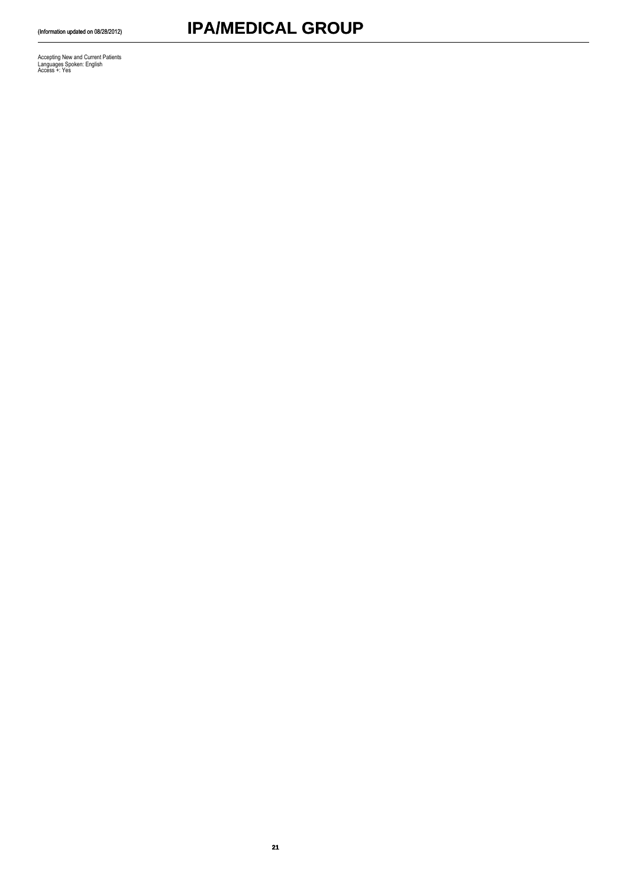Accepting New and Current Patients Languages Spoken: English Access +: Yes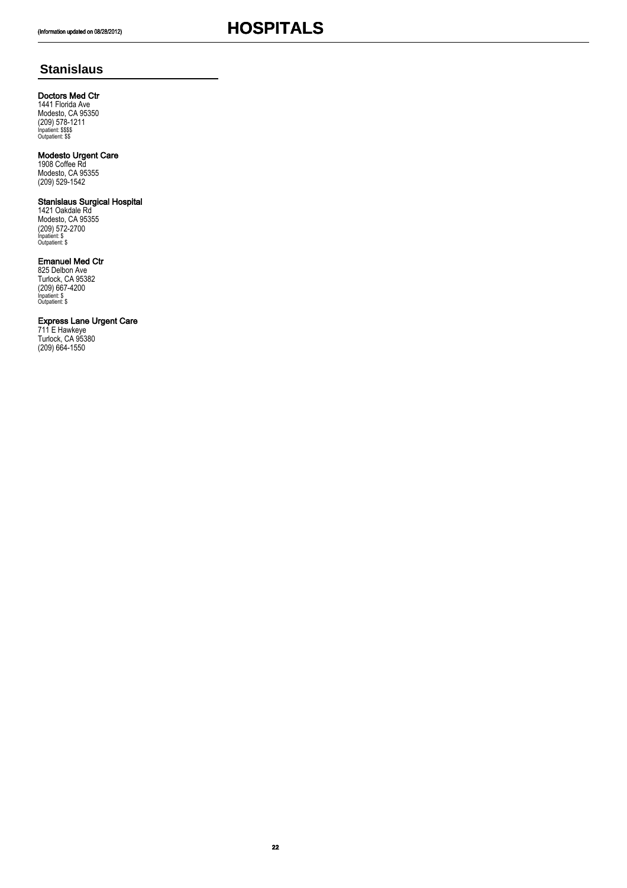## **Stanislaus**

### Doctors Med Ctr

1441 Florida Ave Modesto, CA 95350 (209) 578-1211 Inpatient: \$\$\$\$ Outpatient: \$\$

### Modesto Urgent Care

1908 Coffee Rd Modesto, CA 95355 (209) 529-1542

### Stanislaus Surgical Hospital

1421 Oakdale Rd Modesto, CA 95355 (209) 572-2700 Inpatient: \$ Outpatient: \$

### Emanuel Med Ctr

825 Delbon Ave Turlock, CA 95382 (209) 667-4200 Inpatient: \$ Outpatient: \$

### Express Lane Urgent Care

711 E Hawkeye Turlock, CA 95380 (209) 664-1550